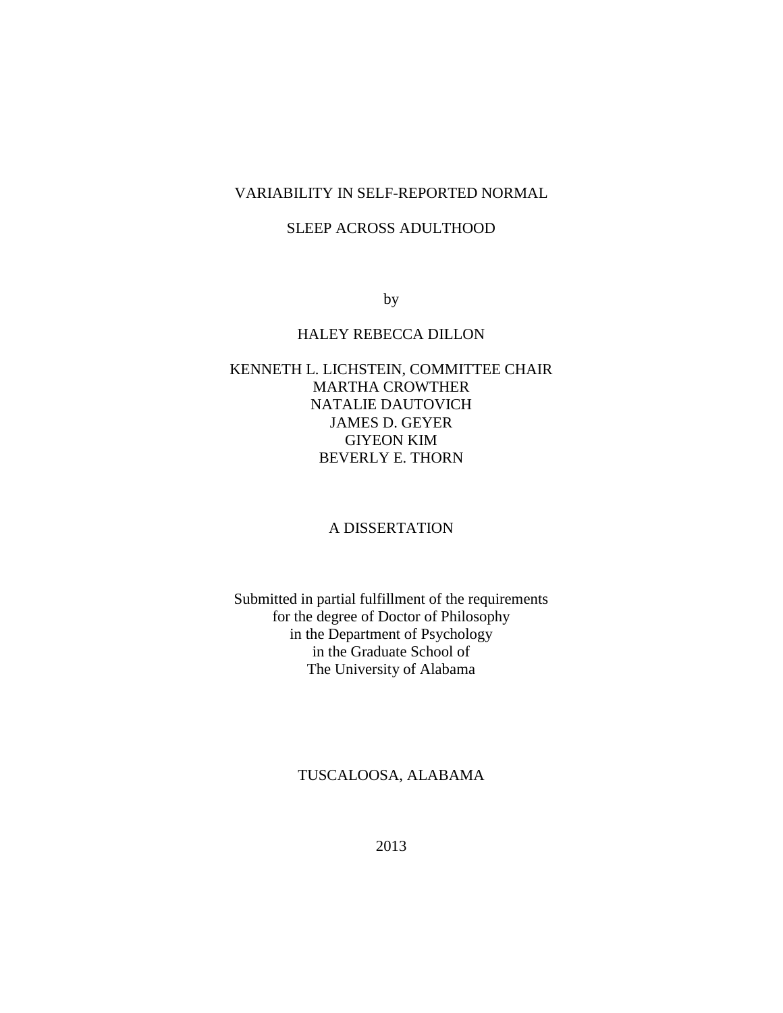## VARIABILITY IN SELF-REPORTED NORMAL

## SLEEP ACROSS ADULTHOOD

by

### HALEY REBECCA DILLON

## KENNETH L. LICHSTEIN, COMMITTEE CHAIR MARTHA CROWTHER NATALIE DAUTOVICH JAMES D. GEYER GIYEON KIM BEVERLY E. THORN

### A DISSERTATION

Submitted in partial fulfillment of the requirements for the degree of Doctor of Philosophy in the Department of Psychology in the Graduate School of The University of Alabama

## TUSCALOOSA, ALABAMA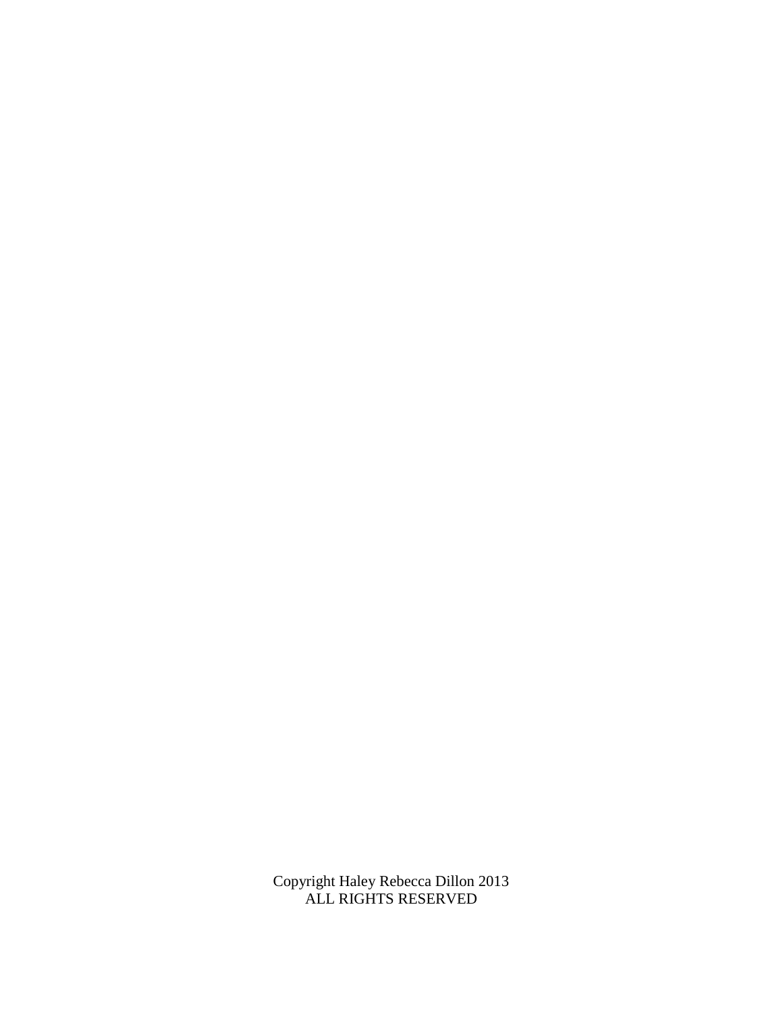Copyright Haley Rebecca Dillon 2013 ALL RIGHTS RESERVED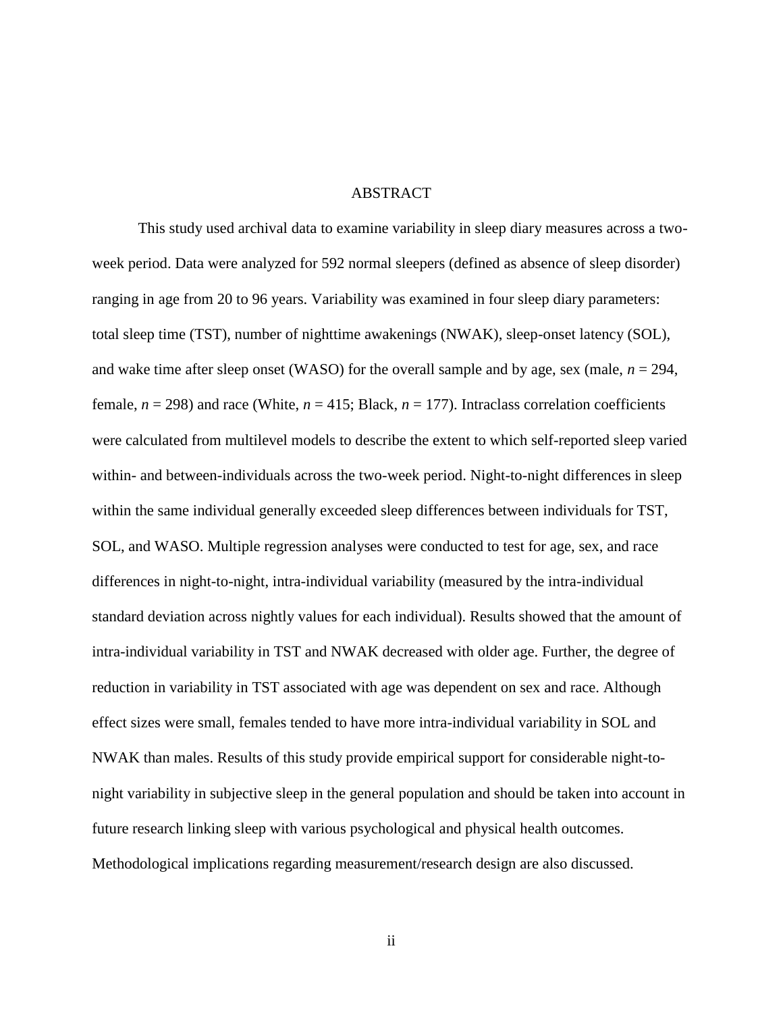#### **ABSTRACT**

This study used archival data to examine variability in sleep diary measures across a twoweek period. Data were analyzed for 592 normal sleepers (defined as absence of sleep disorder) ranging in age from 20 to 96 years. Variability was examined in four sleep diary parameters: total sleep time (TST), number of nighttime awakenings (NWAK), sleep-onset latency (SOL), and wake time after sleep onset (WASO) for the overall sample and by age, sex (male,  $n = 294$ , female,  $n = 298$ ) and race (White,  $n = 415$ ; Black,  $n = 177$ ). Intraclass correlation coefficients were calculated from multilevel models to describe the extent to which self-reported sleep varied within- and between-individuals across the two-week period. Night-to-night differences in sleep within the same individual generally exceeded sleep differences between individuals for TST, SOL, and WASO. Multiple regression analyses were conducted to test for age, sex, and race differences in night-to-night, intra-individual variability (measured by the intra-individual standard deviation across nightly values for each individual). Results showed that the amount of intra-individual variability in TST and NWAK decreased with older age. Further, the degree of reduction in variability in TST associated with age was dependent on sex and race. Although effect sizes were small, females tended to have more intra-individual variability in SOL and NWAK than males. Results of this study provide empirical support for considerable night-tonight variability in subjective sleep in the general population and should be taken into account in future research linking sleep with various psychological and physical health outcomes. Methodological implications regarding measurement/research design are also discussed.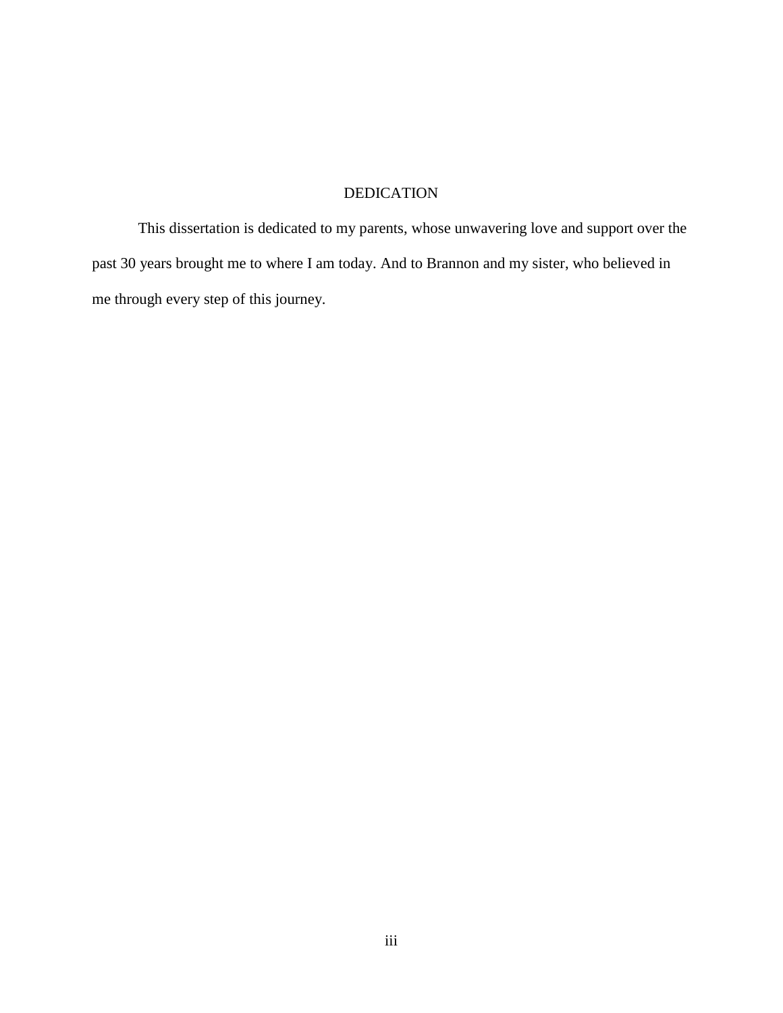# DEDICATION

This dissertation is dedicated to my parents, whose unwavering love and support over the past 30 years brought me to where I am today. And to Brannon and my sister, who believed in me through every step of this journey.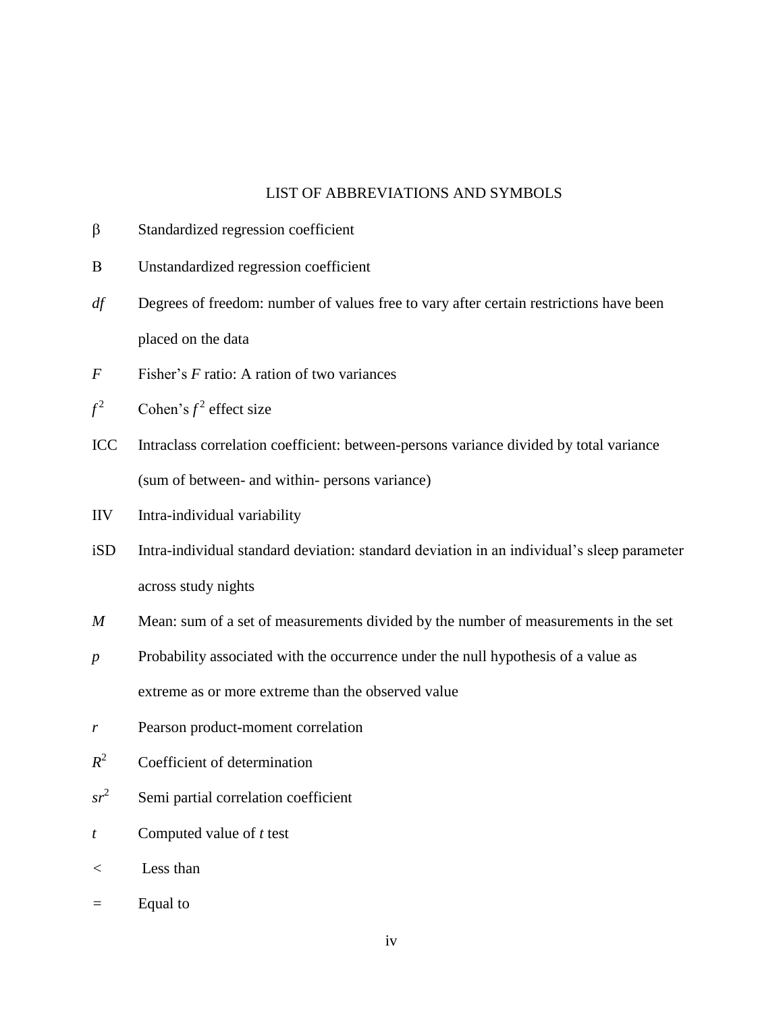### LIST OF ABBREVIATIONS AND SYMBOLS

- $\beta$  Standardized regression coefficient
- Unstandardized regression coefficient
- *df* Degrees of freedom: number of values free to vary after certain restrictions have been placed on the data
- *F* Fisher's *F* ratio: A ration of two variances

$$
f^2
$$
 Cohen's  $f^2$  effect size

- ICC Intraclass correlation coefficient: between-persons variance divided by total variance (sum of between- and within- persons variance)
- IIV Intra-individual variability
- iSD Intra-individual standard deviation: standard deviation in an individual's sleep parameter across study nights
- *M* Mean: sum of a set of measurements divided by the number of measurements in the set
- *p* Probability associated with the occurrence under the null hypothesis of a value as extreme as or more extreme than the observed value
- *r* Pearson product-moment correlation
- $R^2$ Coefficient of determination
- $sr^2$ Semi partial correlation coefficient
- *t* Computed value of *t* test
- *<* Less than
- *=* Equal to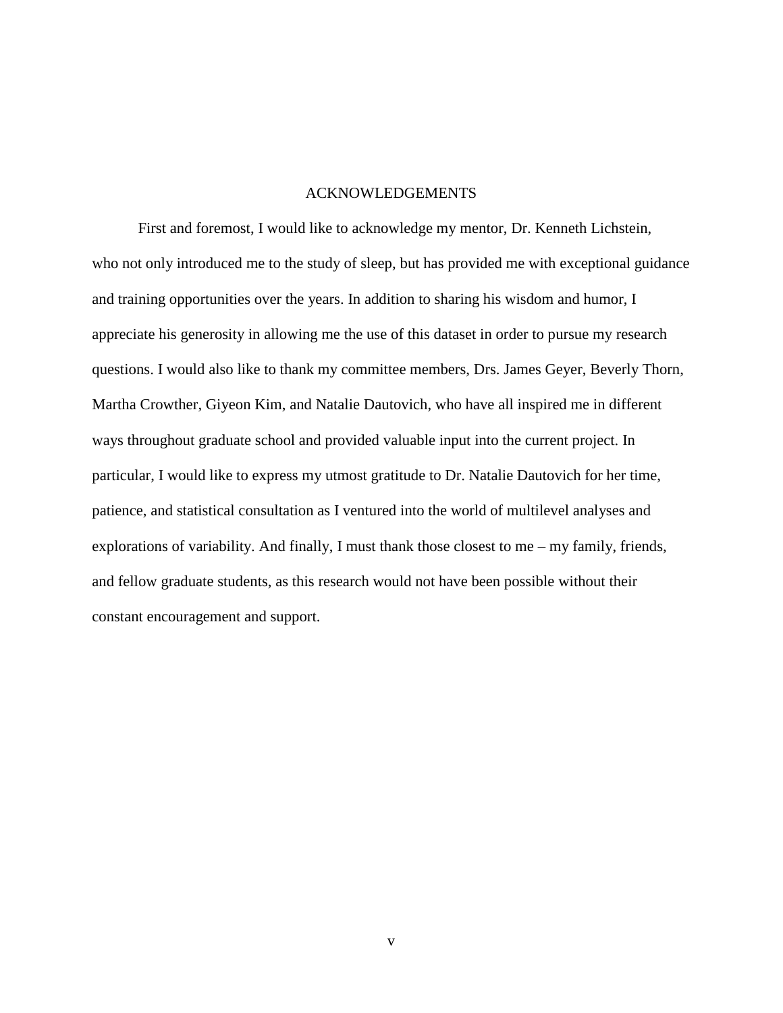#### ACKNOWLEDGEMENTS

First and foremost, I would like to acknowledge my mentor, Dr. Kenneth Lichstein, who not only introduced me to the study of sleep, but has provided me with exceptional guidance and training opportunities over the years. In addition to sharing his wisdom and humor, I appreciate his generosity in allowing me the use of this dataset in order to pursue my research questions. I would also like to thank my committee members, Drs. James Geyer, Beverly Thorn, Martha Crowther, Giyeon Kim, and Natalie Dautovich, who have all inspired me in different ways throughout graduate school and provided valuable input into the current project. In particular, I would like to express my utmost gratitude to Dr. Natalie Dautovich for her time, patience, and statistical consultation as I ventured into the world of multilevel analyses and explorations of variability. And finally, I must thank those closest to me – my family, friends, and fellow graduate students, as this research would not have been possible without their constant encouragement and support.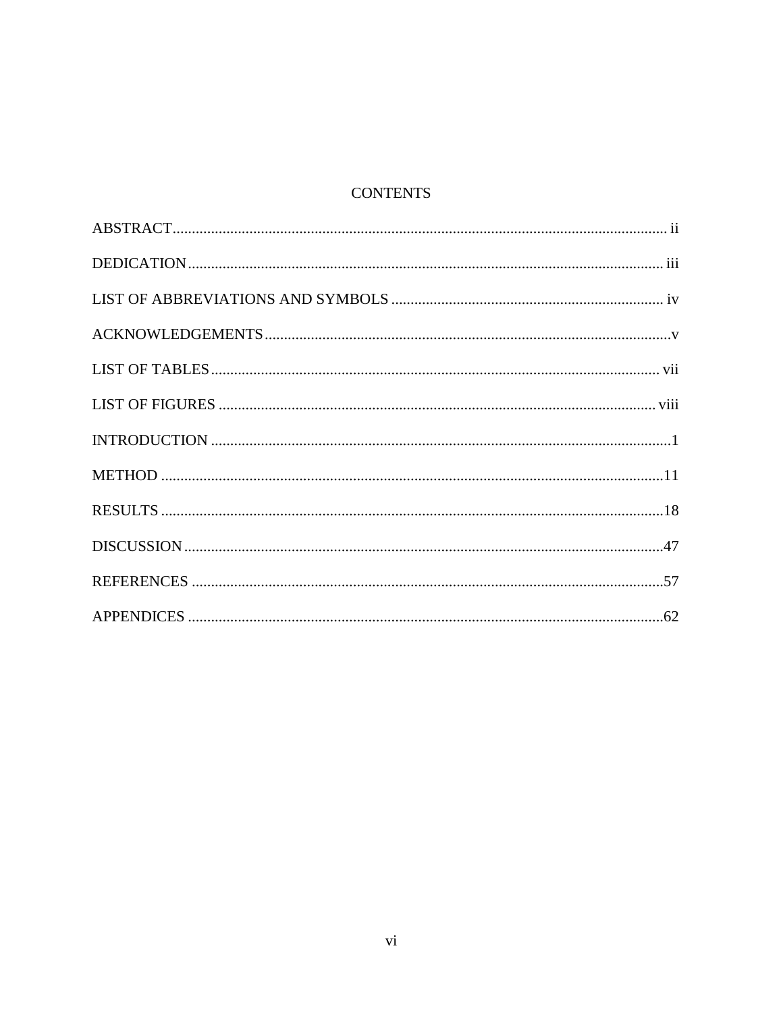# **CONTENTS**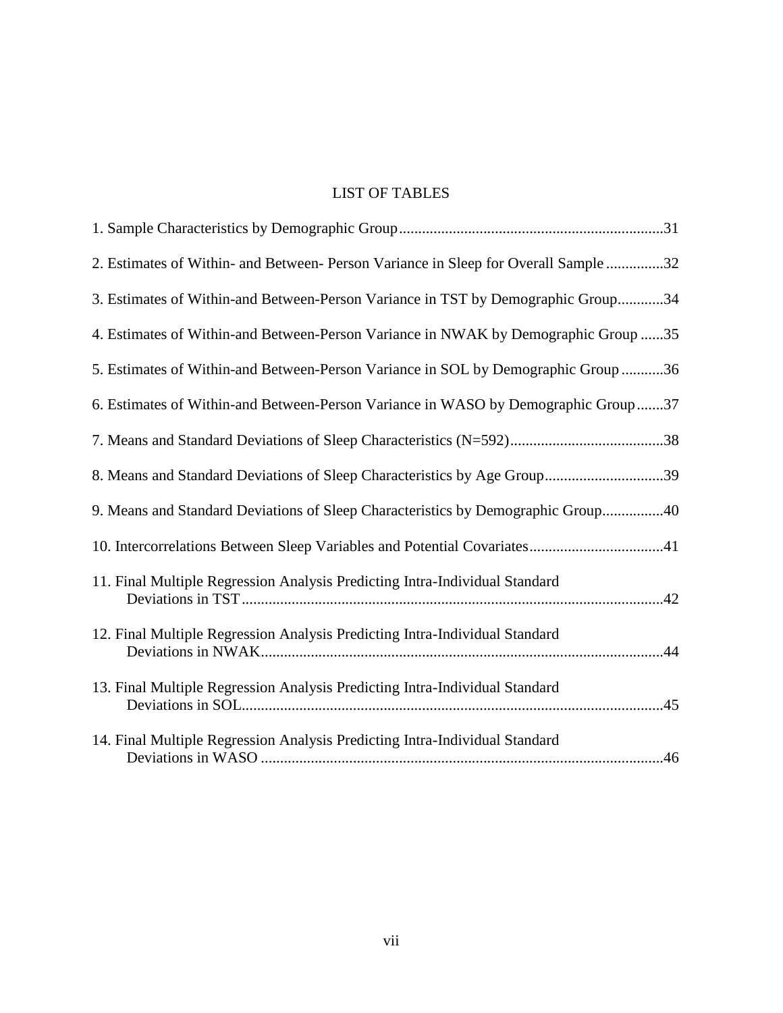# LIST OF TABLES

| 2. Estimates of Within- and Between- Person Variance in Sleep for Overall Sample 32 |
|-------------------------------------------------------------------------------------|
| 3. Estimates of Within-and Between-Person Variance in TST by Demographic Group34    |
| 4. Estimates of Within-and Between-Person Variance in NWAK by Demographic Group 35  |
| 5. Estimates of Within-and Between-Person Variance in SOL by Demographic Group 36   |
| 6. Estimates of Within-and Between-Person Variance in WASO by Demographic Group37   |
|                                                                                     |
| 8. Means and Standard Deviations of Sleep Characteristics by Age Group39            |
| 9. Means and Standard Deviations of Sleep Characteristics by Demographic Group40    |
| 10. Intercorrelations Between Sleep Variables and Potential Covariates41            |
| 11. Final Multiple Regression Analysis Predicting Intra-Individual Standard         |
| 12. Final Multiple Regression Analysis Predicting Intra-Individual Standard         |
| 13. Final Multiple Regression Analysis Predicting Intra-Individual Standard         |
| 14. Final Multiple Regression Analysis Predicting Intra-Individual Standard         |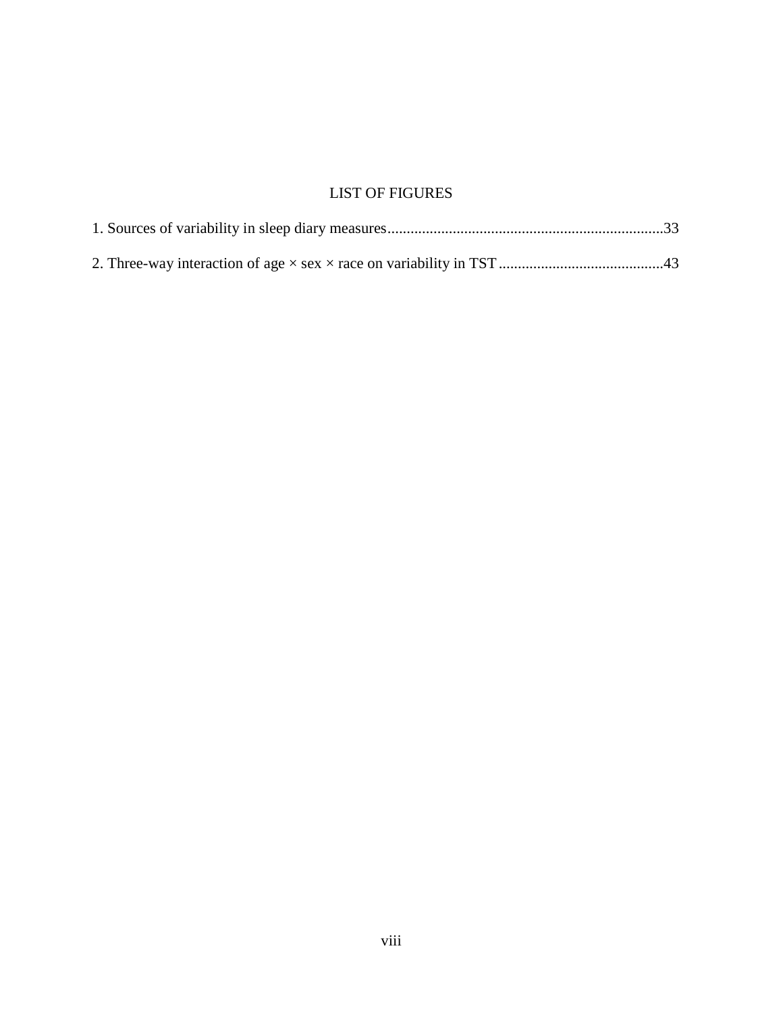# LIST OF FIGURES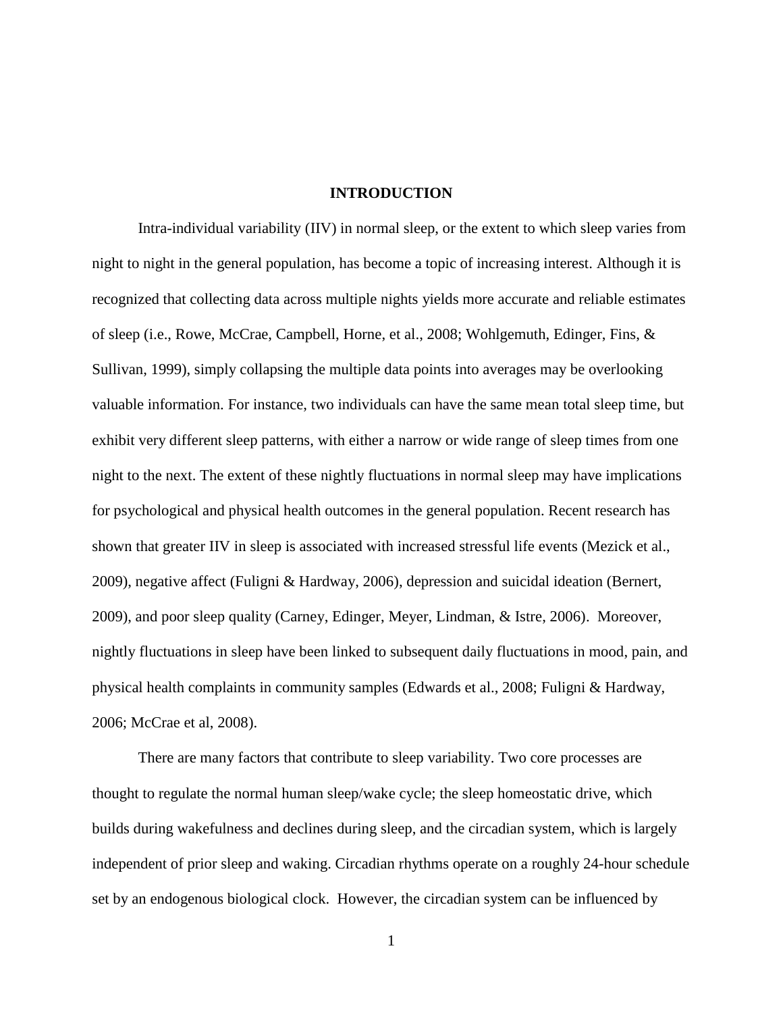#### **INTRODUCTION**

Intra-individual variability (IIV) in normal sleep, or the extent to which sleep varies from night to night in the general population, has become a topic of increasing interest. Although it is recognized that collecting data across multiple nights yields more accurate and reliable estimates of sleep (i.e., Rowe, McCrae, Campbell, Horne, et al., 2008; Wohlgemuth, Edinger, Fins, & Sullivan, 1999), simply collapsing the multiple data points into averages may be overlooking valuable information. For instance, two individuals can have the same mean total sleep time, but exhibit very different sleep patterns, with either a narrow or wide range of sleep times from one night to the next. The extent of these nightly fluctuations in normal sleep may have implications for psychological and physical health outcomes in the general population. Recent research has shown that greater IIV in sleep is associated with increased stressful life events (Mezick et al., 2009), negative affect (Fuligni & Hardway, 2006), depression and suicidal ideation (Bernert, 2009), and poor sleep quality (Carney, Edinger, Meyer, Lindman, & Istre, 2006). Moreover, nightly fluctuations in sleep have been linked to subsequent daily fluctuations in mood, pain, and physical health complaints in community samples (Edwards et al., 2008; Fuligni & Hardway, 2006; McCrae et al, 2008).

There are many factors that contribute to sleep variability. Two core processes are thought to regulate the normal human sleep/wake cycle; the sleep homeostatic drive, which builds during wakefulness and declines during sleep, and the circadian system, which is largely independent of prior sleep and waking. Circadian rhythms operate on a roughly 24-hour schedule set by an endogenous biological clock. However, the circadian system can be influenced by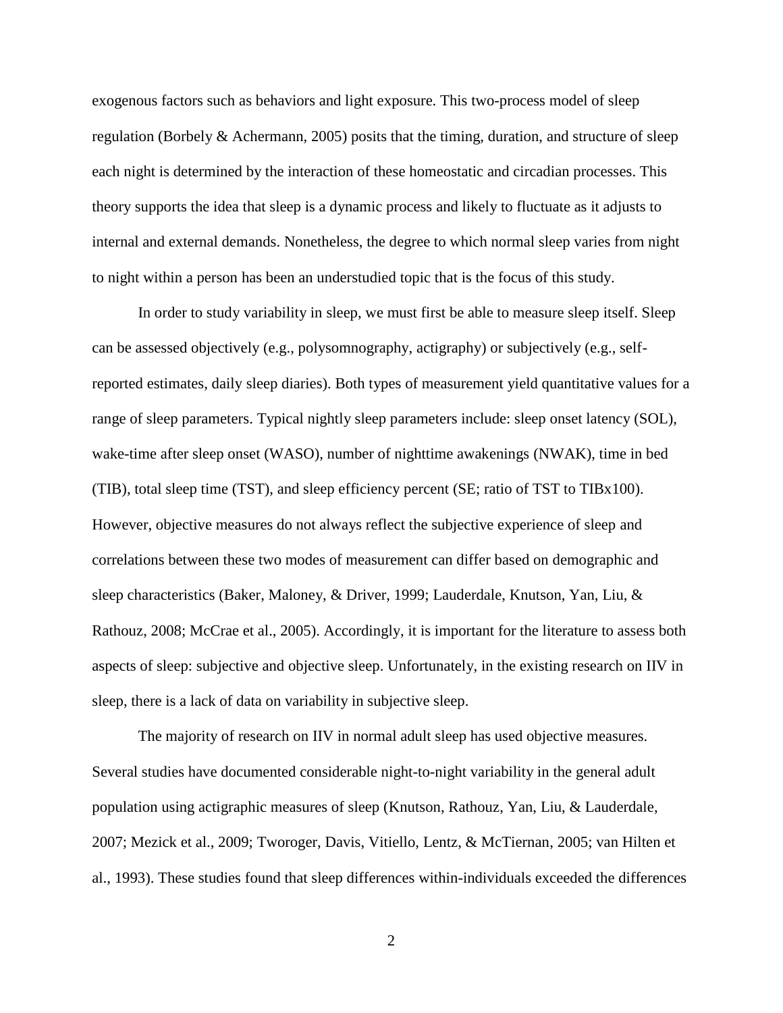exogenous factors such as behaviors and light exposure. This two-process model of sleep regulation (Borbely & Achermann, 2005) posits that the timing, duration, and structure of sleep each night is determined by the interaction of these homeostatic and circadian processes. This theory supports the idea that sleep is a dynamic process and likely to fluctuate as it adjusts to internal and external demands. Nonetheless, the degree to which normal sleep varies from night to night within a person has been an understudied topic that is the focus of this study.

In order to study variability in sleep, we must first be able to measure sleep itself. Sleep can be assessed objectively (e.g., polysomnography, actigraphy) or subjectively (e.g., selfreported estimates, daily sleep diaries). Both types of measurement yield quantitative values for a range of sleep parameters. Typical nightly sleep parameters include: sleep onset latency (SOL), wake-time after sleep onset (WASO), number of nighttime awakenings (NWAK), time in bed (TIB), total sleep time (TST), and sleep efficiency percent (SE; ratio of TST to TIBx100). However, objective measures do not always reflect the subjective experience of sleep and correlations between these two modes of measurement can differ based on demographic and sleep characteristics (Baker, Maloney, & Driver, 1999; Lauderdale, Knutson, Yan, Liu, & Rathouz, 2008; McCrae et al., 2005). Accordingly, it is important for the literature to assess both aspects of sleep: subjective and objective sleep. Unfortunately, in the existing research on IIV in sleep, there is a lack of data on variability in subjective sleep.

The majority of research on IIV in normal adult sleep has used objective measures. Several studies have documented considerable night-to-night variability in the general adult population using actigraphic measures of sleep (Knutson, Rathouz, Yan, Liu, & Lauderdale, 2007; Mezick et al., 2009; Tworoger, Davis, Vitiello, Lentz, & McTiernan, 2005; van Hilten et al., 1993). These studies found that sleep differences within-individuals exceeded the differences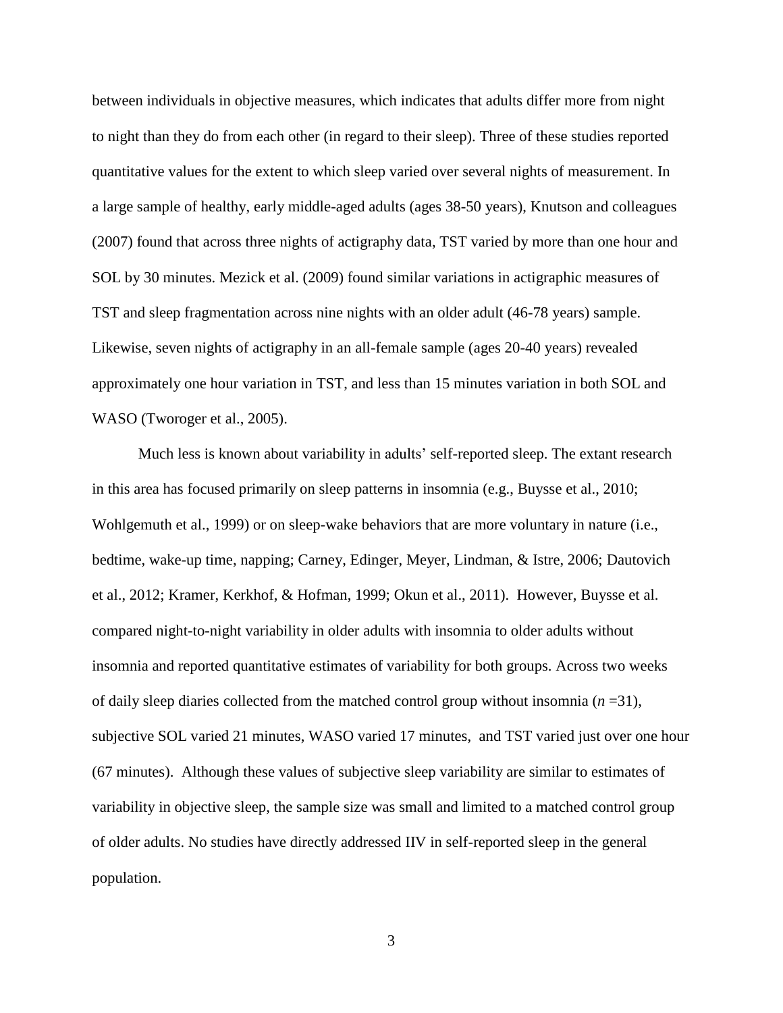between individuals in objective measures, which indicates that adults differ more from night to night than they do from each other (in regard to their sleep). Three of these studies reported quantitative values for the extent to which sleep varied over several nights of measurement. In a large sample of healthy, early middle-aged adults (ages 38-50 years), Knutson and colleagues (2007) found that across three nights of actigraphy data, TST varied by more than one hour and SOL by 30 minutes. Mezick et al. (2009) found similar variations in actigraphic measures of TST and sleep fragmentation across nine nights with an older adult (46-78 years) sample. Likewise, seven nights of actigraphy in an all-female sample (ages 20-40 years) revealed approximately one hour variation in TST, and less than 15 minutes variation in both SOL and WASO (Tworoger et al., 2005).

Much less is known about variability in adults' self-reported sleep. The extant research in this area has focused primarily on sleep patterns in insomnia (e.g., Buysse et al., 2010; Wohlgemuth et al., 1999) or on sleep-wake behaviors that are more voluntary in nature (i.e., bedtime, wake-up time, napping; Carney, Edinger, Meyer, Lindman, & Istre, 2006; Dautovich et al., 2012; Kramer, Kerkhof, & Hofman, 1999; Okun et al., 2011). However, Buysse et al. compared night-to-night variability in older adults with insomnia to older adults without insomnia and reported quantitative estimates of variability for both groups. Across two weeks of daily sleep diaries collected from the matched control group without insomnia  $(n=31)$ , subjective SOL varied 21 minutes, WASO varied 17 minutes, and TST varied just over one hour (67 minutes). Although these values of subjective sleep variability are similar to estimates of variability in objective sleep, the sample size was small and limited to a matched control group of older adults. No studies have directly addressed IIV in self-reported sleep in the general population.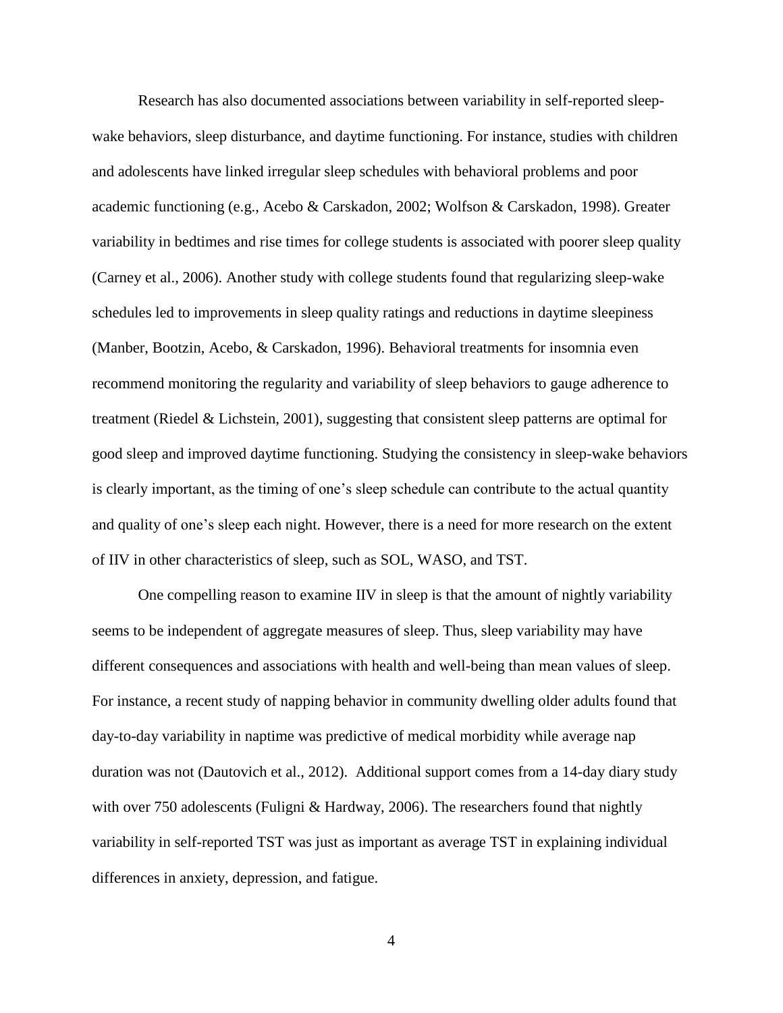Research has also documented associations between variability in self-reported sleepwake behaviors, sleep disturbance, and daytime functioning. For instance, studies with children and adolescents have linked irregular sleep schedules with behavioral problems and poor academic functioning (e.g., Acebo & Carskadon, 2002; Wolfson & Carskadon, 1998). Greater variability in bedtimes and rise times for college students is associated with poorer sleep quality (Carney et al., 2006). Another study with college students found that regularizing sleep-wake schedules led to improvements in sleep quality ratings and reductions in daytime sleepiness (Manber, Bootzin, Acebo, & Carskadon, 1996). Behavioral treatments for insomnia even recommend monitoring the regularity and variability of sleep behaviors to gauge adherence to treatment (Riedel & Lichstein, 2001), suggesting that consistent sleep patterns are optimal for good sleep and improved daytime functioning. Studying the consistency in sleep-wake behaviors is clearly important, as the timing of one's sleep schedule can contribute to the actual quantity and quality of one's sleep each night. However, there is a need for more research on the extent of IIV in other characteristics of sleep, such as SOL, WASO, and TST.

One compelling reason to examine IIV in sleep is that the amount of nightly variability seems to be independent of aggregate measures of sleep. Thus, sleep variability may have different consequences and associations with health and well-being than mean values of sleep. For instance, a recent study of napping behavior in community dwelling older adults found that day-to-day variability in naptime was predictive of medical morbidity while average nap duration was not (Dautovich et al., 2012). Additional support comes from a 14-day diary study with over 750 adolescents (Fuligni & Hardway, 2006). The researchers found that nightly variability in self-reported TST was just as important as average TST in explaining individual differences in anxiety, depression, and fatigue.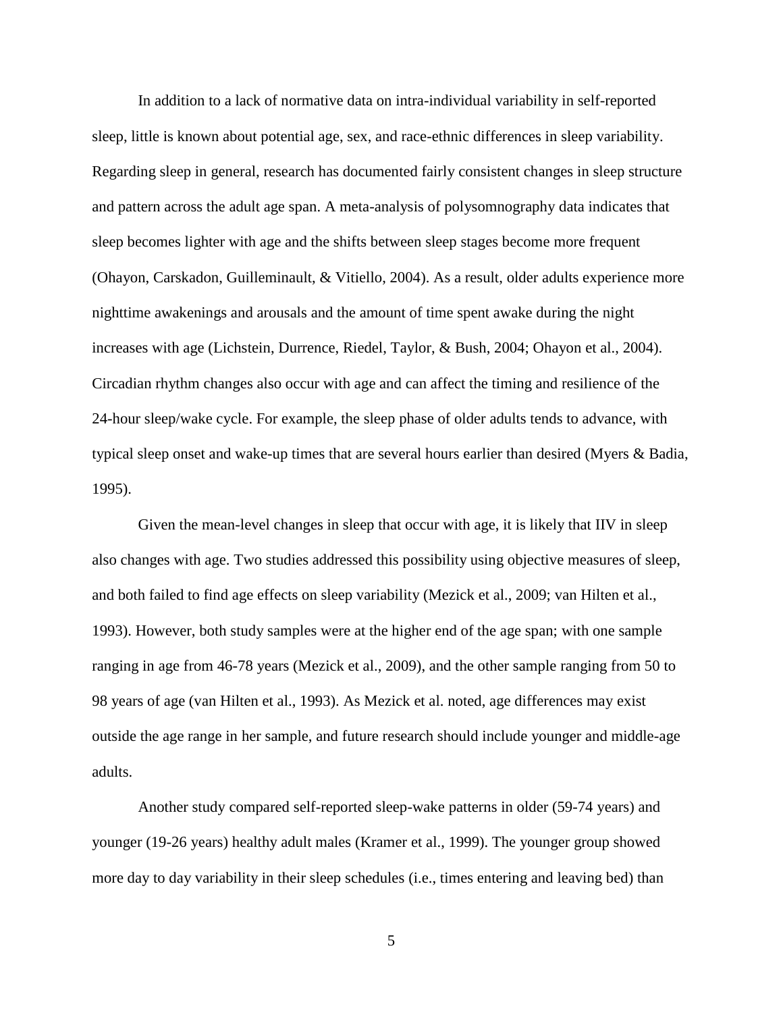In addition to a lack of normative data on intra-individual variability in self-reported sleep, little is known about potential age, sex, and race-ethnic differences in sleep variability. Regarding sleep in general, research has documented fairly consistent changes in sleep structure and pattern across the adult age span. A meta-analysis of polysomnography data indicates that sleep becomes lighter with age and the shifts between sleep stages become more frequent (Ohayon, Carskadon, Guilleminault, & Vitiello, 2004). As a result, older adults experience more nighttime awakenings and arousals and the amount of time spent awake during the night increases with age (Lichstein, Durrence, Riedel, Taylor, & Bush, 2004; Ohayon et al., 2004). Circadian rhythm changes also occur with age and can affect the timing and resilience of the 24-hour sleep/wake cycle. For example, the sleep phase of older adults tends to advance, with typical sleep onset and wake-up times that are several hours earlier than desired (Myers & Badia, 1995).

Given the mean-level changes in sleep that occur with age, it is likely that IIV in sleep also changes with age. Two studies addressed this possibility using objective measures of sleep, and both failed to find age effects on sleep variability (Mezick et al., 2009; van Hilten et al., 1993). However, both study samples were at the higher end of the age span; with one sample ranging in age from 46-78 years (Mezick et al., 2009), and the other sample ranging from 50 to 98 years of age (van Hilten et al., 1993). As Mezick et al. noted, age differences may exist outside the age range in her sample, and future research should include younger and middle-age adults.

Another study compared self-reported sleep-wake patterns in older (59-74 years) and younger (19-26 years) healthy adult males (Kramer et al., 1999). The younger group showed more day to day variability in their sleep schedules (i.e., times entering and leaving bed) than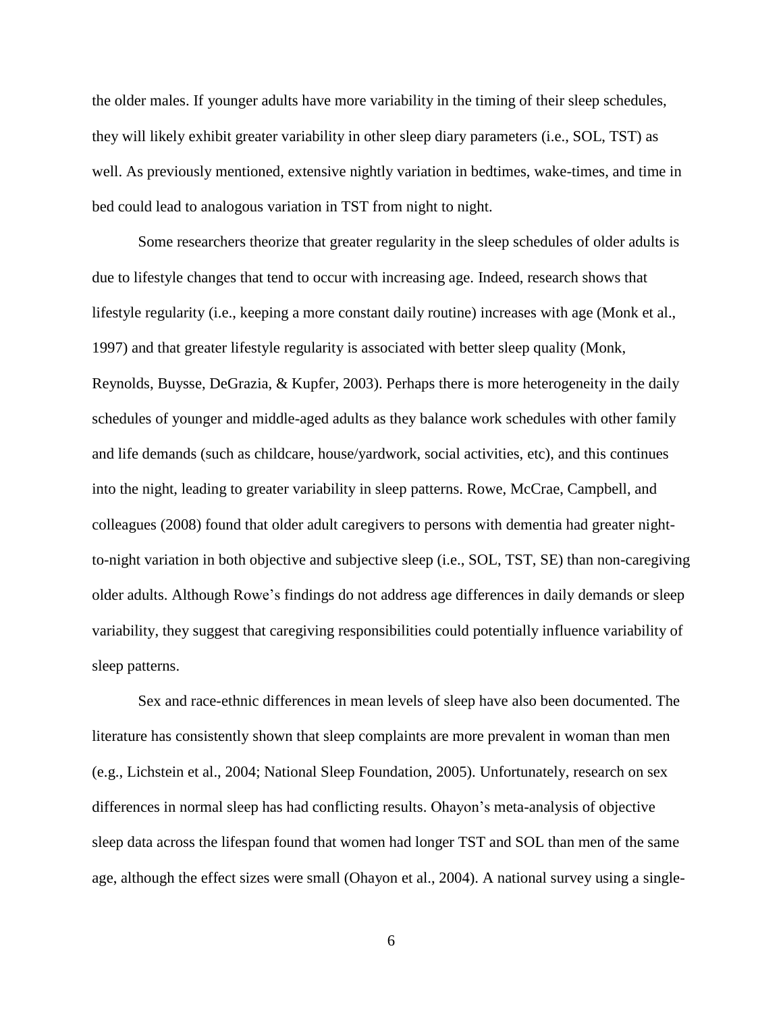the older males. If younger adults have more variability in the timing of their sleep schedules, they will likely exhibit greater variability in other sleep diary parameters (i.e., SOL, TST) as well. As previously mentioned, extensive nightly variation in bedtimes, wake-times, and time in bed could lead to analogous variation in TST from night to night.

Some researchers theorize that greater regularity in the sleep schedules of older adults is due to lifestyle changes that tend to occur with increasing age. Indeed, research shows that lifestyle regularity (i.e., keeping a more constant daily routine) increases with age (Monk et al., 1997) and that greater lifestyle regularity is associated with better sleep quality (Monk, Reynolds, Buysse, DeGrazia, & Kupfer, 2003). Perhaps there is more heterogeneity in the daily schedules of younger and middle-aged adults as they balance work schedules with other family and life demands (such as childcare, house/yardwork, social activities, etc), and this continues into the night, leading to greater variability in sleep patterns. Rowe, McCrae, Campbell, and colleagues (2008) found that older adult caregivers to persons with dementia had greater nightto-night variation in both objective and subjective sleep (i.e., SOL, TST, SE) than non-caregiving older adults. Although Rowe's findings do not address age differences in daily demands or sleep variability, they suggest that caregiving responsibilities could potentially influence variability of sleep patterns.

Sex and race-ethnic differences in mean levels of sleep have also been documented. The literature has consistently shown that sleep complaints are more prevalent in woman than men (e.g., Lichstein et al., 2004; National Sleep Foundation, 2005). Unfortunately, research on sex differences in normal sleep has had conflicting results. Ohayon's meta-analysis of objective sleep data across the lifespan found that women had longer TST and SOL than men of the same age, although the effect sizes were small (Ohayon et al., 2004). A national survey using a single-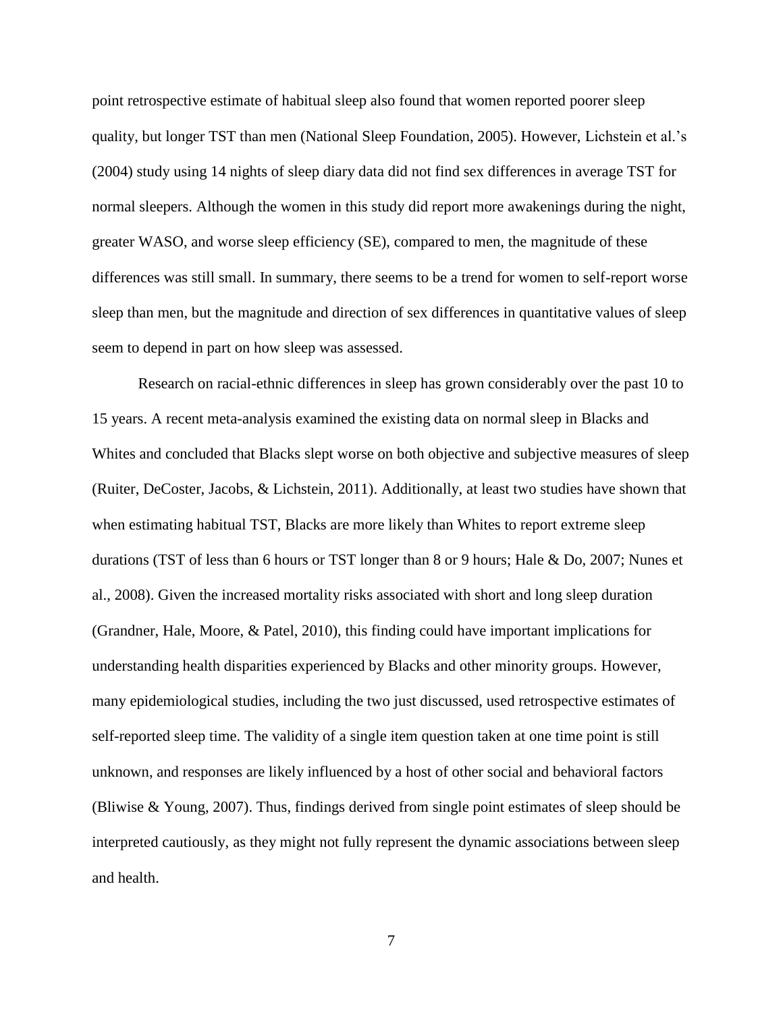point retrospective estimate of habitual sleep also found that women reported poorer sleep quality, but longer TST than men (National Sleep Foundation, 2005). However, Lichstein et al.'s (2004) study using 14 nights of sleep diary data did not find sex differences in average TST for normal sleepers. Although the women in this study did report more awakenings during the night, greater WASO, and worse sleep efficiency (SE), compared to men, the magnitude of these differences was still small. In summary, there seems to be a trend for women to self-report worse sleep than men, but the magnitude and direction of sex differences in quantitative values of sleep seem to depend in part on how sleep was assessed.

Research on racial-ethnic differences in sleep has grown considerably over the past 10 to 15 years. A recent meta-analysis examined the existing data on normal sleep in Blacks and Whites and concluded that Blacks slept worse on both objective and subjective measures of sleep (Ruiter, DeCoster, Jacobs, & Lichstein, 2011). Additionally, at least two studies have shown that when estimating habitual TST, Blacks are more likely than Whites to report extreme sleep durations (TST of less than 6 hours or TST longer than 8 or 9 hours; Hale & Do, 2007; Nunes et al., 2008). Given the increased mortality risks associated with short and long sleep duration (Grandner, Hale, Moore, & Patel, 2010), this finding could have important implications for understanding health disparities experienced by Blacks and other minority groups. However, many epidemiological studies, including the two just discussed, used retrospective estimates of self-reported sleep time. The validity of a single item question taken at one time point is still unknown, and responses are likely influenced by a host of other social and behavioral factors (Bliwise & Young, 2007). Thus, findings derived from single point estimates of sleep should be interpreted cautiously, as they might not fully represent the dynamic associations between sleep and health.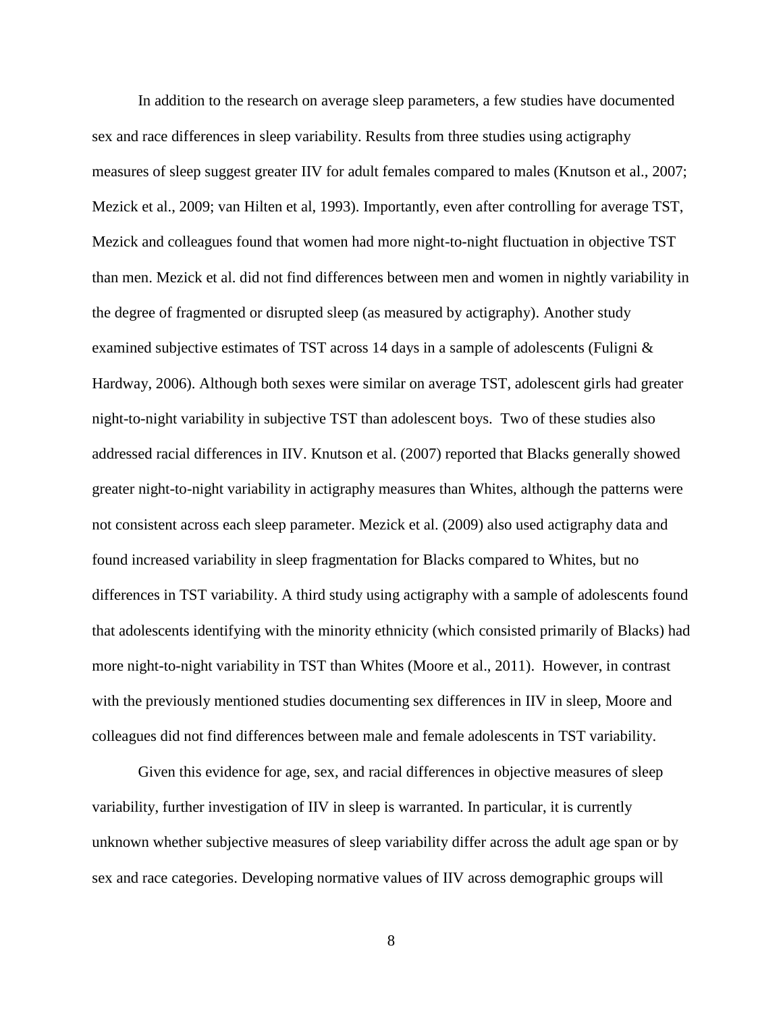In addition to the research on average sleep parameters, a few studies have documented sex and race differences in sleep variability. Results from three studies using actigraphy measures of sleep suggest greater IIV for adult females compared to males (Knutson et al., 2007; Mezick et al., 2009; van Hilten et al, 1993). Importantly, even after controlling for average TST, Mezick and colleagues found that women had more night-to-night fluctuation in objective TST than men. Mezick et al. did not find differences between men and women in nightly variability in the degree of fragmented or disrupted sleep (as measured by actigraphy). Another study examined subjective estimates of TST across 14 days in a sample of adolescents (Fuligni & Hardway, 2006). Although both sexes were similar on average TST, adolescent girls had greater night-to-night variability in subjective TST than adolescent boys. Two of these studies also addressed racial differences in IIV. Knutson et al. (2007) reported that Blacks generally showed greater night-to-night variability in actigraphy measures than Whites, although the patterns were not consistent across each sleep parameter. Mezick et al. (2009) also used actigraphy data and found increased variability in sleep fragmentation for Blacks compared to Whites, but no differences in TST variability. A third study using actigraphy with a sample of adolescents found that adolescents identifying with the minority ethnicity (which consisted primarily of Blacks) had more night-to-night variability in TST than Whites (Moore et al., 2011). However, in contrast with the previously mentioned studies documenting sex differences in IIV in sleep, Moore and colleagues did not find differences between male and female adolescents in TST variability.

Given this evidence for age, sex, and racial differences in objective measures of sleep variability, further investigation of IIV in sleep is warranted. In particular, it is currently unknown whether subjective measures of sleep variability differ across the adult age span or by sex and race categories. Developing normative values of IIV across demographic groups will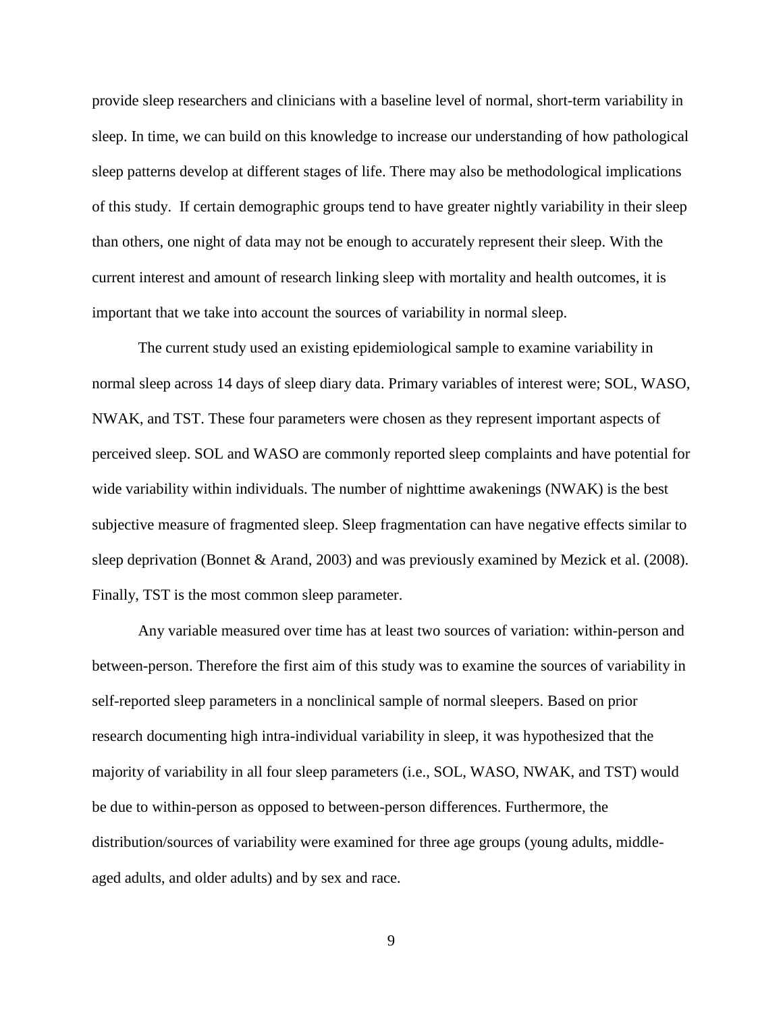provide sleep researchers and clinicians with a baseline level of normal, short-term variability in sleep. In time, we can build on this knowledge to increase our understanding of how pathological sleep patterns develop at different stages of life. There may also be methodological implications of this study. If certain demographic groups tend to have greater nightly variability in their sleep than others, one night of data may not be enough to accurately represent their sleep. With the current interest and amount of research linking sleep with mortality and health outcomes, it is important that we take into account the sources of variability in normal sleep.

The current study used an existing epidemiological sample to examine variability in normal sleep across 14 days of sleep diary data. Primary variables of interest were; SOL, WASO, NWAK, and TST. These four parameters were chosen as they represent important aspects of perceived sleep. SOL and WASO are commonly reported sleep complaints and have potential for wide variability within individuals. The number of nighttime awakenings (NWAK) is the best subjective measure of fragmented sleep. Sleep fragmentation can have negative effects similar to sleep deprivation (Bonnet & Arand, 2003) and was previously examined by Mezick et al. (2008). Finally, TST is the most common sleep parameter.

Any variable measured over time has at least two sources of variation: within-person and between-person. Therefore the first aim of this study was to examine the sources of variability in self-reported sleep parameters in a nonclinical sample of normal sleepers. Based on prior research documenting high intra-individual variability in sleep, it was hypothesized that the majority of variability in all four sleep parameters (i.e., SOL, WASO, NWAK, and TST) would be due to within-person as opposed to between-person differences. Furthermore, the distribution/sources of variability were examined for three age groups (young adults, middleaged adults, and older adults) and by sex and race.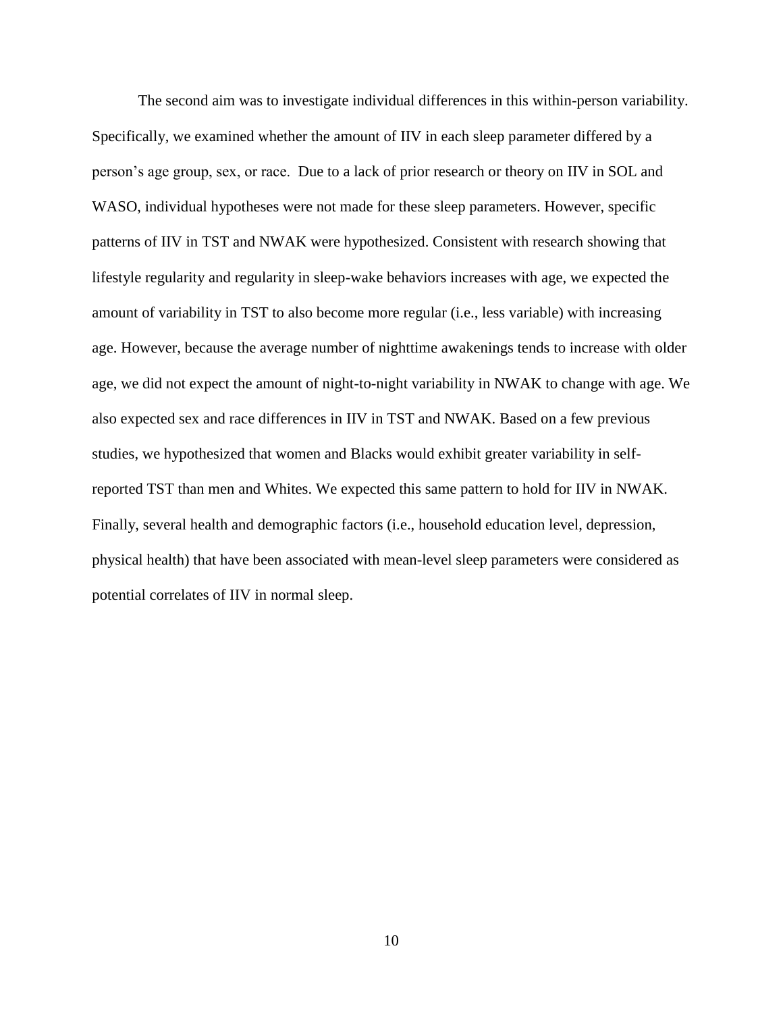The second aim was to investigate individual differences in this within-person variability. Specifically, we examined whether the amount of IIV in each sleep parameter differed by a person's age group, sex, or race. Due to a lack of prior research or theory on IIV in SOL and WASO, individual hypotheses were not made for these sleep parameters. However, specific patterns of IIV in TST and NWAK were hypothesized. Consistent with research showing that lifestyle regularity and regularity in sleep-wake behaviors increases with age, we expected the amount of variability in TST to also become more regular (i.e., less variable) with increasing age. However, because the average number of nighttime awakenings tends to increase with older age, we did not expect the amount of night-to-night variability in NWAK to change with age. We also expected sex and race differences in IIV in TST and NWAK. Based on a few previous studies, we hypothesized that women and Blacks would exhibit greater variability in selfreported TST than men and Whites. We expected this same pattern to hold for IIV in NWAK. Finally, several health and demographic factors (i.e., household education level, depression, physical health) that have been associated with mean-level sleep parameters were considered as potential correlates of IIV in normal sleep.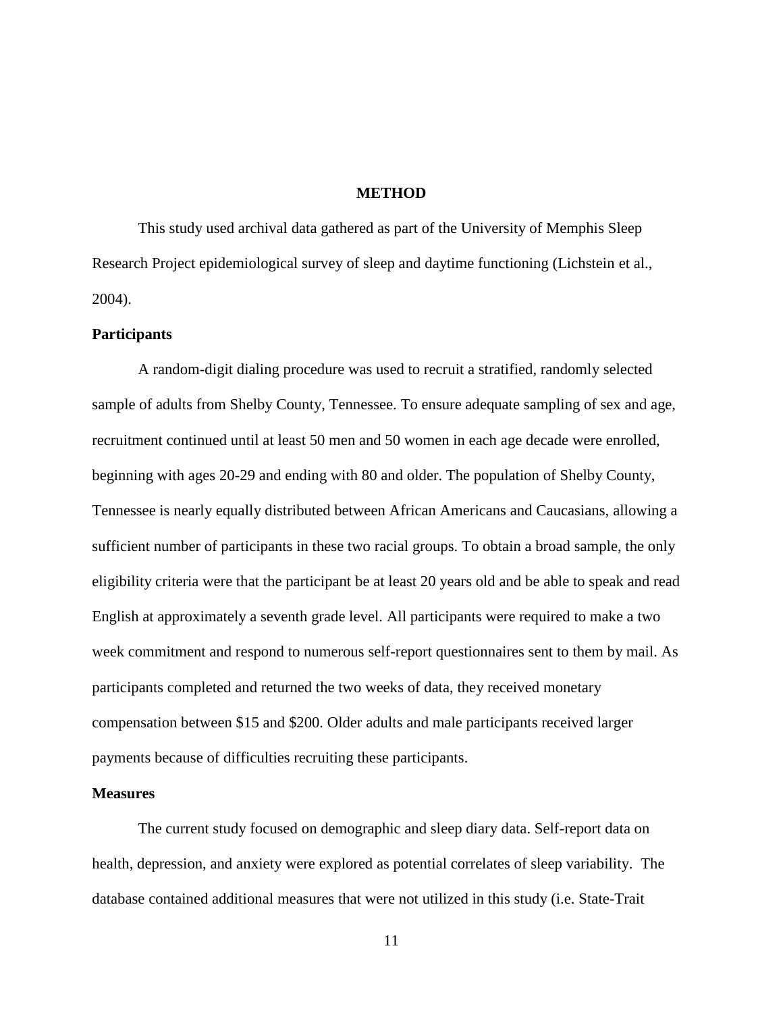#### **METHOD**

This study used archival data gathered as part of the University of Memphis Sleep Research Project epidemiological survey of sleep and daytime functioning (Lichstein et al., 2004).

#### **Participants**

A random-digit dialing procedure was used to recruit a stratified, randomly selected sample of adults from Shelby County, Tennessee. To ensure adequate sampling of sex and age, recruitment continued until at least 50 men and 50 women in each age decade were enrolled, beginning with ages 20-29 and ending with 80 and older. The population of Shelby County, Tennessee is nearly equally distributed between African Americans and Caucasians, allowing a sufficient number of participants in these two racial groups. To obtain a broad sample, the only eligibility criteria were that the participant be at least 20 years old and be able to speak and read English at approximately a seventh grade level. All participants were required to make a two week commitment and respond to numerous self-report questionnaires sent to them by mail. As participants completed and returned the two weeks of data, they received monetary compensation between \$15 and \$200. Older adults and male participants received larger payments because of difficulties recruiting these participants.

#### **Measures**

The current study focused on demographic and sleep diary data. Self-report data on health, depression, and anxiety were explored as potential correlates of sleep variability. The database contained additional measures that were not utilized in this study (i.e. State-Trait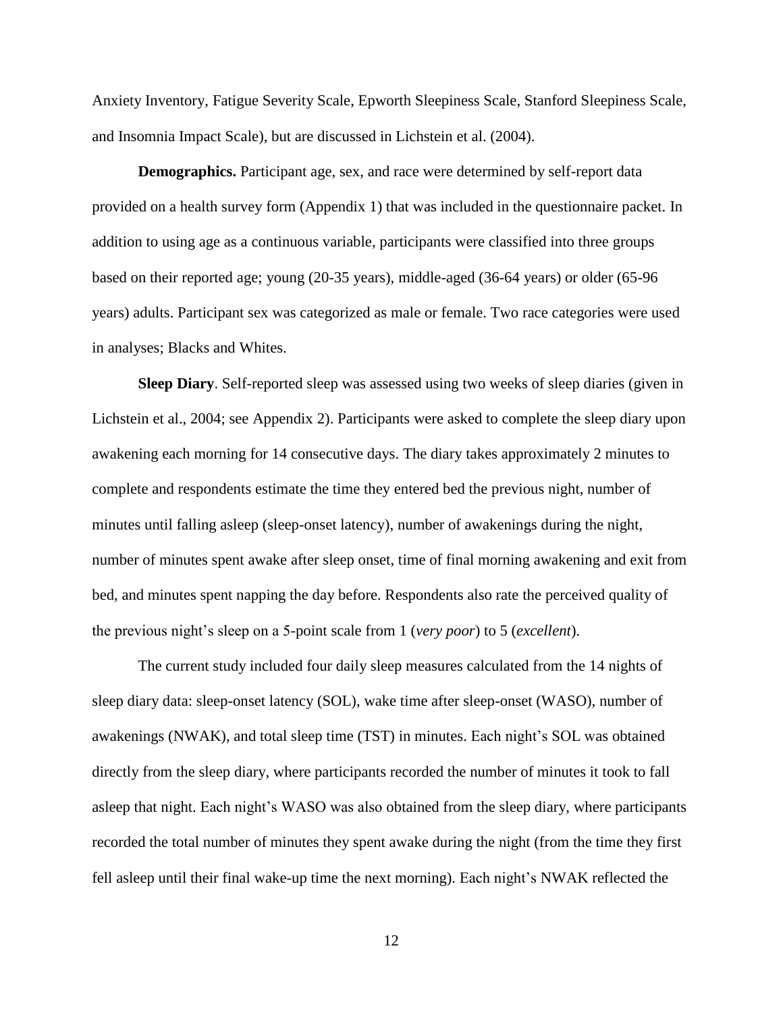Anxiety Inventory, Fatigue Severity Scale, Epworth Sleepiness Scale, Stanford Sleepiness Scale, and Insomnia Impact Scale), but are discussed in Lichstein et al. (2004).

**Demographics.** Participant age, sex, and race were determined by self-report data provided on a health survey form (Appendix 1) that was included in the questionnaire packet. In addition to using age as a continuous variable, participants were classified into three groups based on their reported age; young (20-35 years), middle-aged (36-64 years) or older (65-96 years) adults. Participant sex was categorized as male or female. Two race categories were used in analyses; Blacks and Whites.

**Sleep Diary**. Self-reported sleep was assessed using two weeks of sleep diaries (given in Lichstein et al., 2004; see Appendix 2). Participants were asked to complete the sleep diary upon awakening each morning for 14 consecutive days. The diary takes approximately 2 minutes to complete and respondents estimate the time they entered bed the previous night, number of minutes until falling asleep (sleep-onset latency), number of awakenings during the night, number of minutes spent awake after sleep onset, time of final morning awakening and exit from bed, and minutes spent napping the day before. Respondents also rate the perceived quality of the previous night's sleep on a 5-point scale from 1 (*very poor*) to 5 (*excellent*).

The current study included four daily sleep measures calculated from the 14 nights of sleep diary data: sleep-onset latency (SOL), wake time after sleep-onset (WASO), number of awakenings (NWAK), and total sleep time (TST) in minutes. Each night's SOL was obtained directly from the sleep diary, where participants recorded the number of minutes it took to fall asleep that night. Each night's WASO was also obtained from the sleep diary, where participants recorded the total number of minutes they spent awake during the night (from the time they first fell asleep until their final wake-up time the next morning). Each night's NWAK reflected the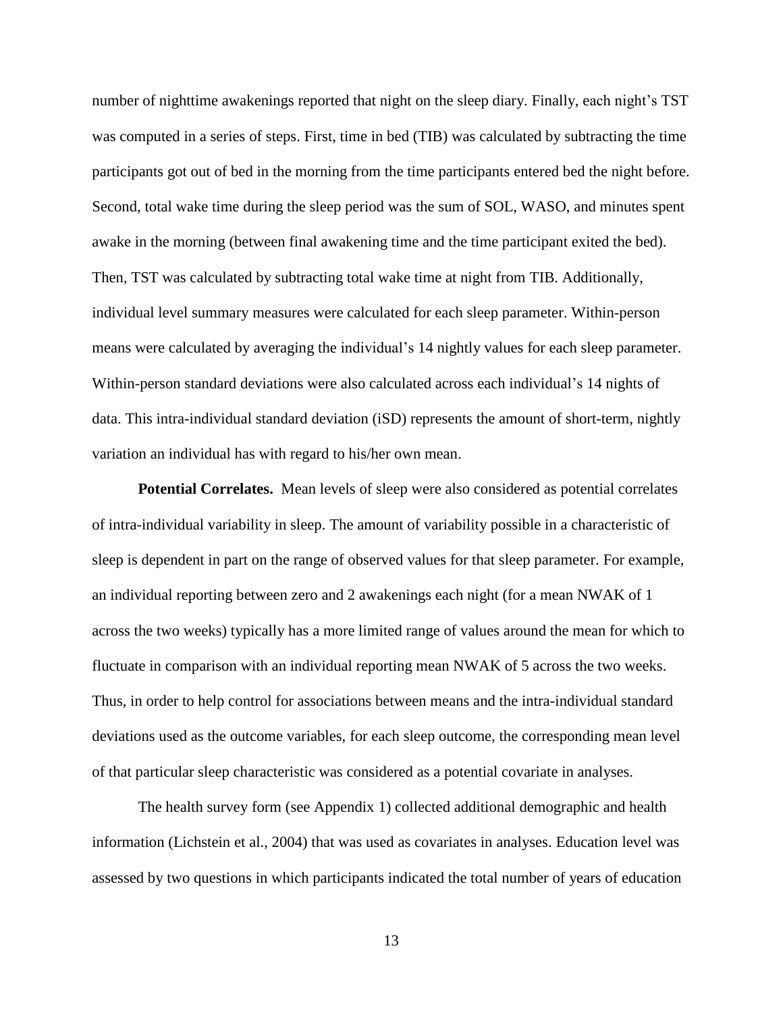number of nighttime awakenings reported that night on the sleep diary. Finally, each night's TST was computed in a series of steps. First, time in bed (TIB) was calculated by subtracting the time participants got out of bed in the morning from the time participants entered bed the night before. Second, total wake time during the sleep period was the sum of SOL, WASO, and minutes spent awake in the morning (between final awakening time and the time participant exited the bed). Then, TST was calculated by subtracting total wake time at night from TIB. Additionally, individual level summary measures were calculated for each sleep parameter. Within-person means were calculated by averaging the individual's 14 nightly values for each sleep parameter. Within-person standard deviations were also calculated across each individual's 14 nights of data. This intra-individual standard deviation (iSD) represents the amount of short-term, nightly variation an individual has with regard to his/her own mean.

**Potential Correlates.** Mean levels of sleep were also considered as potential correlates of intra-individual variability in sleep. The amount of variability possible in a characteristic of sleep is dependent in part on the range of observed values for that sleep parameter. For example, an individual reporting between zero and 2 awakenings each night (for a mean NWAK of 1 across the two weeks) typically has a more limited range of values around the mean for which to fluctuate in comparison with an individual reporting mean NWAK of 5 across the two weeks. Thus, in order to help control for associations between means and the intra-individual standard deviations used as the outcome variables, for each sleep outcome, the corresponding mean level of that particular sleep characteristic was considered as a potential covariate in analyses.

The health survey form (see Appendix 1) collected additional demographic and health information (Lichstein et al., 2004) that was used as covariates in analyses. Education level was assessed by two questions in which participants indicated the total number of years of education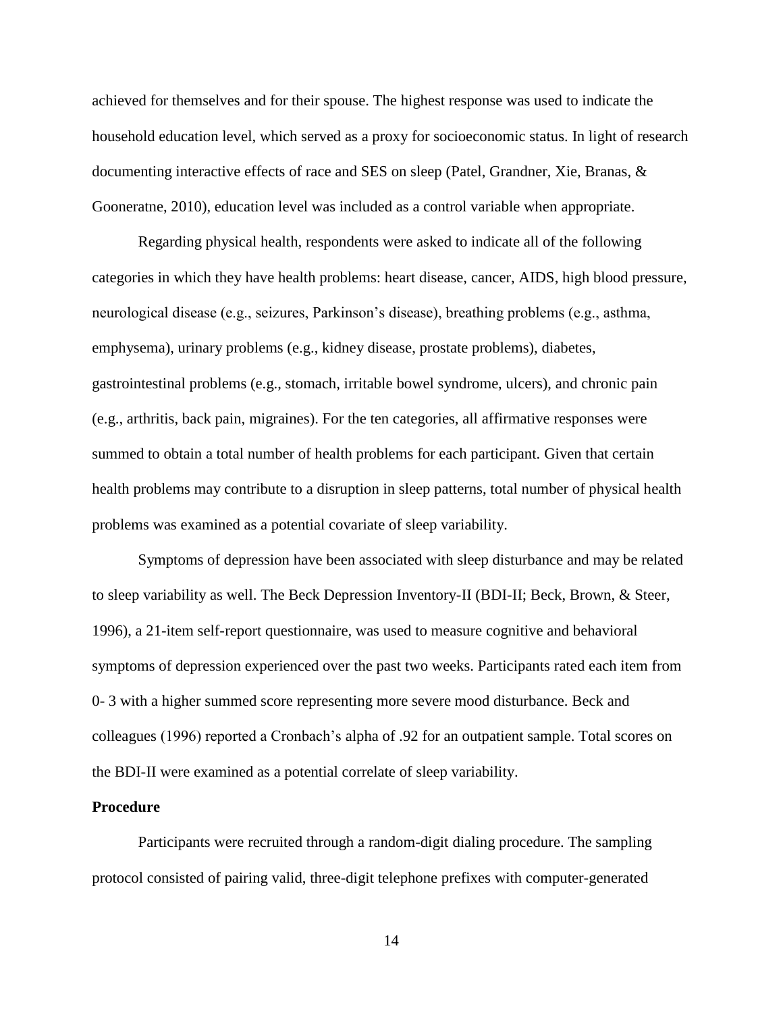achieved for themselves and for their spouse. The highest response was used to indicate the household education level, which served as a proxy for socioeconomic status. In light of research documenting interactive effects of race and SES on sleep (Patel, Grandner, Xie, Branas, & Gooneratne, 2010), education level was included as a control variable when appropriate.

Regarding physical health, respondents were asked to indicate all of the following categories in which they have health problems: heart disease, cancer, AIDS, high blood pressure, neurological disease (e.g., seizures, Parkinson's disease), breathing problems (e.g., asthma, emphysema), urinary problems (e.g., kidney disease, prostate problems), diabetes, gastrointestinal problems (e.g., stomach, irritable bowel syndrome, ulcers), and chronic pain (e.g., arthritis, back pain, migraines). For the ten categories, all affirmative responses were summed to obtain a total number of health problems for each participant. Given that certain health problems may contribute to a disruption in sleep patterns, total number of physical health problems was examined as a potential covariate of sleep variability.

Symptoms of depression have been associated with sleep disturbance and may be related to sleep variability as well. The Beck Depression Inventory-II (BDI-II; Beck, Brown, & Steer, 1996), a 21-item self-report questionnaire, was used to measure cognitive and behavioral symptoms of depression experienced over the past two weeks. Participants rated each item from 0- 3 with a higher summed score representing more severe mood disturbance. Beck and colleagues (1996) reported a Cronbach's alpha of .92 for an outpatient sample. Total scores on the BDI-II were examined as a potential correlate of sleep variability.

#### **Procedure**

Participants were recruited through a random-digit dialing procedure. The sampling protocol consisted of pairing valid, three-digit telephone prefixes with computer-generated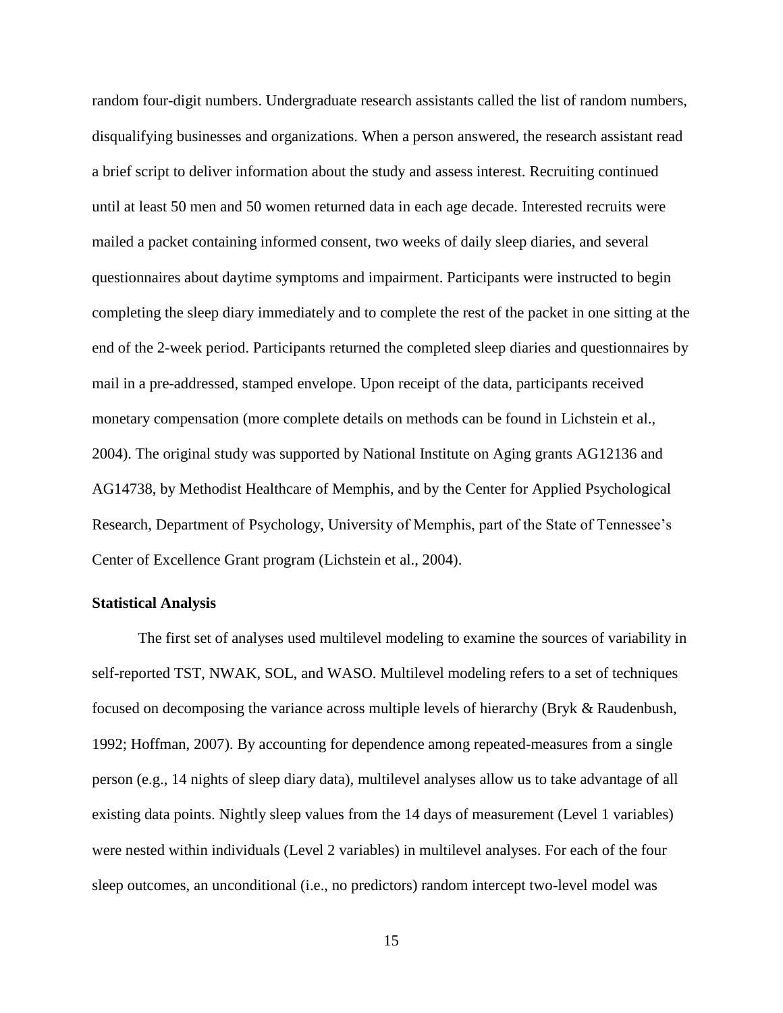random four-digit numbers. Undergraduate research assistants called the list of random numbers, disqualifying businesses and organizations. When a person answered, the research assistant read a brief script to deliver information about the study and assess interest. Recruiting continued until at least 50 men and 50 women returned data in each age decade. Interested recruits were mailed a packet containing informed consent, two weeks of daily sleep diaries, and several questionnaires about daytime symptoms and impairment. Participants were instructed to begin completing the sleep diary immediately and to complete the rest of the packet in one sitting at the end of the 2-week period. Participants returned the completed sleep diaries and questionnaires by mail in a pre-addressed, stamped envelope. Upon receipt of the data, participants received monetary compensation (more complete details on methods can be found in Lichstein et al., 2004). The original study was supported by National Institute on Aging grants AG12136 and AG14738, by Methodist Healthcare of Memphis, and by the Center for Applied Psychological Research, Department of Psychology, University of Memphis, part of the State of Tennessee's Center of Excellence Grant program (Lichstein et al., 2004).

#### **Statistical Analysis**

The first set of analyses used multilevel modeling to examine the sources of variability in self-reported TST, NWAK, SOL, and WASO. Multilevel modeling refers to a set of techniques focused on decomposing the variance across multiple levels of hierarchy (Bryk & Raudenbush, 1992; Hoffman, 2007). By accounting for dependence among repeated-measures from a single person (e.g., 14 nights of sleep diary data), multilevel analyses allow us to take advantage of all existing data points. Nightly sleep values from the 14 days of measurement (Level 1 variables) were nested within individuals (Level 2 variables) in multilevel analyses. For each of the four sleep outcomes, an unconditional (i.e., no predictors) random intercept two-level model was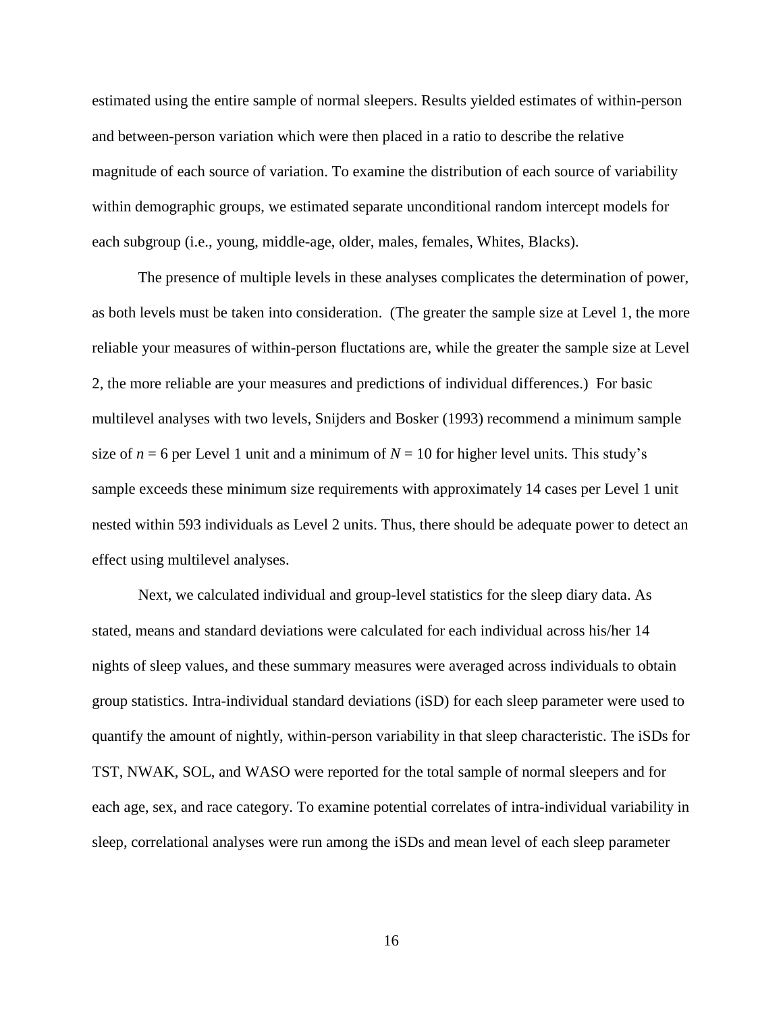estimated using the entire sample of normal sleepers. Results yielded estimates of within-person and between-person variation which were then placed in a ratio to describe the relative magnitude of each source of variation. To examine the distribution of each source of variability within demographic groups, we estimated separate unconditional random intercept models for each subgroup (i.e., young, middle-age, older, males, females, Whites, Blacks).

The presence of multiple levels in these analyses complicates the determination of power, as both levels must be taken into consideration. (The greater the sample size at Level 1, the more reliable your measures of within-person fluctations are, while the greater the sample size at Level 2, the more reliable are your measures and predictions of individual differences.) For basic multilevel analyses with two levels, Snijders and Bosker (1993) recommend a minimum sample size of  $n = 6$  per Level 1 unit and a minimum of  $N = 10$  for higher level units. This study's sample exceeds these minimum size requirements with approximately 14 cases per Level 1 unit nested within 593 individuals as Level 2 units. Thus, there should be adequate power to detect an effect using multilevel analyses.

Next, we calculated individual and group-level statistics for the sleep diary data. As stated, means and standard deviations were calculated for each individual across his/her 14 nights of sleep values, and these summary measures were averaged across individuals to obtain group statistics. Intra-individual standard deviations (iSD) for each sleep parameter were used to quantify the amount of nightly, within-person variability in that sleep characteristic. The iSDs for TST, NWAK, SOL, and WASO were reported for the total sample of normal sleepers and for each age, sex, and race category. To examine potential correlates of intra-individual variability in sleep, correlational analyses were run among the iSDs and mean level of each sleep parameter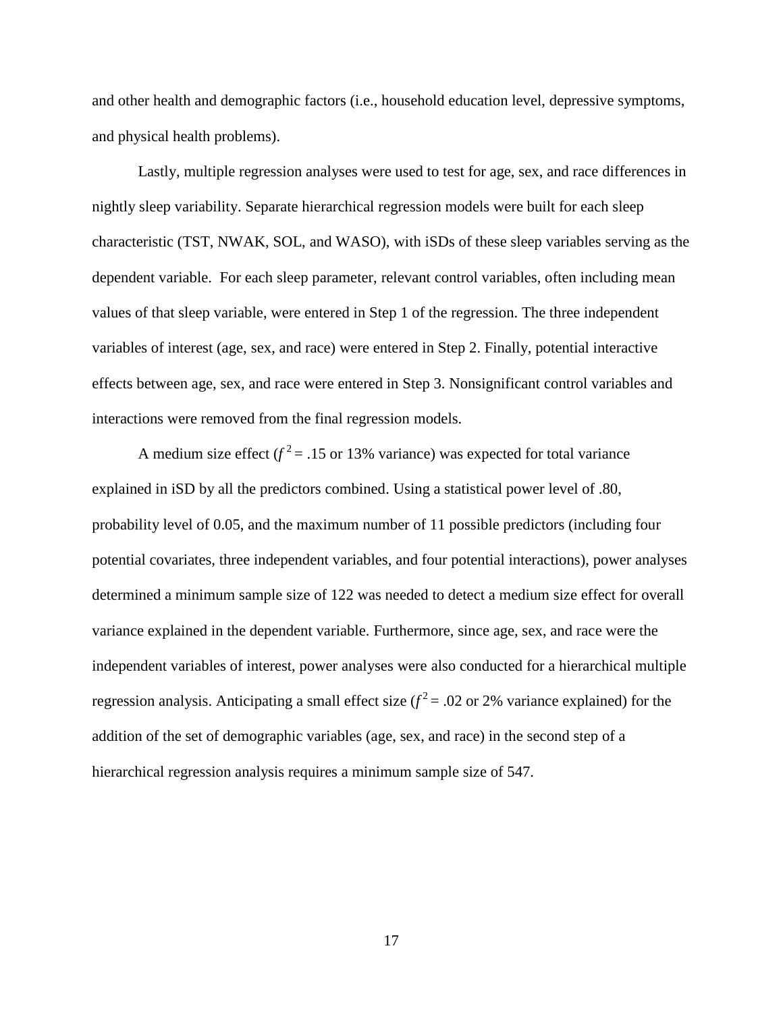and other health and demographic factors (i.e., household education level, depressive symptoms, and physical health problems).

Lastly, multiple regression analyses were used to test for age, sex, and race differences in nightly sleep variability. Separate hierarchical regression models were built for each sleep characteristic (TST, NWAK, SOL, and WASO), with iSDs of these sleep variables serving as the dependent variable. For each sleep parameter, relevant control variables, often including mean values of that sleep variable, were entered in Step 1 of the regression. The three independent variables of interest (age, sex, and race) were entered in Step 2. Finally, potential interactive effects between age, sex, and race were entered in Step 3. Nonsignificant control variables and interactions were removed from the final regression models.

A medium size effect  $(f^2 = .15 \text{ or } 13\% \text{ variance})$  was expected for total variance explained in iSD by all the predictors combined. Using a statistical power level of .80, probability level of 0.05, and the maximum number of 11 possible predictors (including four potential covariates, three independent variables, and four potential interactions), power analyses determined a minimum sample size of 122 was needed to detect a medium size effect for overall variance explained in the dependent variable. Furthermore, since age, sex, and race were the independent variables of interest, power analyses were also conducted for a hierarchical multiple regression analysis. Anticipating a small effect size  $(f^2 = .02)$  or 2% variance explained) for the addition of the set of demographic variables (age, sex, and race) in the second step of a hierarchical regression analysis requires a minimum sample size of 547.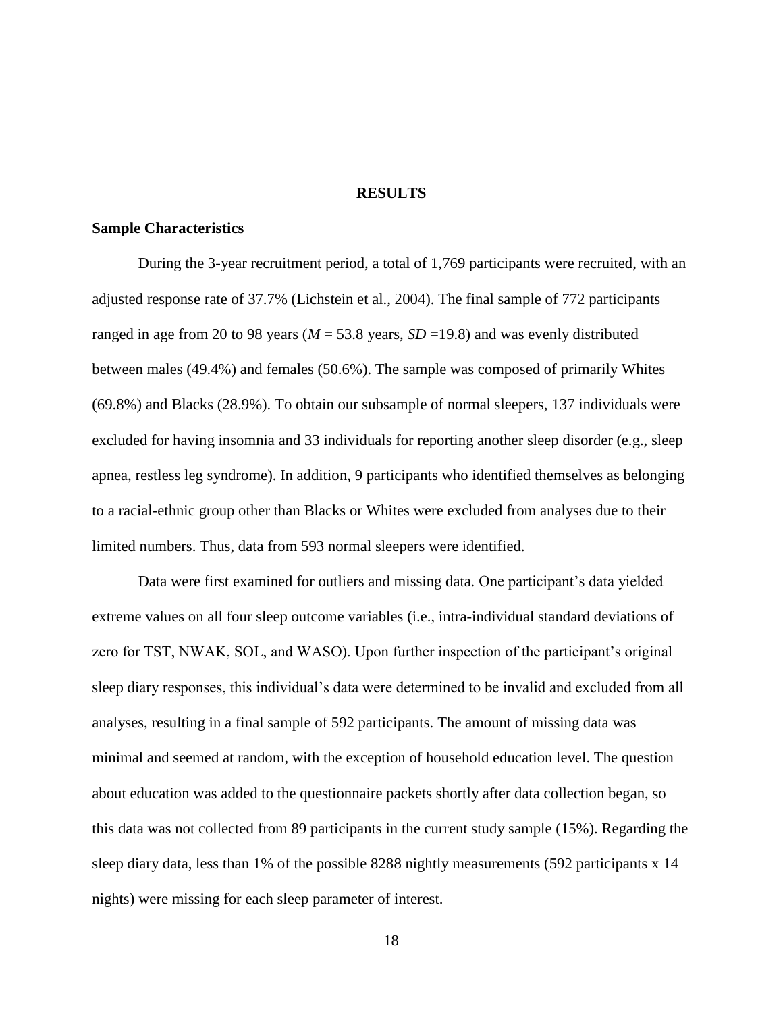#### **RESULTS**

### **Sample Characteristics**

During the 3-year recruitment period, a total of 1,769 participants were recruited, with an adjusted response rate of 37.7% (Lichstein et al., 2004). The final sample of 772 participants ranged in age from 20 to 98 years ( $M = 53.8$  years,  $SD = 19.8$ ) and was evenly distributed between males (49.4%) and females (50.6%). The sample was composed of primarily Whites (69.8%) and Blacks (28.9%). To obtain our subsample of normal sleepers, 137 individuals were excluded for having insomnia and 33 individuals for reporting another sleep disorder (e.g., sleep apnea, restless leg syndrome). In addition, 9 participants who identified themselves as belonging to a racial-ethnic group other than Blacks or Whites were excluded from analyses due to their limited numbers. Thus, data from 593 normal sleepers were identified.

Data were first examined for outliers and missing data*.* One participant's data yielded extreme values on all four sleep outcome variables (i.e., intra-individual standard deviations of zero for TST, NWAK, SOL, and WASO). Upon further inspection of the participant's original sleep diary responses, this individual's data were determined to be invalid and excluded from all analyses, resulting in a final sample of 592 participants. The amount of missing data was minimal and seemed at random, with the exception of household education level. The question about education was added to the questionnaire packets shortly after data collection began, so this data was not collected from 89 participants in the current study sample (15%). Regarding the sleep diary data, less than 1% of the possible 8288 nightly measurements (592 participants x 14 nights) were missing for each sleep parameter of interest.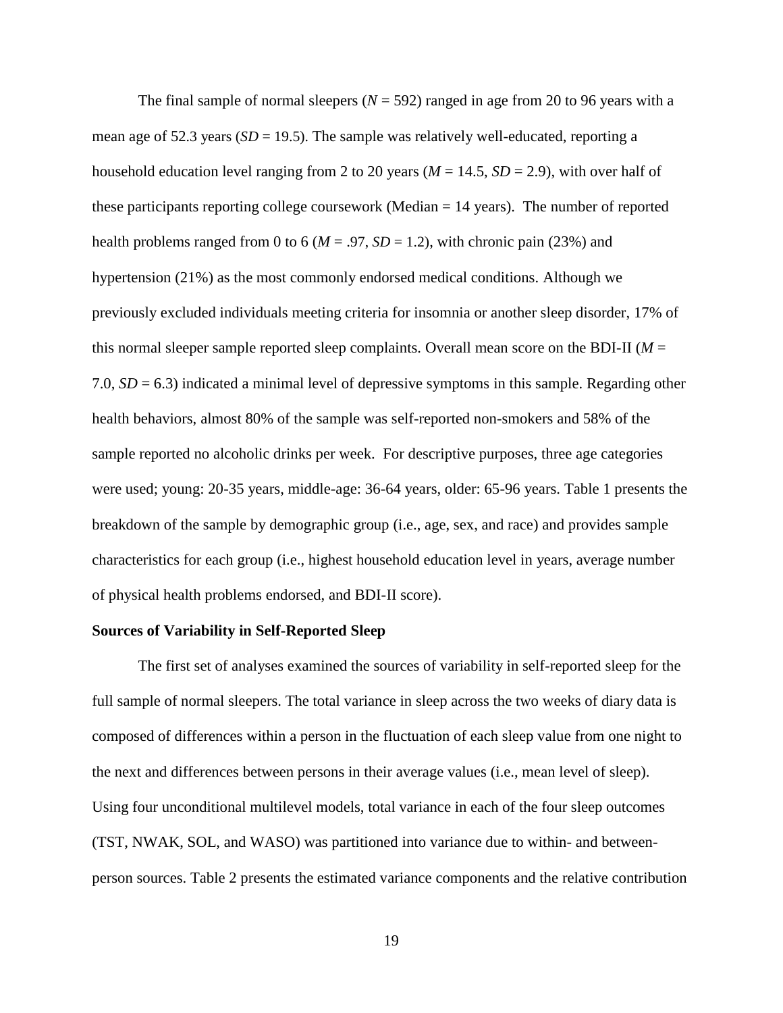The final sample of normal sleepers  $(N = 592)$  ranged in age from 20 to 96 years with a mean age of 52.3 years  $(SD = 19.5)$ . The sample was relatively well-educated, reporting a household education level ranging from 2 to 20 years ( $M = 14.5$ ,  $SD = 2.9$ ), with over half of these participants reporting college coursework (Median  $= 14$  years). The number of reported health problems ranged from 0 to 6 ( $M = .97$ ,  $SD = 1.2$ ), with chronic pain (23%) and hypertension (21%) as the most commonly endorsed medical conditions. Although we previously excluded individuals meeting criteria for insomnia or another sleep disorder, 17% of this normal sleeper sample reported sleep complaints. Overall mean score on the BDI-II (*M* = 7.0,  $SD = 6.3$ ) indicated a minimal level of depressive symptoms in this sample. Regarding other health behaviors, almost 80% of the sample was self-reported non-smokers and 58% of the sample reported no alcoholic drinks per week. For descriptive purposes, three age categories were used; young: 20-35 years, middle-age: 36-64 years, older: 65-96 years. Table 1 presents the breakdown of the sample by demographic group (i.e., age, sex, and race) and provides sample characteristics for each group (i.e., highest household education level in years, average number of physical health problems endorsed, and BDI-II score).

#### **Sources of Variability in Self-Reported Sleep**

The first set of analyses examined the sources of variability in self-reported sleep for the full sample of normal sleepers. The total variance in sleep across the two weeks of diary data is composed of differences within a person in the fluctuation of each sleep value from one night to the next and differences between persons in their average values (i.e., mean level of sleep). Using four unconditional multilevel models, total variance in each of the four sleep outcomes (TST, NWAK, SOL, and WASO) was partitioned into variance due to within- and betweenperson sources. Table 2 presents the estimated variance components and the relative contribution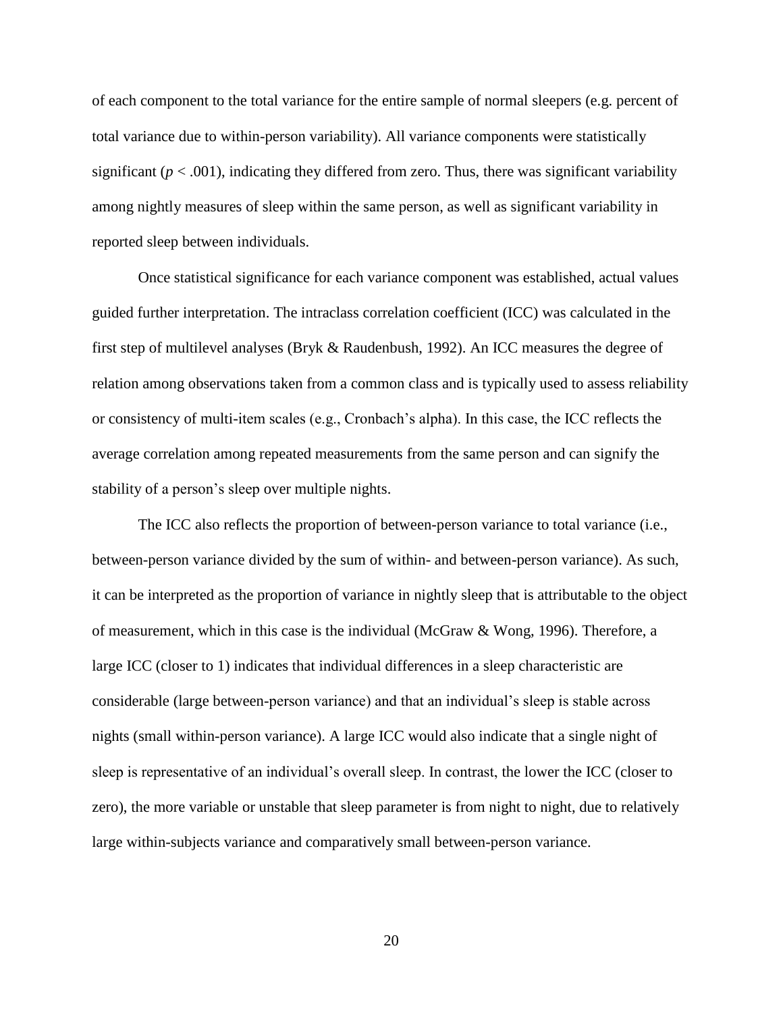of each component to the total variance for the entire sample of normal sleepers (e.g. percent of total variance due to within-person variability). All variance components were statistically significant  $(p < .001)$ , indicating they differed from zero. Thus, there was significant variability among nightly measures of sleep within the same person, as well as significant variability in reported sleep between individuals.

Once statistical significance for each variance component was established, actual values guided further interpretation. The intraclass correlation coefficient (ICC) was calculated in the first step of multilevel analyses (Bryk & Raudenbush, 1992). An ICC measures the degree of relation among observations taken from a common class and is typically used to assess reliability or consistency of multi-item scales (e.g., Cronbach's alpha). In this case, the ICC reflects the average correlation among repeated measurements from the same person and can signify the stability of a person's sleep over multiple nights.

The ICC also reflects the proportion of between-person variance to total variance (i.e., between-person variance divided by the sum of within- and between-person variance). As such, it can be interpreted as the proportion of variance in nightly sleep that is attributable to the object of measurement, which in this case is the individual (McGraw & Wong, 1996). Therefore, a large ICC (closer to 1) indicates that individual differences in a sleep characteristic are considerable (large between-person variance) and that an individual's sleep is stable across nights (small within-person variance). A large ICC would also indicate that a single night of sleep is representative of an individual's overall sleep. In contrast, the lower the ICC (closer to zero), the more variable or unstable that sleep parameter is from night to night, due to relatively large within-subjects variance and comparatively small between-person variance.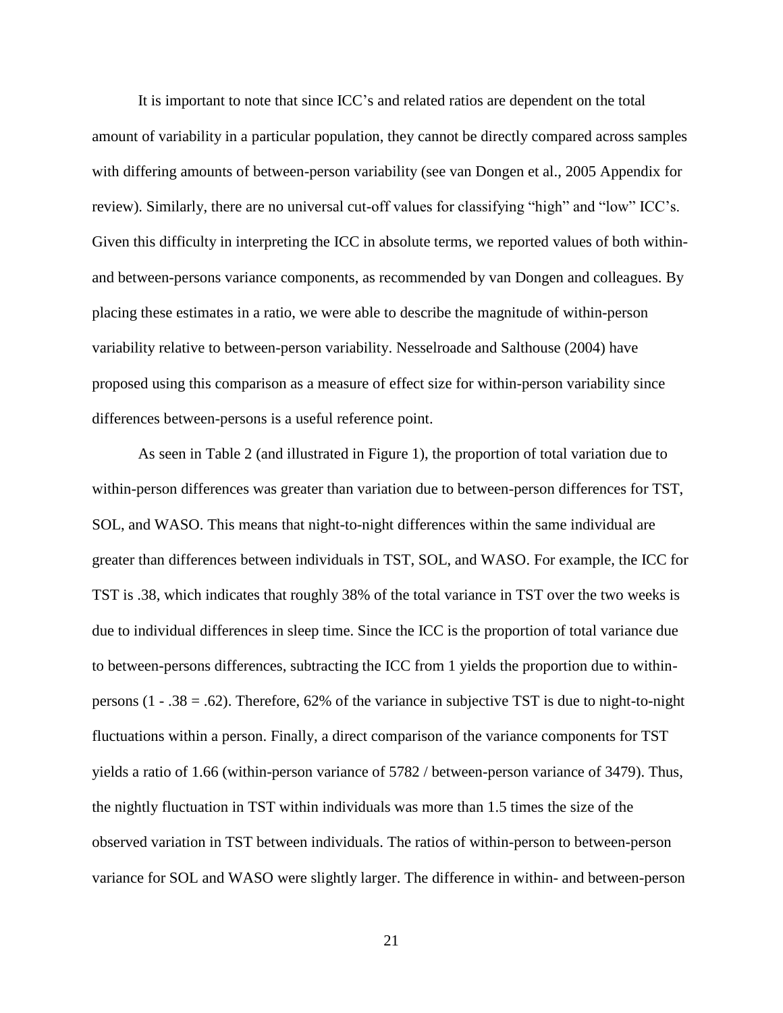It is important to note that since ICC's and related ratios are dependent on the total amount of variability in a particular population, they cannot be directly compared across samples with differing amounts of between-person variability (see van Dongen et al., 2005 Appendix for review). Similarly, there are no universal cut-off values for classifying "high" and "low" ICC's. Given this difficulty in interpreting the ICC in absolute terms, we reported values of both withinand between-persons variance components, as recommended by van Dongen and colleagues. By placing these estimates in a ratio, we were able to describe the magnitude of within-person variability relative to between-person variability. Nesselroade and Salthouse (2004) have proposed using this comparison as a measure of effect size for within-person variability since differences between-persons is a useful reference point.

As seen in Table 2 (and illustrated in Figure 1), the proportion of total variation due to within-person differences was greater than variation due to between-person differences for TST, SOL, and WASO. This means that night-to-night differences within the same individual are greater than differences between individuals in TST, SOL, and WASO. For example, the ICC for TST is .38, which indicates that roughly 38% of the total variance in TST over the two weeks is due to individual differences in sleep time. Since the ICC is the proportion of total variance due to between-persons differences, subtracting the ICC from 1 yields the proportion due to withinpersons (1 - .38 = .62). Therefore, 62% of the variance in subjective TST is due to night-to-night fluctuations within a person. Finally, a direct comparison of the variance components for TST yields a ratio of 1.66 (within-person variance of 5782 / between-person variance of 3479). Thus, the nightly fluctuation in TST within individuals was more than 1.5 times the size of the observed variation in TST between individuals. The ratios of within-person to between-person variance for SOL and WASO were slightly larger. The difference in within- and between-person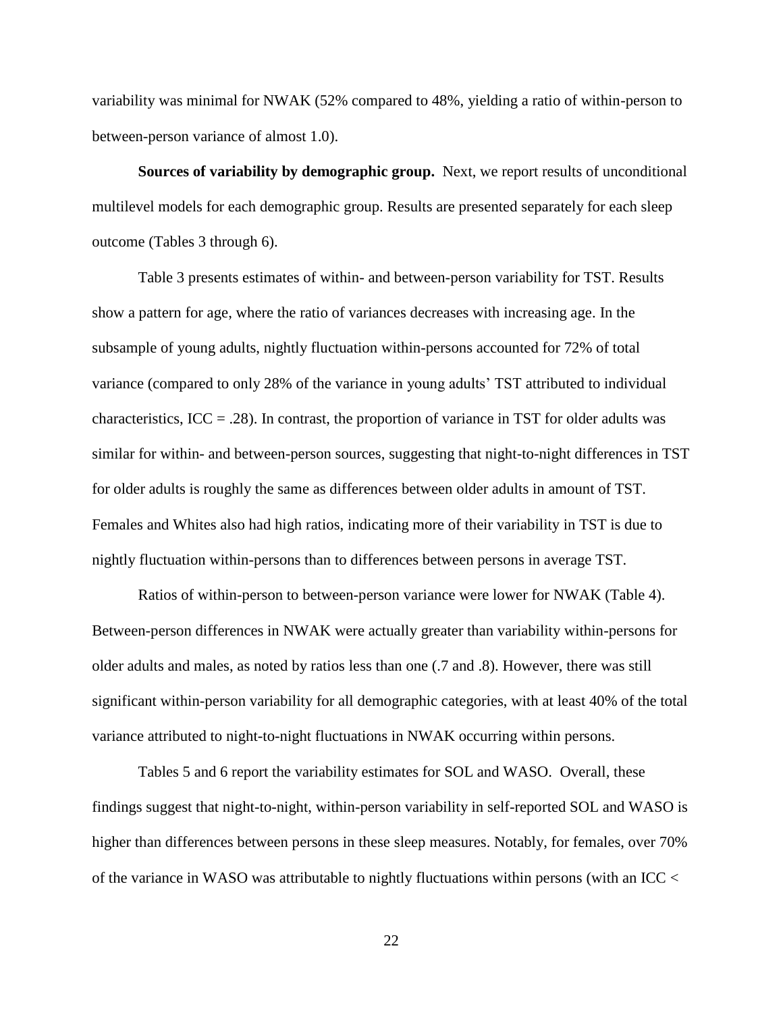variability was minimal for NWAK (52% compared to 48%, yielding a ratio of within-person to between-person variance of almost 1.0).

**Sources of variability by demographic group.** Next, we report results of unconditional multilevel models for each demographic group. Results are presented separately for each sleep outcome (Tables 3 through 6).

Table 3 presents estimates of within- and between-person variability for TST. Results show a pattern for age, where the ratio of variances decreases with increasing age. In the subsample of young adults, nightly fluctuation within-persons accounted for 72% of total variance (compared to only 28% of the variance in young adults' TST attributed to individual characteristics,  $ICC = .28$ ). In contrast, the proportion of variance in TST for older adults was similar for within- and between-person sources, suggesting that night-to-night differences in TST for older adults is roughly the same as differences between older adults in amount of TST. Females and Whites also had high ratios, indicating more of their variability in TST is due to nightly fluctuation within-persons than to differences between persons in average TST.

Ratios of within-person to between-person variance were lower for NWAK (Table 4). Between-person differences in NWAK were actually greater than variability within-persons for older adults and males, as noted by ratios less than one (.7 and .8). However, there was still significant within-person variability for all demographic categories, with at least 40% of the total variance attributed to night-to-night fluctuations in NWAK occurring within persons.

Tables 5 and 6 report the variability estimates for SOL and WASO. Overall, these findings suggest that night-to-night, within-person variability in self-reported SOL and WASO is higher than differences between persons in these sleep measures. Notably, for females, over 70% of the variance in WASO was attributable to nightly fluctuations within persons (with an ICC <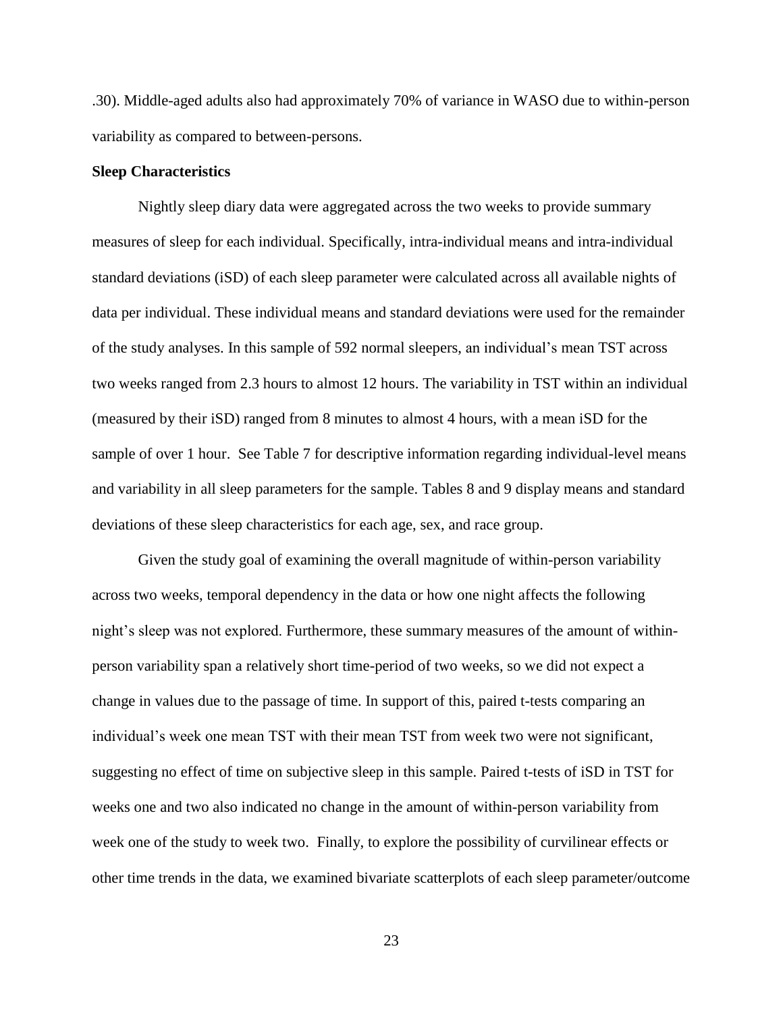.30). Middle-aged adults also had approximately 70% of variance in WASO due to within-person variability as compared to between-persons.

#### **Sleep Characteristics**

Nightly sleep diary data were aggregated across the two weeks to provide summary measures of sleep for each individual. Specifically, intra-individual means and intra-individual standard deviations (iSD) of each sleep parameter were calculated across all available nights of data per individual. These individual means and standard deviations were used for the remainder of the study analyses. In this sample of 592 normal sleepers, an individual's mean TST across two weeks ranged from 2.3 hours to almost 12 hours. The variability in TST within an individual (measured by their iSD) ranged from 8 minutes to almost 4 hours, with a mean iSD for the sample of over 1 hour. See Table 7 for descriptive information regarding individual-level means and variability in all sleep parameters for the sample. Tables 8 and 9 display means and standard deviations of these sleep characteristics for each age, sex, and race group.

Given the study goal of examining the overall magnitude of within-person variability across two weeks, temporal dependency in the data or how one night affects the following night's sleep was not explored. Furthermore, these summary measures of the amount of withinperson variability span a relatively short time-period of two weeks, so we did not expect a change in values due to the passage of time. In support of this, paired t-tests comparing an individual's week one mean TST with their mean TST from week two were not significant, suggesting no effect of time on subjective sleep in this sample. Paired t-tests of iSD in TST for weeks one and two also indicated no change in the amount of within-person variability from week one of the study to week two. Finally, to explore the possibility of curvilinear effects or other time trends in the data, we examined bivariate scatterplots of each sleep parameter/outcome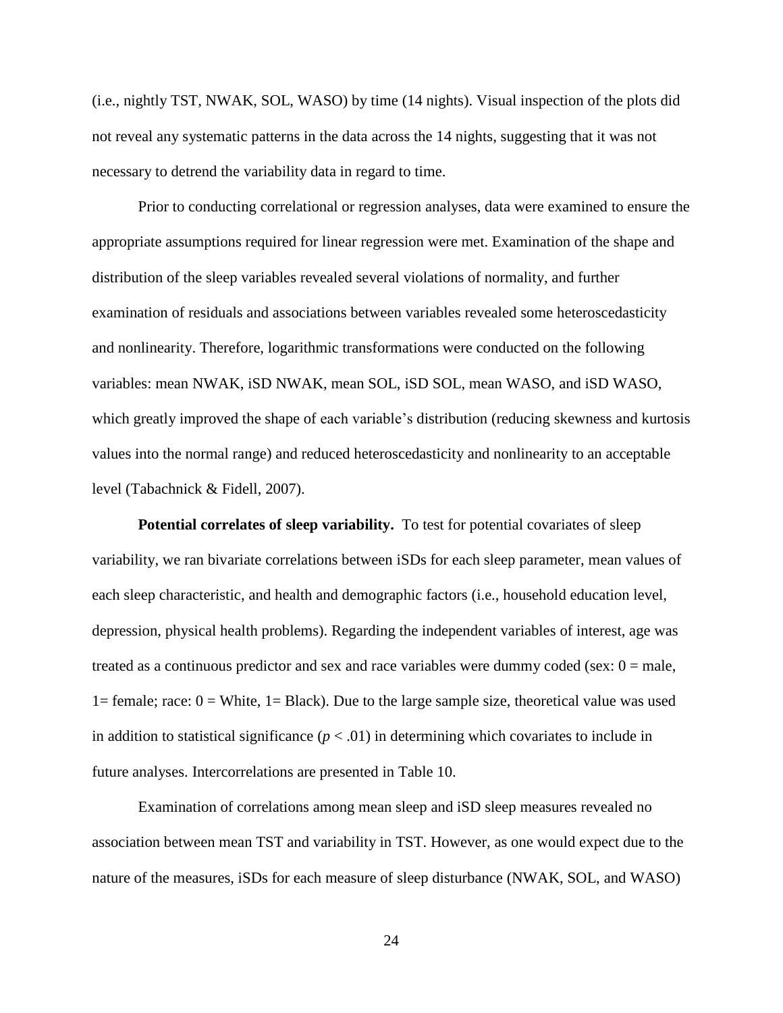(i.e., nightly TST, NWAK, SOL, WASO) by time (14 nights). Visual inspection of the plots did not reveal any systematic patterns in the data across the 14 nights, suggesting that it was not necessary to detrend the variability data in regard to time.

Prior to conducting correlational or regression analyses, data were examined to ensure the appropriate assumptions required for linear regression were met. Examination of the shape and distribution of the sleep variables revealed several violations of normality, and further examination of residuals and associations between variables revealed some heteroscedasticity and nonlinearity. Therefore, logarithmic transformations were conducted on the following variables: mean NWAK, iSD NWAK, mean SOL, iSD SOL, mean WASO, and iSD WASO, which greatly improved the shape of each variable's distribution (reducing skewness and kurtosis values into the normal range) and reduced heteroscedasticity and nonlinearity to an acceptable level (Tabachnick & Fidell, 2007).

**Potential correlates of sleep variability.** To test for potential covariates of sleep variability, we ran bivariate correlations between iSDs for each sleep parameter, mean values of each sleep characteristic, and health and demographic factors (i.e., household education level, depression, physical health problems). Regarding the independent variables of interest, age was treated as a continuous predictor and sex and race variables were dummy coded (sex:  $0 =$  male, 1= female; race:  $0 =$  White, 1= Black). Due to the large sample size, theoretical value was used in addition to statistical significance  $(p < .01)$  in determining which covariates to include in future analyses. Intercorrelations are presented in Table 10.

Examination of correlations among mean sleep and iSD sleep measures revealed no association between mean TST and variability in TST. However, as one would expect due to the nature of the measures, iSDs for each measure of sleep disturbance (NWAK, SOL, and WASO)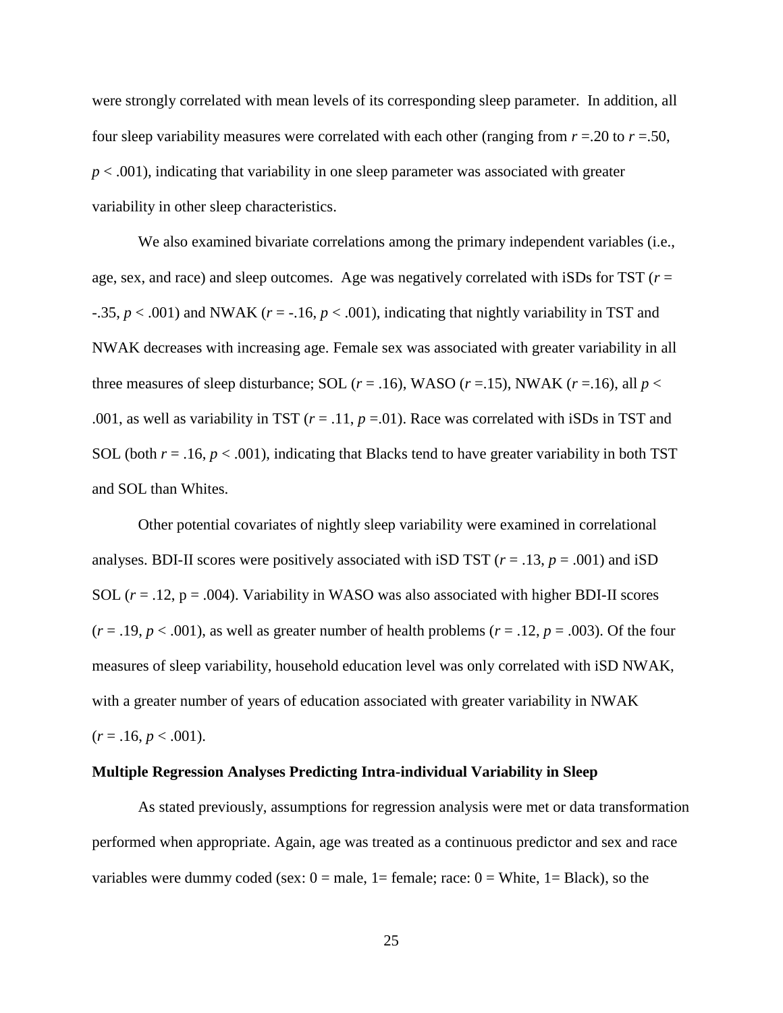were strongly correlated with mean levels of its corresponding sleep parameter. In addition, all four sleep variability measures were correlated with each other (ranging from  $r = 0.20$  to  $r = 0.50$ ,  $p < .001$ ), indicating that variability in one sleep parameter was associated with greater variability in other sleep characteristics.

We also examined bivariate correlations among the primary independent variables (i.e., age, sex, and race) and sleep outcomes. Age was negatively correlated with iSDs for TST (*r* =  $-0.35, p < 0.001$ ) and NWAK ( $r = -0.16, p < 0.001$ ), indicating that nightly variability in TST and NWAK decreases with increasing age. Female sex was associated with greater variability in all three measures of sleep disturbance; SOL  $(r = .16)$ , WASO  $(r = .15)$ , NWAK  $(r = .16)$ , all  $p <$ .001, as well as variability in TST  $(r = .11, p = .01)$ . Race was correlated with iSDs in TST and SOL (both  $r = .16$ ,  $p < .001$ ), indicating that Blacks tend to have greater variability in both TST and SOL than Whites.

Other potential covariates of nightly sleep variability were examined in correlational analyses. BDI-II scores were positively associated with iSD TST  $(r = .13, p = .001)$  and iSD SOL  $(r = .12, p = .004)$ . Variability in WASO was also associated with higher BDI-II scores  $(r = .19, p < .001)$ , as well as greater number of health problems  $(r = .12, p = .003)$ . Of the four measures of sleep variability, household education level was only correlated with iSD NWAK, with a greater number of years of education associated with greater variability in NWAK  $(r = .16, p < .001).$ 

#### **Multiple Regression Analyses Predicting Intra-individual Variability in Sleep**

As stated previously, assumptions for regression analysis were met or data transformation performed when appropriate. Again, age was treated as a continuous predictor and sex and race variables were dummy coded (sex:  $0 =$  male,  $1 =$  female; race:  $0 =$  White,  $1 =$  Black), so the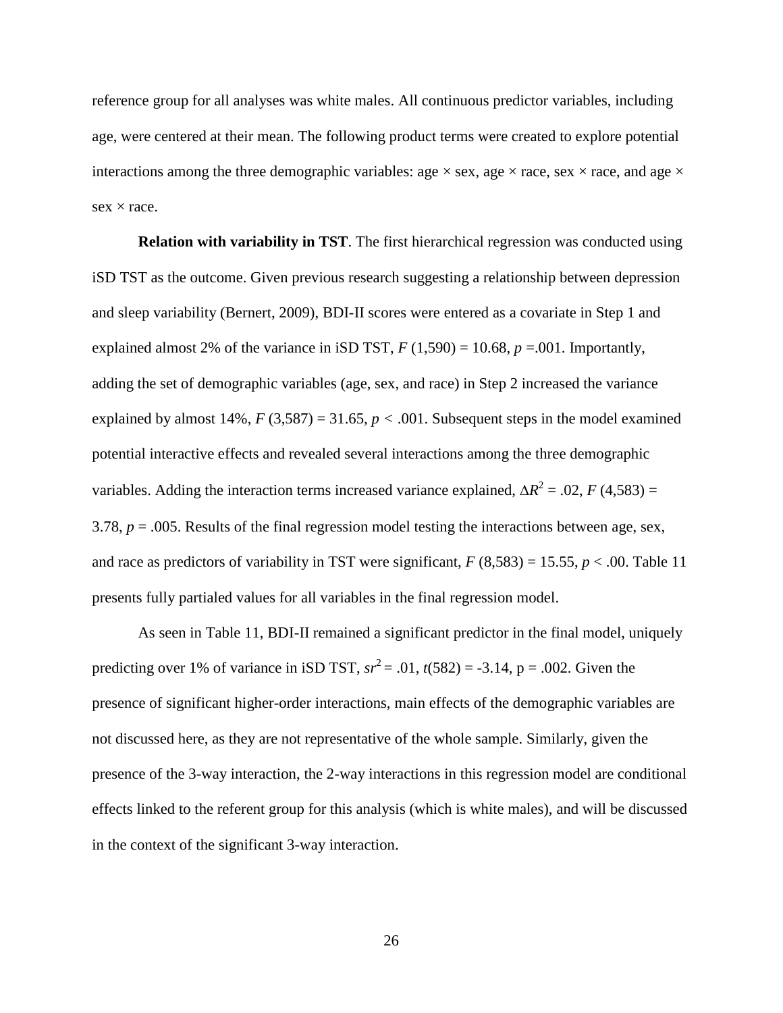reference group for all analyses was white males. All continuous predictor variables, including age, were centered at their mean. The following product terms were created to explore potential interactions among the three demographic variables: age  $\times$  sex, age  $\times$  race, sex  $\times$  race, and age  $\times$  $sex \times race.$ 

**Relation with variability in TST**. The first hierarchical regression was conducted using iSD TST as the outcome. Given previous research suggesting a relationship between depression and sleep variability (Bernert, 2009), BDI-II scores were entered as a covariate in Step 1 and explained almost 2% of the variance in iSD TST,  $F(1,590) = 10.68$ ,  $p = .001$ . Importantly, adding the set of demographic variables (age, sex, and race) in Step 2 increased the variance explained by almost 14%,  $F(3,587) = 31.65$ ,  $p < .001$ . Subsequent steps in the model examined potential interactive effects and revealed several interactions among the three demographic variables. Adding the interaction terms increased variance explained,  $\Delta R^2 = .02$ , *F* (4,583) = 3.78,  $p = 0.005$ . Results of the final regression model testing the interactions between age, sex, and race as predictors of variability in TST were significant,  $F(8,583) = 15.55$ ,  $p < .00$ . Table 11 presents fully partialed values for all variables in the final regression model.

As seen in Table 11, BDI-II remained a significant predictor in the final model, uniquely predicting over 1% of variance in iSD TST,  $sr^2 = .01$ ,  $t(582) = -3.14$ ,  $p = .002$ . Given the presence of significant higher-order interactions, main effects of the demographic variables are not discussed here, as they are not representative of the whole sample. Similarly, given the presence of the 3-way interaction, the 2-way interactions in this regression model are conditional effects linked to the referent group for this analysis (which is white males), and will be discussed in the context of the significant 3-way interaction.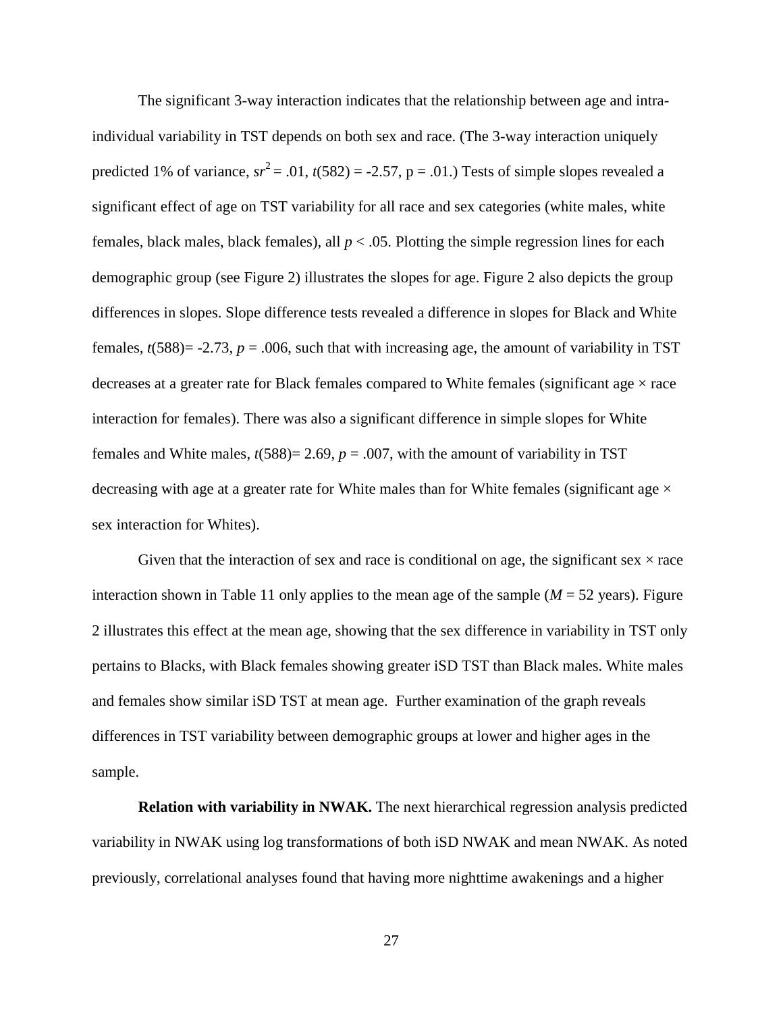The significant 3-way interaction indicates that the relationship between age and intraindividual variability in TST depends on both sex and race. (The 3-way interaction uniquely predicted 1% of variance,  $sr^2 = .01$ ,  $t(582) = -2.57$ ,  $p = .01$ .) Tests of simple slopes revealed a significant effect of age on TST variability for all race and sex categories (white males, white females, black males, black females), all *p* < .05. Plotting the simple regression lines for each demographic group (see Figure 2) illustrates the slopes for age. Figure 2 also depicts the group differences in slopes. Slope difference tests revealed a difference in slopes for Black and White females,  $t(588) = -2.73$ ,  $p = .006$ , such that with increasing age, the amount of variability in TST decreases at a greater rate for Black females compared to White females (significant age  $\times$  race interaction for females). There was also a significant difference in simple slopes for White females and White males,  $t(588) = 2.69$ ,  $p = .007$ , with the amount of variability in TST decreasing with age at a greater rate for White males than for White females (significant age  $\times$ sex interaction for Whites).

Given that the interaction of sex and race is conditional on age, the significant sex  $\times$  race interaction shown in Table 11 only applies to the mean age of the sample  $(M = 52 \text{ years})$ . Figure 2 illustrates this effect at the mean age, showing that the sex difference in variability in TST only pertains to Blacks, with Black females showing greater iSD TST than Black males. White males and females show similar iSD TST at mean age. Further examination of the graph reveals differences in TST variability between demographic groups at lower and higher ages in the sample.

**Relation with variability in NWAK.** The next hierarchical regression analysis predicted variability in NWAK using log transformations of both iSD NWAK and mean NWAK. As noted previously, correlational analyses found that having more nighttime awakenings and a higher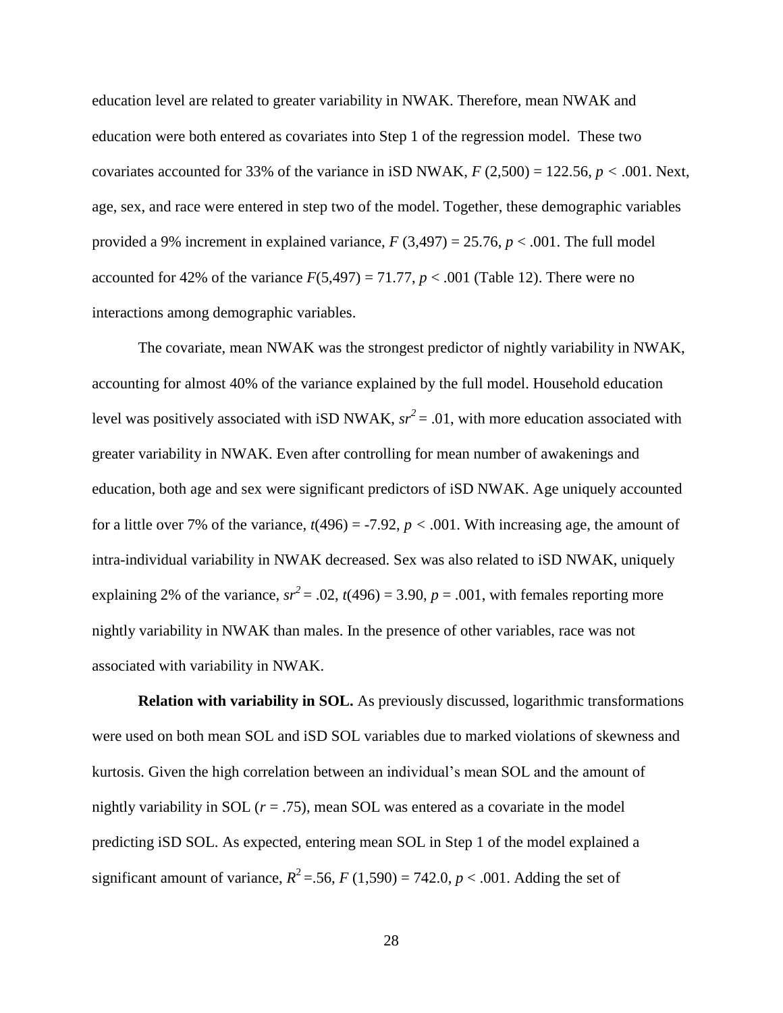education level are related to greater variability in NWAK. Therefore, mean NWAK and education were both entered as covariates into Step 1 of the regression model. These two covariates accounted for 33% of the variance in iSD NWAK,  $F(2,500) = 122.56$ ,  $p < .001$ . Next, age, sex, and race were entered in step two of the model. Together, these demographic variables provided a 9% increment in explained variance,  $F(3,497) = 25.76$ ,  $p < .001$ . The full model accounted for 42% of the variance  $F(5,497) = 71.77$ ,  $p < .001$  (Table 12). There were no interactions among demographic variables.

The covariate, mean NWAK was the strongest predictor of nightly variability in NWAK, accounting for almost 40% of the variance explained by the full model. Household education level was positively associated with iSD NWAK,  $sr^2 = .01$ , with more education associated with greater variability in NWAK. Even after controlling for mean number of awakenings and education, both age and sex were significant predictors of iSD NWAK. Age uniquely accounted for a little over 7% of the variance,  $t(496) = -7.92$ ,  $p < .001$ . With increasing age, the amount of intra-individual variability in NWAK decreased. Sex was also related to iSD NWAK, uniquely explaining 2% of the variance,  $sr^2 = .02$ ,  $t(496) = 3.90$ ,  $p = .001$ , with females reporting more nightly variability in NWAK than males. In the presence of other variables, race was not associated with variability in NWAK.

**Relation with variability in SOL.** As previously discussed, logarithmic transformations were used on both mean SOL and iSD SOL variables due to marked violations of skewness and kurtosis. Given the high correlation between an individual's mean SOL and the amount of nightly variability in SOL  $(r = .75)$ , mean SOL was entered as a covariate in the model predicting iSD SOL. As expected, entering mean SOL in Step 1 of the model explained a significant amount of variance,  $R^2$  = .56,  $F(1,590) = 742.0, p < .001$ . Adding the set of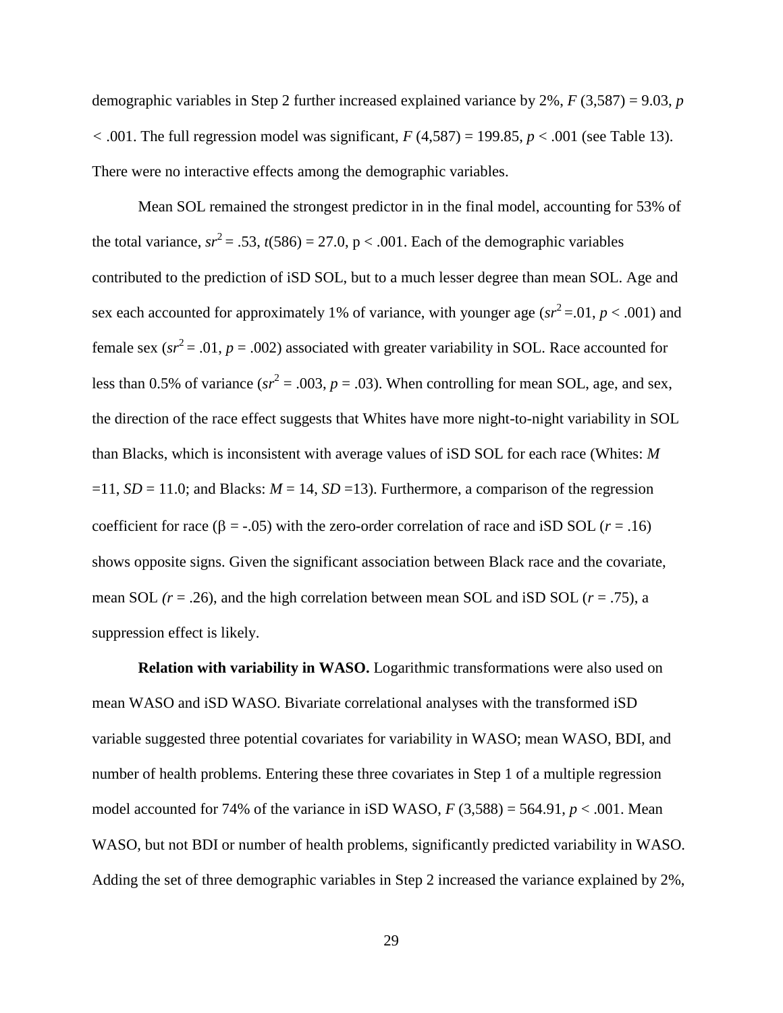demographic variables in Step 2 further increased explained variance by 2%, *F* (3,587) = 9.03, *p*   $<$  .001. The full regression model was significant,  $F(4,587) = 199.85$ ,  $p < .001$  (see Table 13). There were no interactive effects among the demographic variables.

Mean SOL remained the strongest predictor in in the final model, accounting for 53% of the total variance,  $sr^2 = .53$ ,  $t(586) = 27.0$ ,  $p < .001$ . Each of the demographic variables contributed to the prediction of iSD SOL, but to a much lesser degree than mean SOL. Age and sex each accounted for approximately 1% of variance, with younger age ( $sr^2 = 0.01$ ,  $p < 0.001$ ) and female sex ( $sr^2 = .01$ ,  $p = .002$ ) associated with greater variability in SOL. Race accounted for less than 0.5% of variance ( $sr^2 = .003$ ,  $p = .03$ ). When controlling for mean SOL, age, and sex, the direction of the race effect suggests that Whites have more night-to-night variability in SOL than Blacks, which is inconsistent with average values of iSD SOL for each race (Whites: *M*  $=11$ , *SD* = 11.0; and Blacks: *M* = 14, *SD* = 13). Furthermore, a comparison of the regression coefficient for race ( $\beta$  = -.05) with the zero-order correlation of race and iSD SOL ( $r$  = .16) shows opposite signs. Given the significant association between Black race and the covariate, mean SOL  $(r = .26)$ , and the high correlation between mean SOL and iSD SOL  $(r = .75)$ , a suppression effect is likely.

**Relation with variability in WASO.** Logarithmic transformations were also used on mean WASO and iSD WASO. Bivariate correlational analyses with the transformed iSD variable suggested three potential covariates for variability in WASO; mean WASO, BDI, and number of health problems. Entering these three covariates in Step 1 of a multiple regression model accounted for 74% of the variance in iSD WASO,  $F(3,588) = 564.91$ ,  $p < .001$ . Mean WASO, but not BDI or number of health problems, significantly predicted variability in WASO. Adding the set of three demographic variables in Step 2 increased the variance explained by 2%,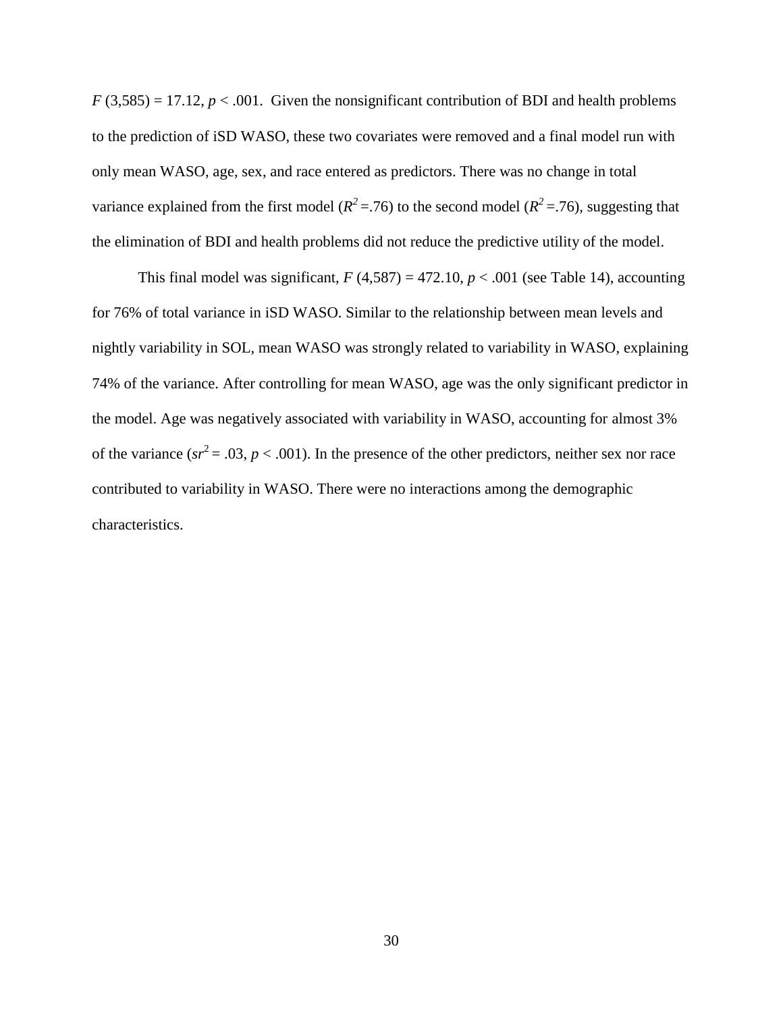$F(3,585) = 17.12$ ,  $p < .001$ . Given the nonsignificant contribution of BDI and health problems to the prediction of iSD WASO, these two covariates were removed and a final model run with only mean WASO, age, sex, and race entered as predictors. There was no change in total variance explained from the first model ( $R^2 = 76$ ) to the second model ( $R^2 = 76$ ), suggesting that the elimination of BDI and health problems did not reduce the predictive utility of the model.

This final model was significant,  $F(4,587) = 472.10, p < .001$  (see Table 14), accounting for 76% of total variance in iSD WASO. Similar to the relationship between mean levels and nightly variability in SOL, mean WASO was strongly related to variability in WASO, explaining 74% of the variance. After controlling for mean WASO, age was the only significant predictor in the model. Age was negatively associated with variability in WASO, accounting for almost 3% of the variance ( $sr^2 = .03$ ,  $p < .001$ ). In the presence of the other predictors, neither sex nor race contributed to variability in WASO. There were no interactions among the demographic characteristics.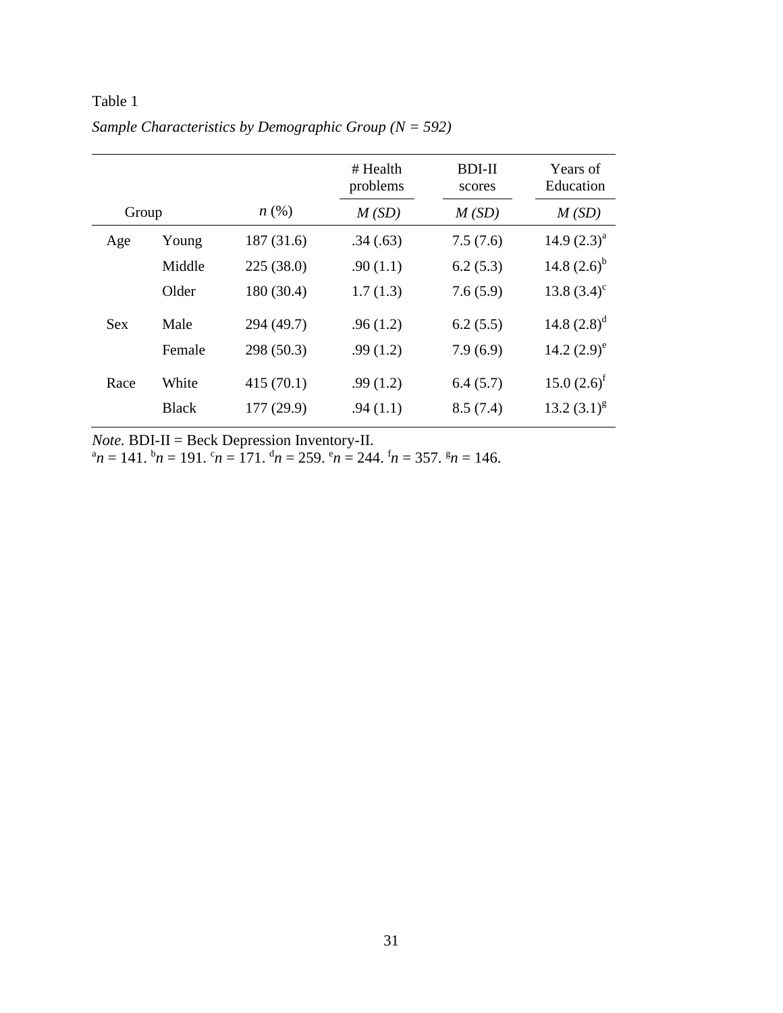|            |              |                    | # Health<br>problems | <b>BDI-II</b><br>scores | Years of<br>Education |
|------------|--------------|--------------------|----------------------|-------------------------|-----------------------|
| Group      |              | $n\left(\%\right)$ | M(SD)                | M(SD)                   | M(SD)                 |
| Age        | Young        | 187(31.6)          | .34(.63)             | 7.5(7.6)                | 14.9 $(2.3)^a$        |
|            | Middle       | 225(38.0)          | .90(1.1)             | 6.2(5.3)                | 14.8 $(2.6)^{b}$      |
|            | Older        | 180 (30.4)         | 1.7(1.3)             | 7.6(5.9)                | 13.8 $(3.4)^c$        |
| <b>Sex</b> | Male         | 294 (49.7)         | .96(1.2)             | 6.2(5.5)                | 14.8 $(2.8)^d$        |
|            | Female       | 298(50.3)          | .99(1.2)             | 7.9(6.9)                | 14.2 $(2.9)^e$        |
| Race       | White        | 415(70.1)          | .99(1.2)             | 6.4(5.7)                | $15.0 (2.6)^f$        |
|            | <b>Black</b> | 177(29.9)          | .94(1.1)             | 8.5(7.4)                | 13.2 $(3.1)^{g}$      |

Table 1 *Sample Characteristics by Demographic Group (N = 592)*

*Note.* BDI-II = Beck Depression Inventory-II.

 ${}^{\alpha}n = 141.$  ${}^{\beta}n = 191.$  ${}^{\alpha}n = 171.$  ${}^{\beta}n = 259.$  ${}^{\alpha}n = 244.$  ${}^{\text{f}}n = 357.$  ${}^{\text{g}}n = 146.$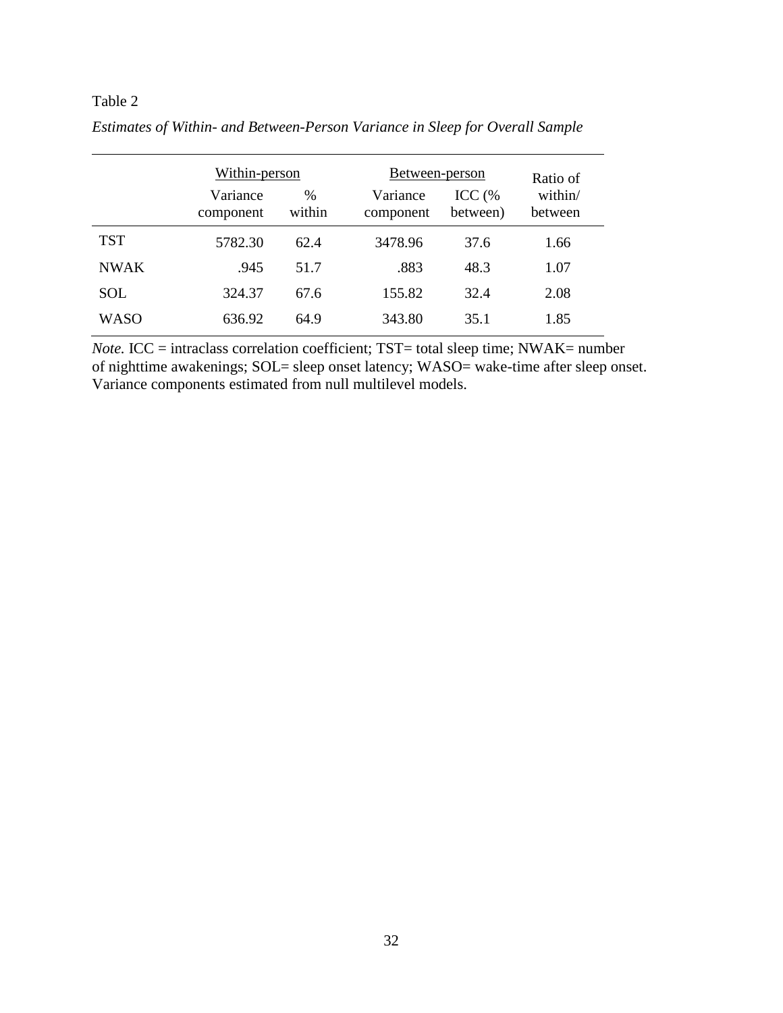|             | Within-person         |                | Between-person        |                    | Ratio of           |
|-------------|-----------------------|----------------|-----------------------|--------------------|--------------------|
|             | Variance<br>component | $\%$<br>within | Variance<br>component | ICC (%<br>between) | within/<br>between |
| <b>TST</b>  | 5782.30               | 62.4           | 3478.96               | 37.6               | 1.66               |
| <b>NWAK</b> | .945                  | 51.7           | .883                  | 48.3               | 1.07               |
| <b>SOL</b>  | 324.37                | 67.6           | 155.82                | 32.4               | 2.08               |
| <b>WASO</b> | 636.92                | 64.9           | 343.80                | 35.1               | 1.85               |

*Estimates of Within- and Between-Person Variance in Sleep for Overall Sample*

*Note.* ICC = intraclass correlation coefficient; TST= total sleep time; NWAK= number of nighttime awakenings; SOL= sleep onset latency; WASO= wake-time after sleep onset. Variance components estimated from null multilevel models.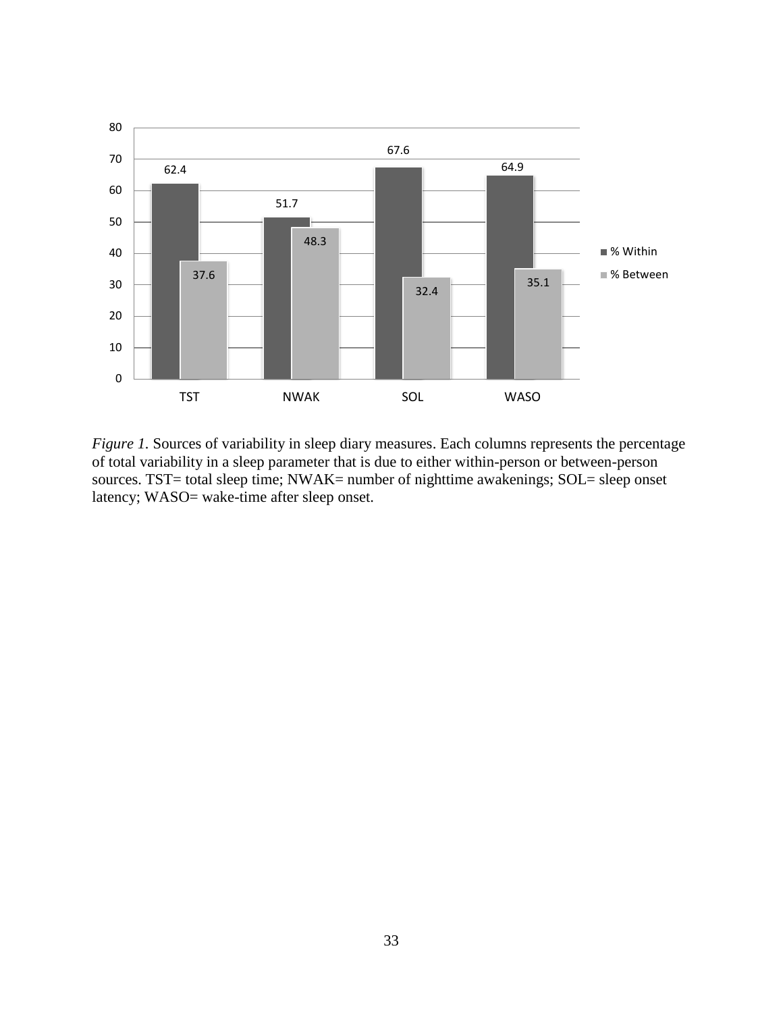

*Figure 1.* Sources of variability in sleep diary measures. Each columns represents the percentage of total variability in a sleep parameter that is due to either within-person or between-person sources. TST= total sleep time; NWAK= number of nighttime awakenings; SOL= sleep onset latency; WASO= wake-time after sleep onset.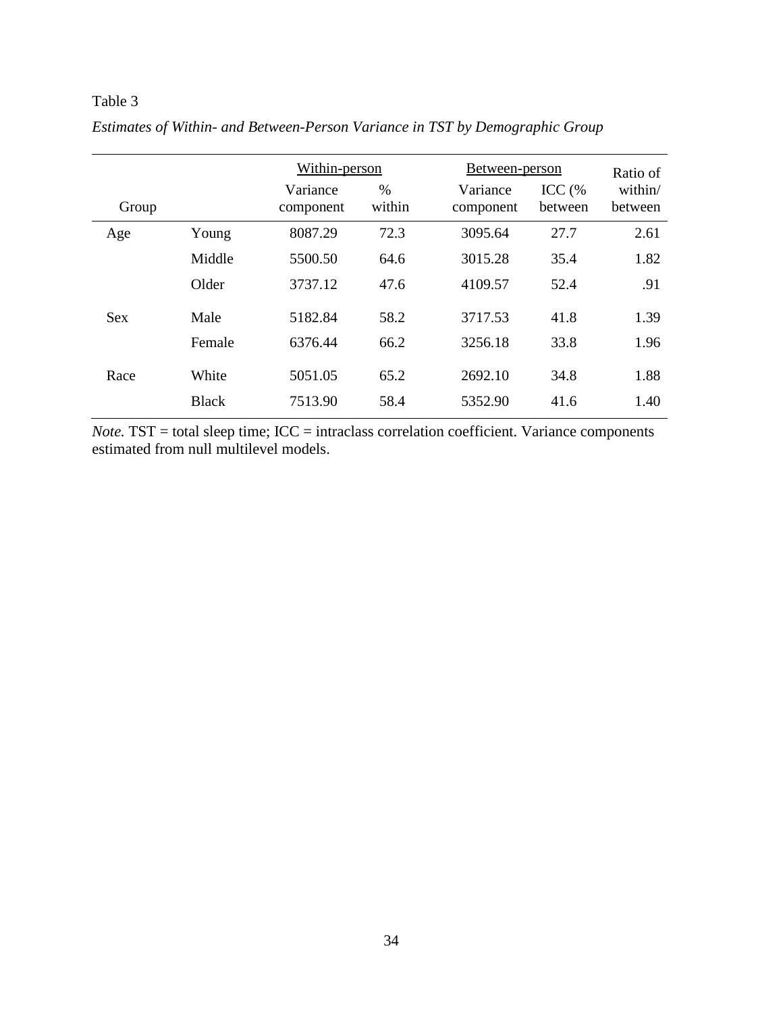|            |              | Within-person         |                |                       | Between-person      |                    |  |
|------------|--------------|-----------------------|----------------|-----------------------|---------------------|--------------------|--|
| Group      |              | Variance<br>component | $\%$<br>within | Variance<br>component | $ICC$ (%<br>between | within/<br>between |  |
| Age        | Young        | 8087.29               | 72.3           | 3095.64               | 27.7                | 2.61               |  |
|            | Middle       | 5500.50               | 64.6           | 3015.28               | 35.4                | 1.82               |  |
|            | Older        | 3737.12               | 47.6           | 4109.57               | 52.4                | .91                |  |
| <b>Sex</b> | Male         | 5182.84               | 58.2           | 3717.53               | 41.8                | 1.39               |  |
|            | Female       | 6376.44               | 66.2           | 3256.18               | 33.8                | 1.96               |  |
| Race       | White        | 5051.05               | 65.2           | 2692.10               | 34.8                | 1.88               |  |
|            | <b>Black</b> | 7513.90               | 58.4           | 5352.90               | 41.6                | 1.40               |  |

*Estimates of Within- and Between-Person Variance in TST by Demographic Group*

*Note.* TST = total sleep time; ICC = intraclass correlation coefficient. Variance components estimated from null multilevel models.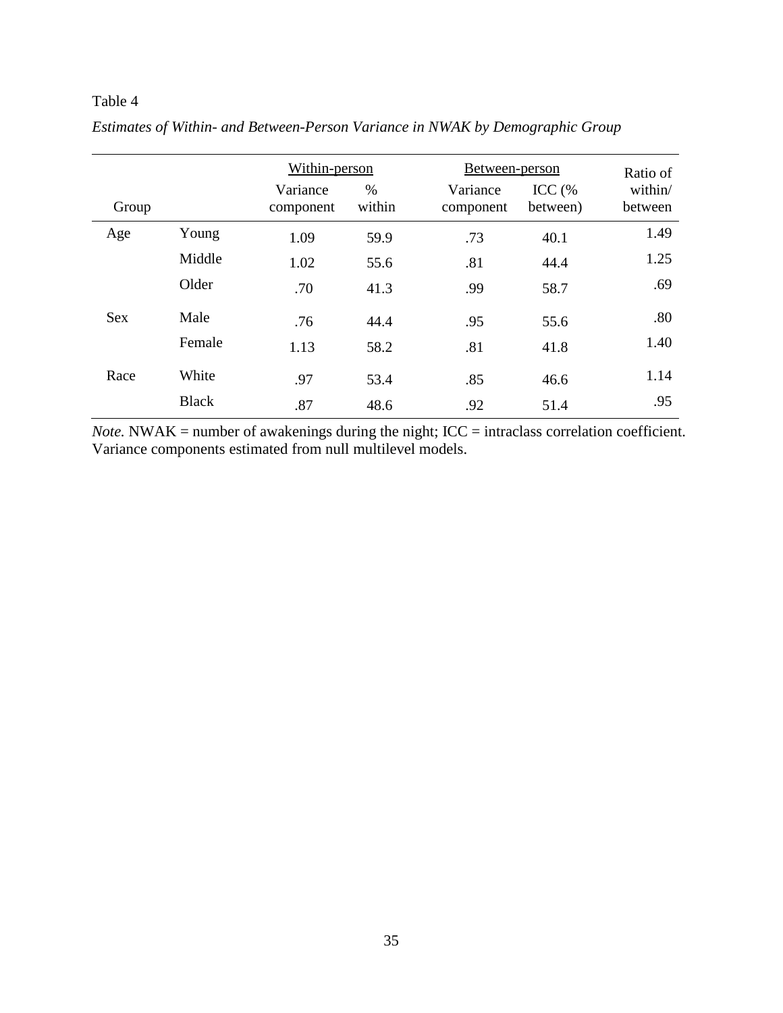|            |              | Within-person         |                | Between-person        |                      | Ratio of           |
|------------|--------------|-----------------------|----------------|-----------------------|----------------------|--------------------|
| Group      |              | Variance<br>component | $\%$<br>within | Variance<br>component | ICC $(%$<br>between) | within/<br>between |
| Age        | Young        | 1.09                  | 59.9           | .73                   | 40.1                 | 1.49               |
|            | Middle       | 1.02                  | 55.6           | .81                   | 44.4                 | 1.25               |
|            | Older        | .70                   | 41.3           | .99                   | 58.7                 | .69                |
| <b>Sex</b> | Male         | .76                   | 44.4           | .95                   | 55.6                 | .80                |
|            | Female       | 1.13                  | 58.2           | .81                   | 41.8                 | 1.40               |
| Race       | White        | .97                   | 53.4           | .85                   | 46.6                 | 1.14               |
|            | <b>Black</b> | .87                   | 48.6           | .92                   | 51.4                 | .95                |

*Estimates of Within- and Between-Person Variance in NWAK by Demographic Group*

*Note.* NWAK = number of awakenings during the night; ICC = intraclass correlation coefficient. Variance components estimated from null multilevel models.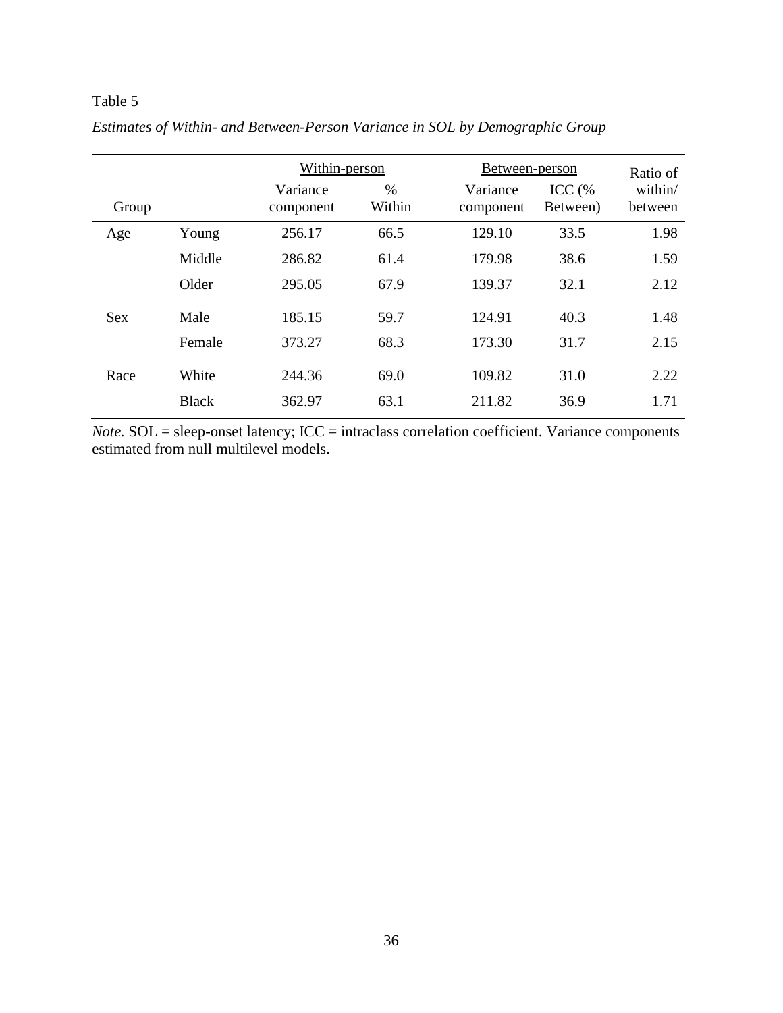|            |              | Within-person         |                |                       | Between-person       |                    |  |
|------------|--------------|-----------------------|----------------|-----------------------|----------------------|--------------------|--|
| Group      |              | Variance<br>component | $\%$<br>Within | Variance<br>component | ICC $(%$<br>Between) | within/<br>between |  |
| Age        | Young        | 256.17                | 66.5           | 129.10                | 33.5                 | 1.98               |  |
|            | Middle       | 286.82                | 61.4           | 179.98                | 38.6                 | 1.59               |  |
|            | Older        | 295.05                | 67.9           | 139.37                | 32.1                 | 2.12               |  |
| <b>Sex</b> | Male         | 185.15                | 59.7           | 124.91                | 40.3                 | 1.48               |  |
|            | Female       | 373.27                | 68.3           | 173.30                | 31.7                 | 2.15               |  |
| Race       | White        | 244.36                | 69.0           | 109.82                | 31.0                 | 2.22               |  |
|            | <b>Black</b> | 362.97                | 63.1           | 211.82                | 36.9                 | 1.71               |  |

*Estimates of Within- and Between-Person Variance in SOL by Demographic Group*

*Note.* SOL = sleep-onset latency; ICC = intraclass correlation coefficient. Variance components estimated from null multilevel models.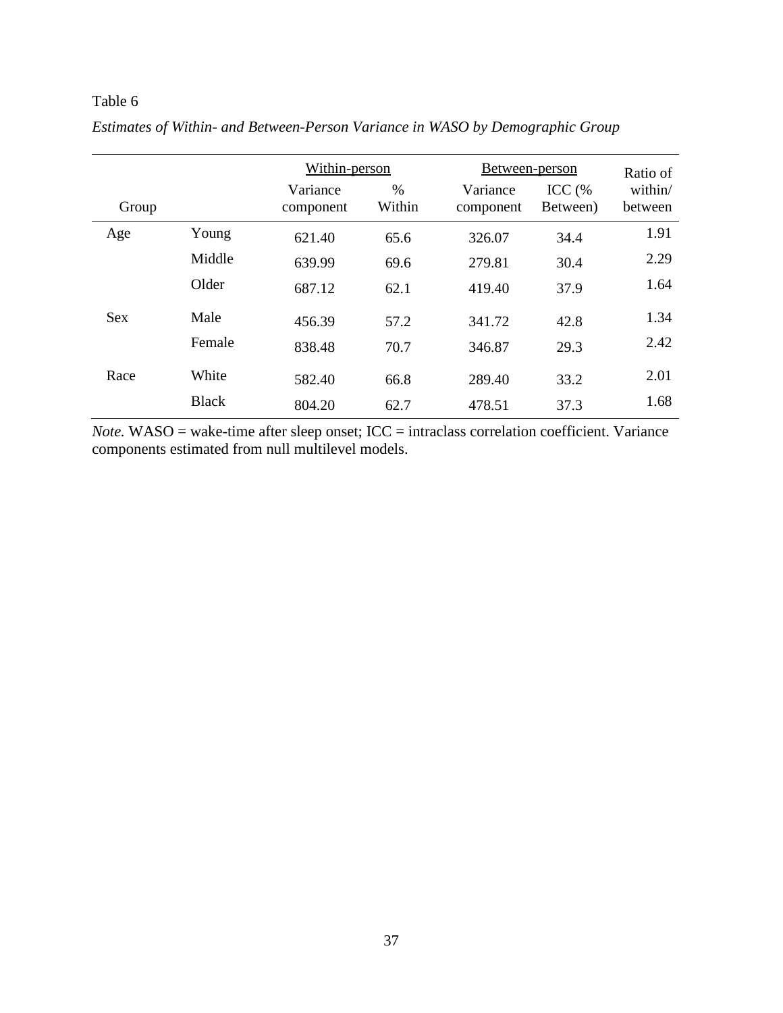|            |              | Within-person         |                | Between-person        |                      | Ratio of           |
|------------|--------------|-----------------------|----------------|-----------------------|----------------------|--------------------|
| Group      |              | Variance<br>component | $\%$<br>Within | Variance<br>component | $ICC$ (%<br>Between) | within/<br>between |
| Age        | Young        | 621.40                | 65.6           | 326.07                | 34.4                 | 1.91               |
|            | Middle       | 639.99                | 69.6           | 279.81                | 30.4                 | 2.29               |
|            | Older        | 687.12                | 62.1           | 419.40                | 37.9                 | 1.64               |
| <b>Sex</b> | Male         | 456.39                | 57.2           | 341.72                | 42.8                 | 1.34               |
|            | Female       | 838.48                | 70.7           | 346.87                | 29.3                 | 2.42               |
| Race       | White        | 582.40                | 66.8           | 289.40                | 33.2                 | 2.01               |
|            | <b>Black</b> | 804.20                | 62.7           | 478.51                | 37.3                 | 1.68               |

*Estimates of Within- and Between-Person Variance in WASO by Demographic Group*

*Note.* WASO = wake-time after sleep onset; ICC = intraclass correlation coefficient. Variance components estimated from null multilevel models.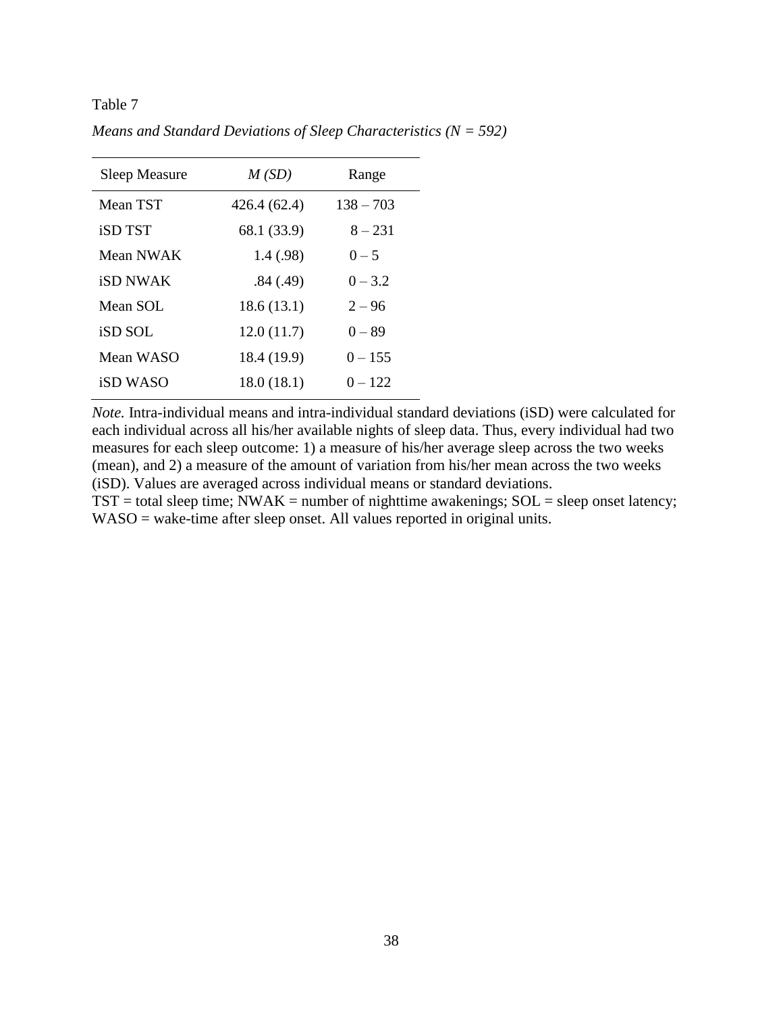| <b>Sleep Measure</b> | M(SD)        | Range       |
|----------------------|--------------|-------------|
| Mean TST             | 426.4 (62.4) | $138 - 703$ |
| <b>iSD TST</b>       | 68.1 (33.9)  | $8 - 231$   |
| Mean NWAK            | 1.4(0.98)    | $0 - 5$     |
| <b>iSD NWAK</b>      | .84(.49)     | $0 - 3.2$   |
| Mean SOL             | 18.6(13.1)   | $2 - 96$    |
| <b>iSD SOL</b>       | 12.0(11.7)   | $0 - 89$    |
| Mean WASO            | 18.4 (19.9)  | $0 - 155$   |
| iSD WASO             | 18.0(18.1)   | $0 - 122$   |

*Means and Standard Deviations of Sleep Characteristics (N = 592)*

*Note.* Intra-individual means and intra-individual standard deviations (iSD) were calculated for each individual across all his/her available nights of sleep data. Thus, every individual had two measures for each sleep outcome: 1) a measure of his/her average sleep across the two weeks (mean), and 2) a measure of the amount of variation from his/her mean across the two weeks (iSD). Values are averaged across individual means or standard deviations.

 $TST =$  total sleep time; NWAK = number of nighttime awakenings;  $SOL =$  sleep onset latency; WASO = wake-time after sleep onset. All values reported in original units.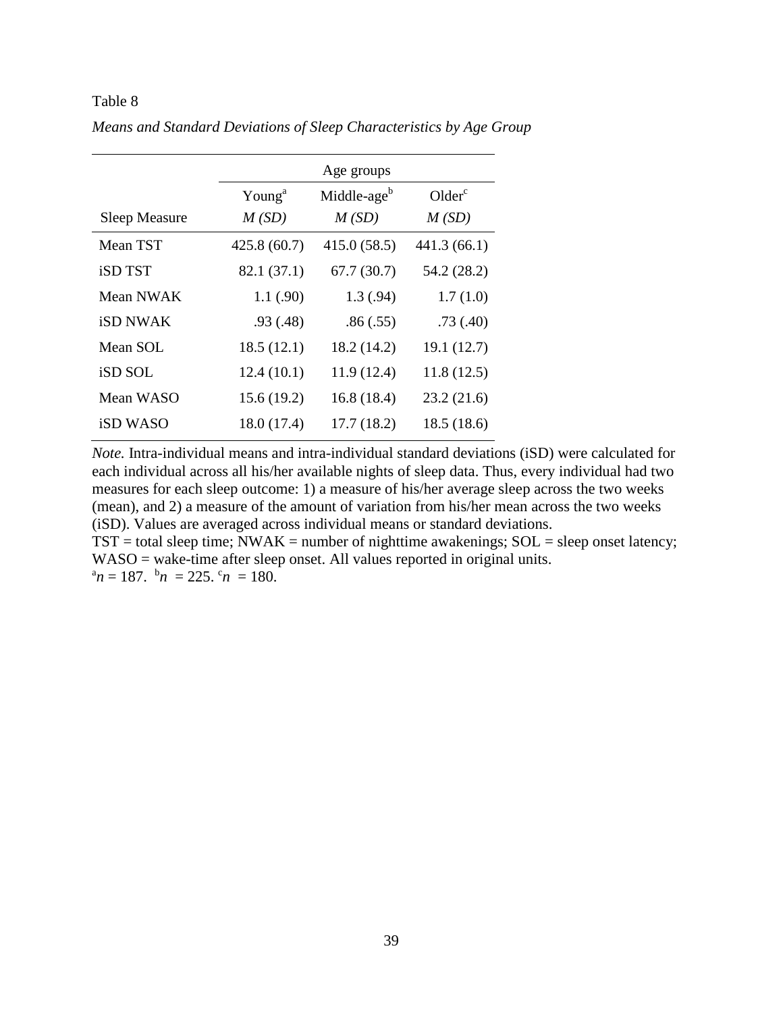|                      | Age groups         |                         |                    |  |  |  |  |
|----------------------|--------------------|-------------------------|--------------------|--|--|--|--|
|                      | Young <sup>a</sup> | Middle-age <sup>b</sup> | Older <sup>c</sup> |  |  |  |  |
| <b>Sleep Measure</b> | M(SD)              | M(SD)                   | M(SD)              |  |  |  |  |
| Mean TST             | 425.8(60.7)        | 415.0(58.5)             | 441.3 (66.1)       |  |  |  |  |
| <b>iSD TST</b>       | 82.1 (37.1)        | 67.7(30.7)              | 54.2 (28.2)        |  |  |  |  |
| Mean NWAK            | 1.1(0.90)          | 1.3(0.94)               | 1.7(1.0)           |  |  |  |  |
| <b>iSD NWAK</b>      | .93(0.48)          | .86(.55)                | .73(.40)           |  |  |  |  |
| Mean SOL             | 18.5(12.1)         | 18.2 (14.2)             | 19.1(12.7)         |  |  |  |  |
| iSD SOL              | 12.4(10.1)         | 11.9(12.4)              | 11.8(12.5)         |  |  |  |  |
| Mean WASO            | 15.6(19.2)         | 16.8(18.4)              | 23.2(21.6)         |  |  |  |  |
| <b>iSD WASO</b>      | 18.0(17.4)         | 17.7(18.2)              | 18.5(18.6)         |  |  |  |  |

*Means and Standard Deviations of Sleep Characteristics by Age Group*

*Note.* Intra-individual means and intra-individual standard deviations (iSD) were calculated for each individual across all his/her available nights of sleep data. Thus, every individual had two measures for each sleep outcome: 1) a measure of his/her average sleep across the two weeks (mean), and 2) a measure of the amount of variation from his/her mean across the two weeks (iSD). Values are averaged across individual means or standard deviations.

 $TST =$  total sleep time;  $\overline{N}WAK =$  number of nighttime awakenings;  $SOL =$  sleep onset latency; WASO = wake-time after sleep onset. All values reported in original units.  $\alpha^n n = 187$ .  $\alpha^n n = 225$ .  $\alpha^n n = 180$ .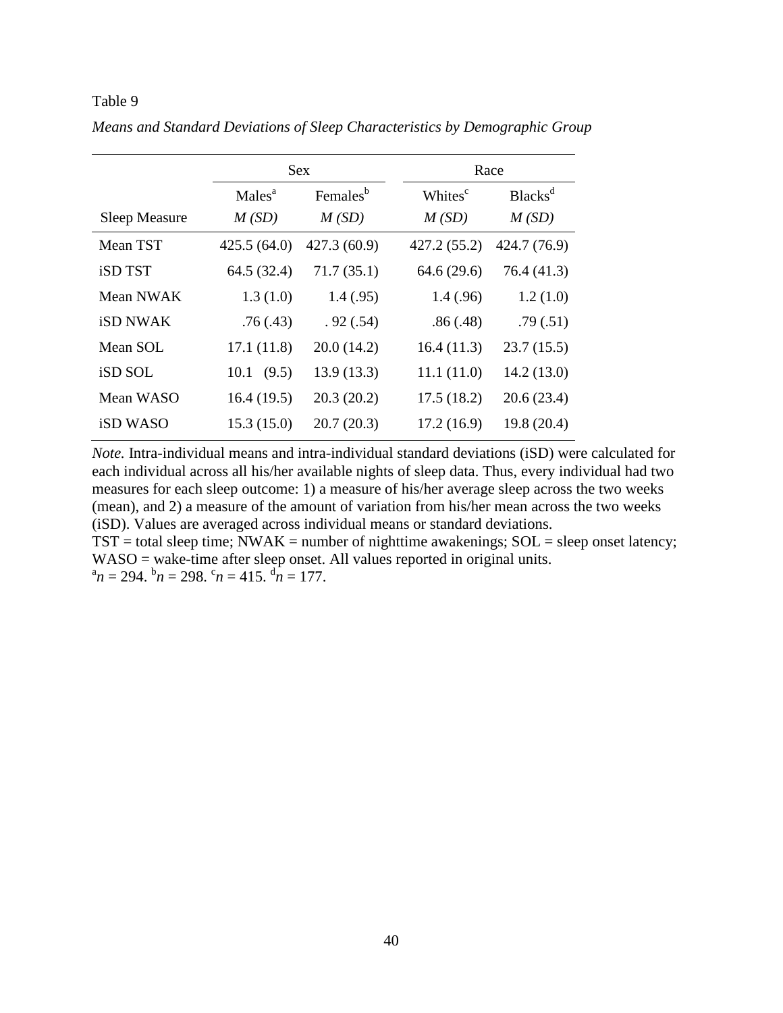|                 |                    | <b>Sex</b>           |                     | Race                       |
|-----------------|--------------------|----------------------|---------------------|----------------------------|
|                 | Males <sup>a</sup> | Females <sup>b</sup> | Whites <sup>c</sup> | <b>Blacks</b> <sup>d</sup> |
| Sleep Measure   | M(SD)              | M(SD)                | M(SD)               | M(SD)                      |
| Mean TST        | 425.5(64.0)        | 427.3 (60.9)         | 427.2 (55.2)        | 424.7 (76.9)               |
| <b>iSD TST</b>  | 64.5 (32.4)        | 71.7(35.1)           | 64.6 (29.6)         | 76.4 (41.3)                |
| Mean NWAK       | 1.3(1.0)           | 1.4(0.95)            | 1.4(0.96)           | 1.2(1.0)                   |
| <b>iSD NWAK</b> | .76(.43)           | .92(.54)             | .86(.48)            | .79(.51)                   |
| Mean SOL        | 17.1(11.8)         | 20.0(14.2)           | 16.4(11.3)          | 23.7(15.5)                 |
| iSD SOL         | (9.5)<br>10.1      | 13.9(13.3)           | 11.1(11.0)          | 14.2(13.0)                 |
| Mean WASO       | 16.4(19.5)         | 20.3(20.2)           | 17.5(18.2)          | 20.6(23.4)                 |
| <b>iSD WASO</b> | 15.3(15.0)         | 20.7(20.3)           | 17.2(16.9)          | 19.8(20.4)                 |

*Means and Standard Deviations of Sleep Characteristics by Demographic Group*

*Note.* Intra-individual means and intra-individual standard deviations (iSD) were calculated for each individual across all his/her available nights of sleep data. Thus, every individual had two measures for each sleep outcome: 1) a measure of his/her average sleep across the two weeks (mean), and 2) a measure of the amount of variation from his/her mean across the two weeks (iSD). Values are averaged across individual means or standard deviations.

 $TST =$  total sleep time; NWAK = number of nighttime awakenings;  $SOL =$  sleep onset latency; WASO = wake-time after sleep onset. All values reported in original units.  $\alpha^n n = 294.$   $\beta^n n = 298.$   $\beta^n n = 415.$   $\beta^n n = 177.$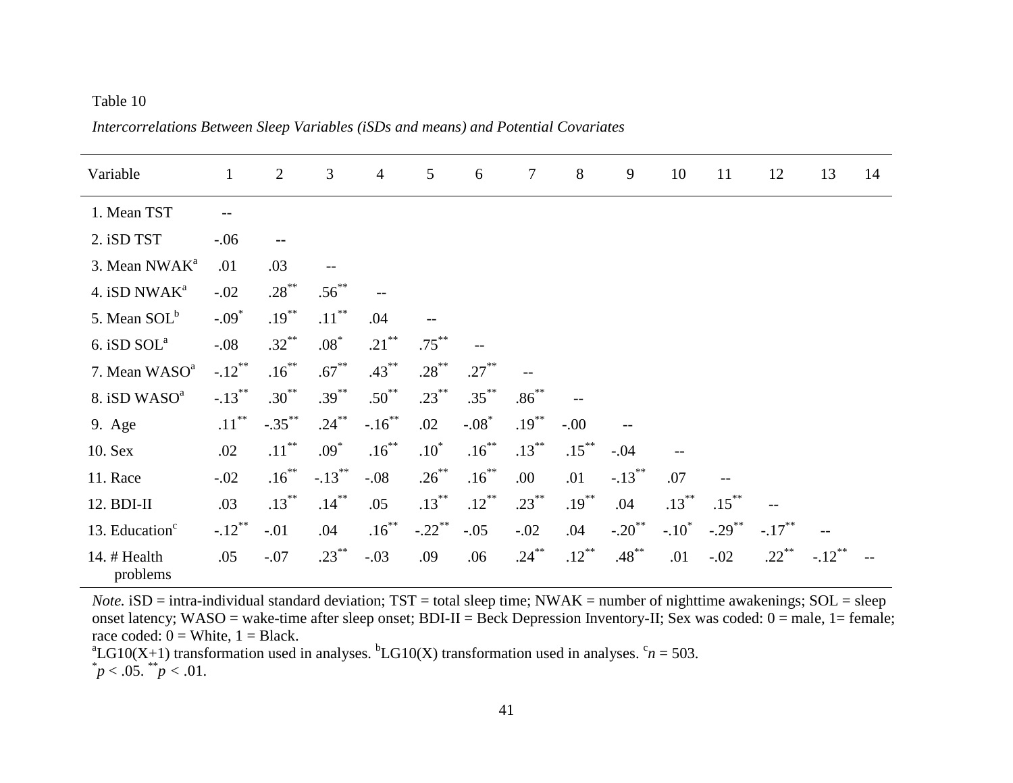Variable 1 2 3 4 5 6 7 8 9 10 11 12 13 14 1. Mean TST --2. iSD TST -.06 **--** 3. Mean NWAK<sup>a</sup> .01 .03 -- 4. iSD NWA $K^a$  $-.02$   $.28$ <sup>\*\*</sup>  $.56^{**}$  -- 5. Mean SOL<sup>b</sup>  $-.09*$  $.19***$  $.11***$ .04 6. iSD  $SOL<sup>a</sup>$  $-.08$   $.32$ <sup>\*\*</sup> \*\*  $.08^*$  $.21$ \*\*  $.75^{*}$  -- 7. Mean WASO<sup>a</sup>  $-.12$ \*\*  $.16$ \*\*  $.67$ \*\*  $.43$ \*\* .28\*\* .27\*\* -- 8. iSD WASO<sup>a</sup>  $-.13$ <sup>\*\*</sup>  $.30^{**}$   $.39^{**}$   $.50^{**}$   $.23^{**}$  $.35$ <sup>\*\*</sup>  $.86*$  -- 9. Age .11<sup>\*\*</sup>  $-.35***$   $.24***$  $-.16$ <sup>\*\*</sup> .02  $-.08*$ .19\*\*  $-00$  --10. Sex .02 .11<sup>\*\*</sup> .09\*  $.16^{**}$   $.10^{*}$  $.16^{**}$   $.13^{**}$  $.15^{**}$  $-.04$ 11. Race  $-0.02$   $16^{**}$  $-.13$ <sup>\*\*</sup>  $-.08$   $.26^{**}$   $.16^{**}$  $.00 \qquad .01 \qquad .13^{**} \qquad .07$ 12. BDI-II  $.03 \t .13^{**} \t .14^{**} \t .05 \t .13^{**}$  $.12$ \*\*  $.23^{**}$   $.19^{**}$  $.04$   $.13^{**}$   $.15^{**}$  -- 13. Education $<sup>c</sup>$ </sup>  $-.12$ <sup>\*\*</sup>  $-.01$  .04 .16<sup>\*\*</sup>  $-.22$ \*\*  $-.05$   $-.02$   $.04$   $-.20$ <sup>\*\*</sup>  $-.10^*$  $-.29$ <sup>\*\*</sup>  $-.17$ <sup>\*</sup> -- 14. # Health problems .05 -.07  $.23***$  $-0.03$  .09 .06 .24<sup>\*\*</sup>  $.12***$  $.48^{**}$  .01  $-.02$  .22<sup>\*</sup>  $-.12***$ --

*Intercorrelations Between Sleep Variables (iSDs and means) and Potential Covariates*

*Note.* iSD = intra-individual standard deviation;  $TST =$  total sleep time;  $NWAK =$  number of nighttime awakenings;  $SOL =$  sleep onset latency; WASO = wake-time after sleep onset; BDI-II = Beck Depression Inventory-II; Sex was coded: 0 = male, 1 = female; race coded:  $0 =$  White,  $1 =$  Black.

<sup>a</sup>LG10(X+1) transformation used in analyses. <sup>b</sup>LG10(X) transformation used in analyses.  $c_n = 503$ .  $p < .05.$  \*\* $p < .01.$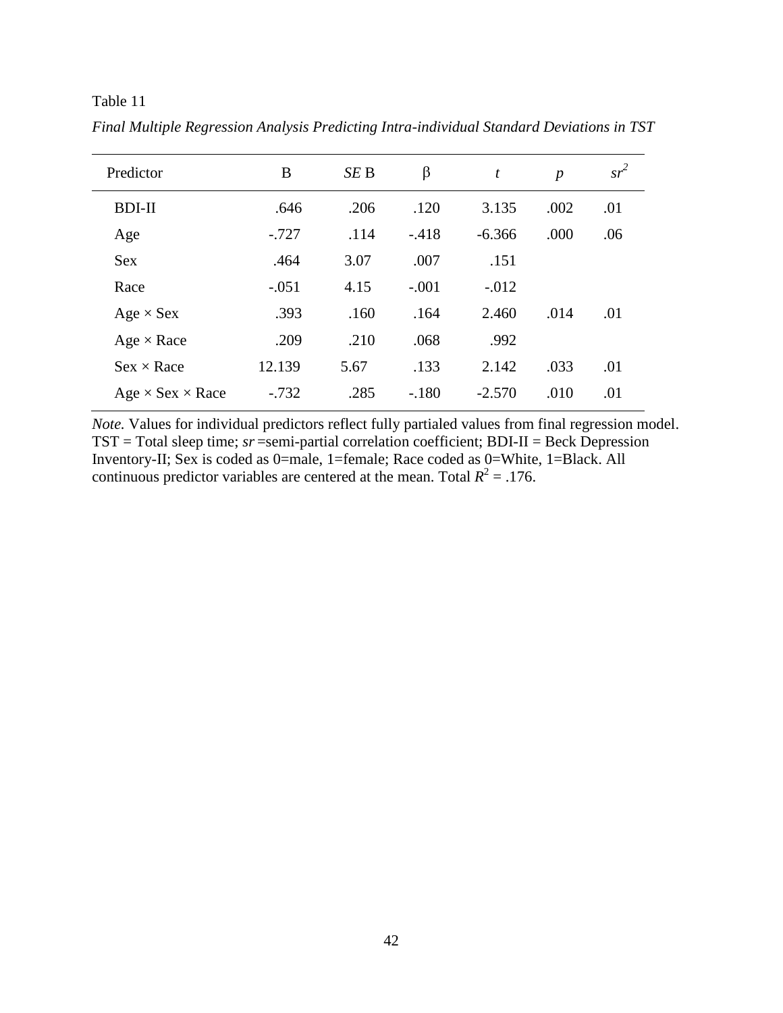| Predictor                    | B       | SE B | β       | t        | $\boldsymbol{p}$ | $sr^2$ |
|------------------------------|---------|------|---------|----------|------------------|--------|
| <b>BDI-II</b>                | .646    | .206 | .120    | 3.135    | .002             | .01    |
| Age                          | $-.727$ | .114 | $-.418$ | $-6.366$ | .000             | .06    |
| <b>Sex</b>                   | .464    | 3.07 | .007    | .151     |                  |        |
| Race                         | $-.051$ | 4.15 | $-.001$ | $-.012$  |                  |        |
| $Age \times Sex$             | .393    | .160 | .164    | 2.460    | .014             | .01    |
| $Age \times Race$            | .209    | .210 | .068    | .992     |                  |        |
| $Sex \times Race$            | 12.139  | 5.67 | .133    | 2.142    | .033             | .01    |
| $Age \times Sex \times Race$ | $-.732$ | .285 | $-.180$ | $-2.570$ | .010             | .01    |

*Final Multiple Regression Analysis Predicting Intra-individual Standard Deviations in TST*

*Note.* Values for individual predictors reflect fully partialed values from final regression model. TST = Total sleep time; *sr* =semi-partial correlation coefficient; BDI-II = Beck Depression Inventory-II; Sex is coded as 0=male, 1=female; Race coded as 0=White, 1=Black. All continuous predictor variables are centered at the mean. Total  $R^2 = 0.176$ .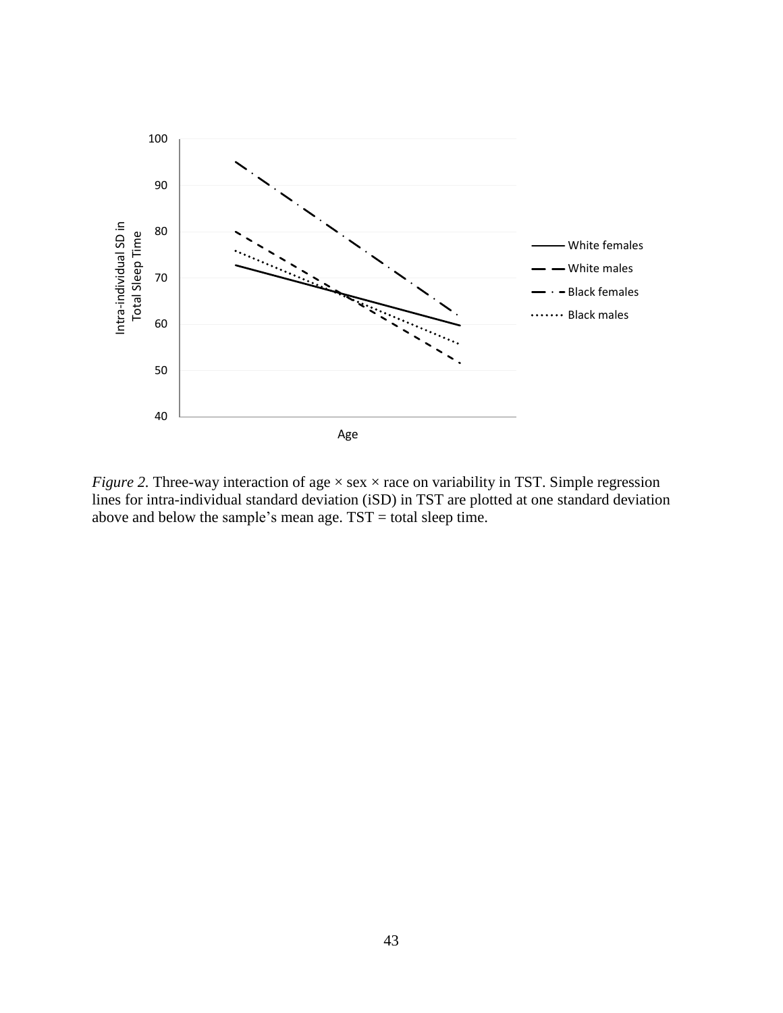

*Figure 2.* Three-way interaction of age  $\times$  sex  $\times$  race on variability in TST. Simple regression lines for intra-individual standard deviation (iSD) in TST are plotted at one standard deviation above and below the sample's mean age. TST = total sleep time.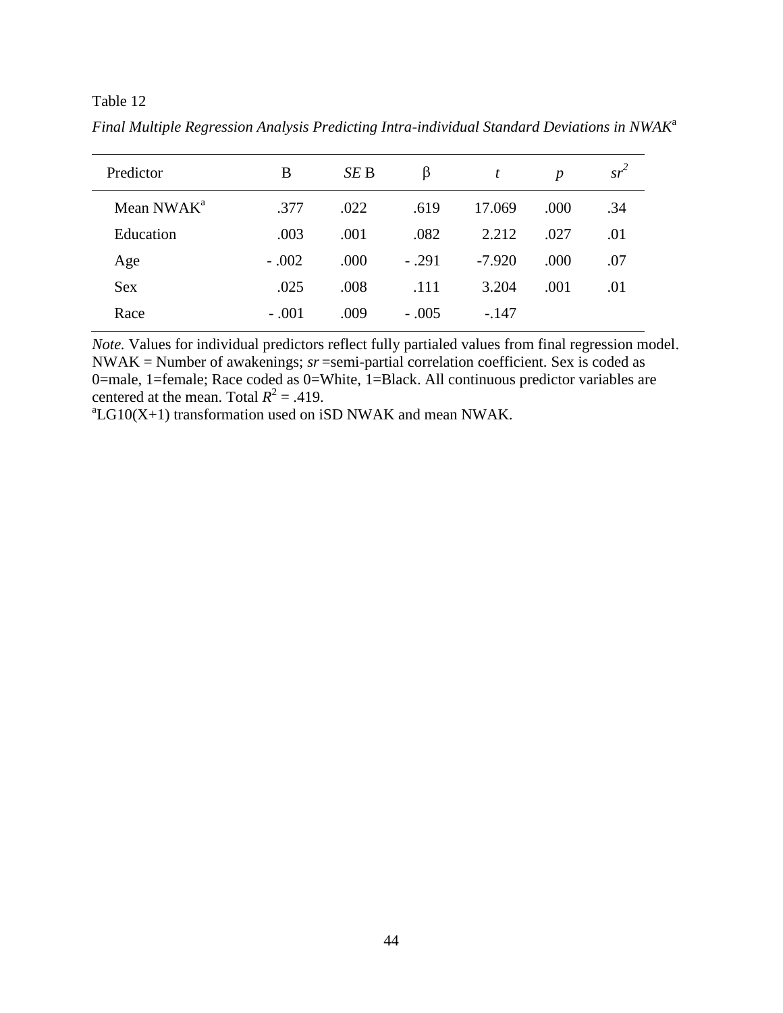| Predictor              | B       | SE B | β       | t        | $\boldsymbol{p}$ | $sr^2$ |
|------------------------|---------|------|---------|----------|------------------|--------|
| Mean NWAK <sup>a</sup> | .377    | .022 | .619    | 17.069   | .000             | .34    |
| Education              | .003    | .001 | .082    | 2.212    | .027             | .01    |
| Age                    | $-.002$ | .000 | $-.291$ | $-7.920$ | .000             | .07    |
| <b>Sex</b>             | .025    | .008 | .111    | 3.204    | .001             | .01    |
| Race                   | $-.001$ | .009 | $-.005$ | $-.147$  |                  |        |

*Final Multiple Regression Analysis Predicting Intra-individual Standard Deviations in NWAK*<sup>a</sup>

*Note.* Values for individual predictors reflect fully partialed values from final regression model. NWAK = Number of awakenings; *sr* =semi-partial correlation coefficient. Sex is coded as 0=male, 1=female; Race coded as 0=White, 1=Black. All continuous predictor variables are centered at the mean. Total  $R^2 = .419$ .

 ${}^{a}LG10(X+1)$  transformation used on iSD NWAK and mean NWAK.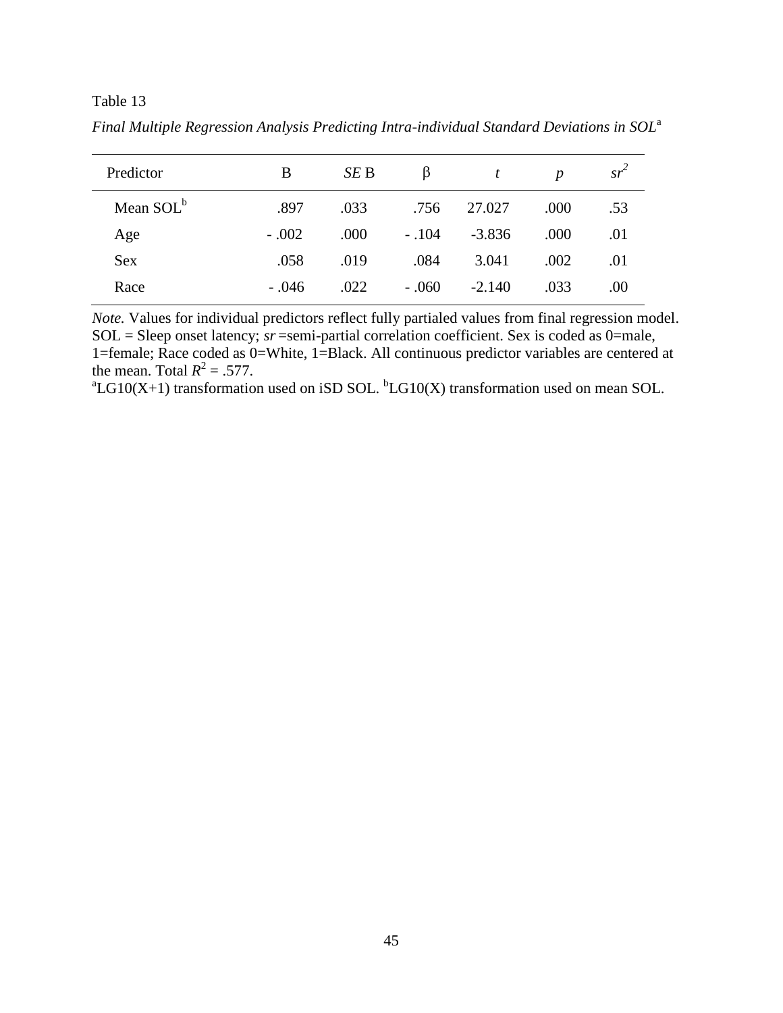| Predictor             | B       | SE B | β       | t        | $\boldsymbol{p}$ | $sr^2$ |
|-----------------------|---------|------|---------|----------|------------------|--------|
| Mean SOL <sup>b</sup> | .897    | .033 | .756    | 27.027   | .000             | .53    |
| Age                   | $-.002$ | .000 | $-.104$ | $-3.836$ | .000             | .01    |
| <b>Sex</b>            | .058    | .019 | .084    | 3.041    | .002             | .01    |
| Race                  | $-.046$ | .022 | $-.060$ | $-2.140$ | .033             | .00    |

*Final Multiple Regression Analysis Predicting Intra-individual Standard Deviations in SOL*<sup>a</sup>

*Note.* Values for individual predictors reflect fully partialed values from final regression model. SOL = Sleep onset latency; *sr* =semi-partial correlation coefficient. Sex is coded as 0=male, 1=female; Race coded as 0=White, 1=Black. All continuous predictor variables are centered at the mean. Total  $R^2 = .577$ .

 ${}^{a}LG10(X+1)$  transformation used on iSD SOL.  ${}^{b}LG10(X)$  transformation used on mean SOL.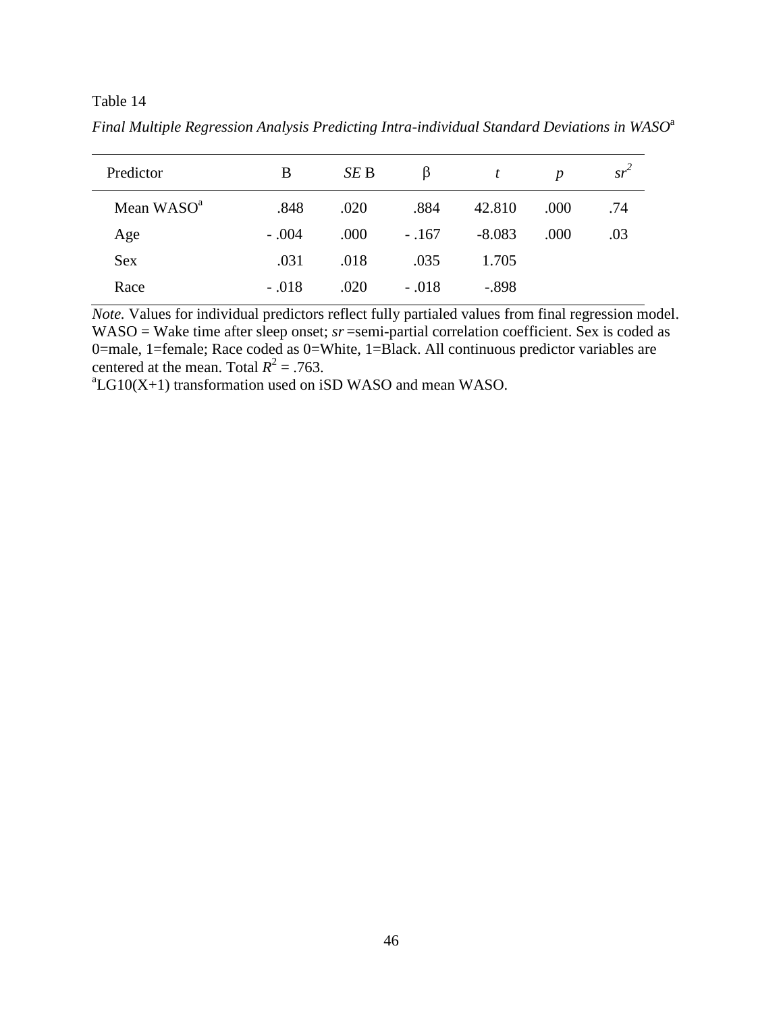| Predictor              | B       | SE B | β       |          | $\boldsymbol{p}$ | $sr^2$ |
|------------------------|---------|------|---------|----------|------------------|--------|
| Mean WASO <sup>a</sup> | .848    | .020 | .884    | 42.810   | .000             | .74    |
| Age                    | $-.004$ | .000 | $-.167$ | $-8.083$ | .000             | .03    |
| <b>Sex</b>             | .031    | .018 | .035    | 1.705    |                  |        |
| Race                   | $-.018$ | .020 | $-.018$ | $-.898$  |                  |        |

Final Multiple Regression Analysis Predicting Intra-individual Standard Deviations in WASO<sup>a</sup>

*Note.* Values for individual predictors reflect fully partialed values from final regression model. WASO = Wake time after sleep onset; *sr* = semi-partial correlation coefficient. Sex is coded as 0=male, 1=female; Race coded as 0=White, 1=Black. All continuous predictor variables are centered at the mean. Total  $R^2 = .763$ .

 ${}^{a}$ LG10(X+1) transformation used on iSD WASO and mean WASO.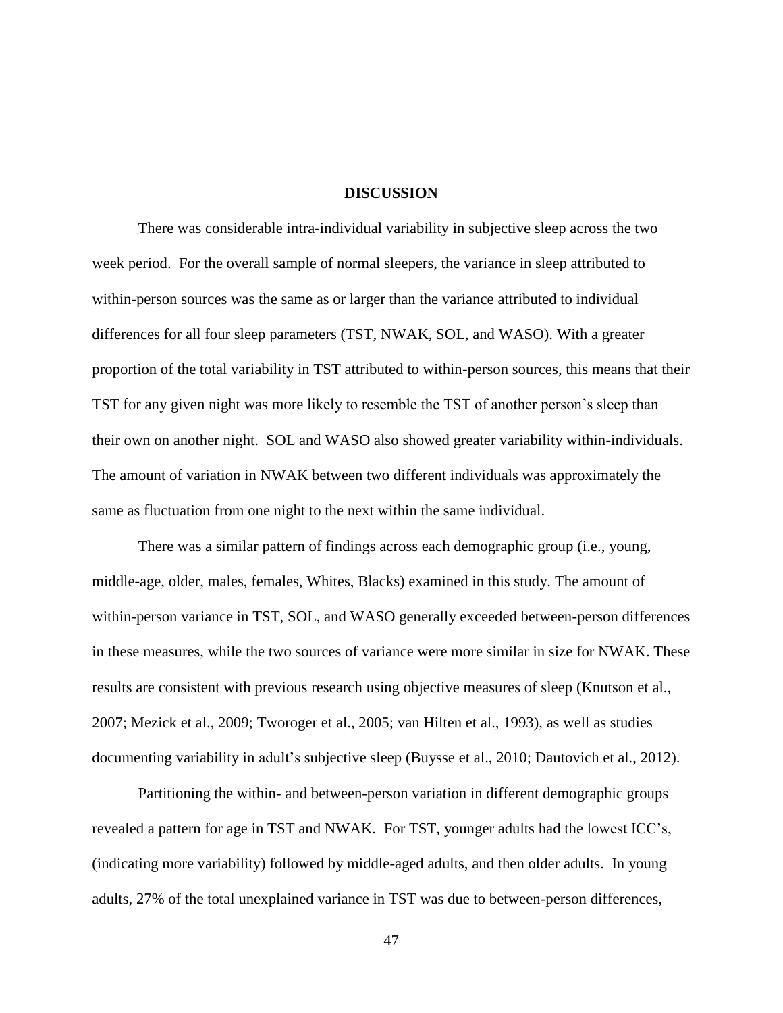#### **DISCUSSION**

There was considerable intra-individual variability in subjective sleep across the two week period. For the overall sample of normal sleepers, the variance in sleep attributed to within-person sources was the same as or larger than the variance attributed to individual differences for all four sleep parameters (TST, NWAK, SOL, and WASO). With a greater proportion of the total variability in TST attributed to within-person sources, this means that their TST for any given night was more likely to resemble the TST of another person's sleep than their own on another night. SOL and WASO also showed greater variability within-individuals. The amount of variation in NWAK between two different individuals was approximately the same as fluctuation from one night to the next within the same individual.

There was a similar pattern of findings across each demographic group (i.e., young, middle-age, older, males, females, Whites, Blacks) examined in this study. The amount of within-person variance in TST, SOL, and WASO generally exceeded between-person differences in these measures, while the two sources of variance were more similar in size for NWAK. These results are consistent with previous research using objective measures of sleep (Knutson et al., 2007; Mezick et al., 2009; Tworoger et al., 2005; van Hilten et al., 1993), as well as studies documenting variability in adult's subjective sleep (Buysse et al., 2010; Dautovich et al., 2012).

Partitioning the within- and between-person variation in different demographic groups revealed a pattern for age in TST and NWAK. For TST, younger adults had the lowest ICC's, (indicating more variability) followed by middle-aged adults, and then older adults. In young adults, 27% of the total unexplained variance in TST was due to between-person differences,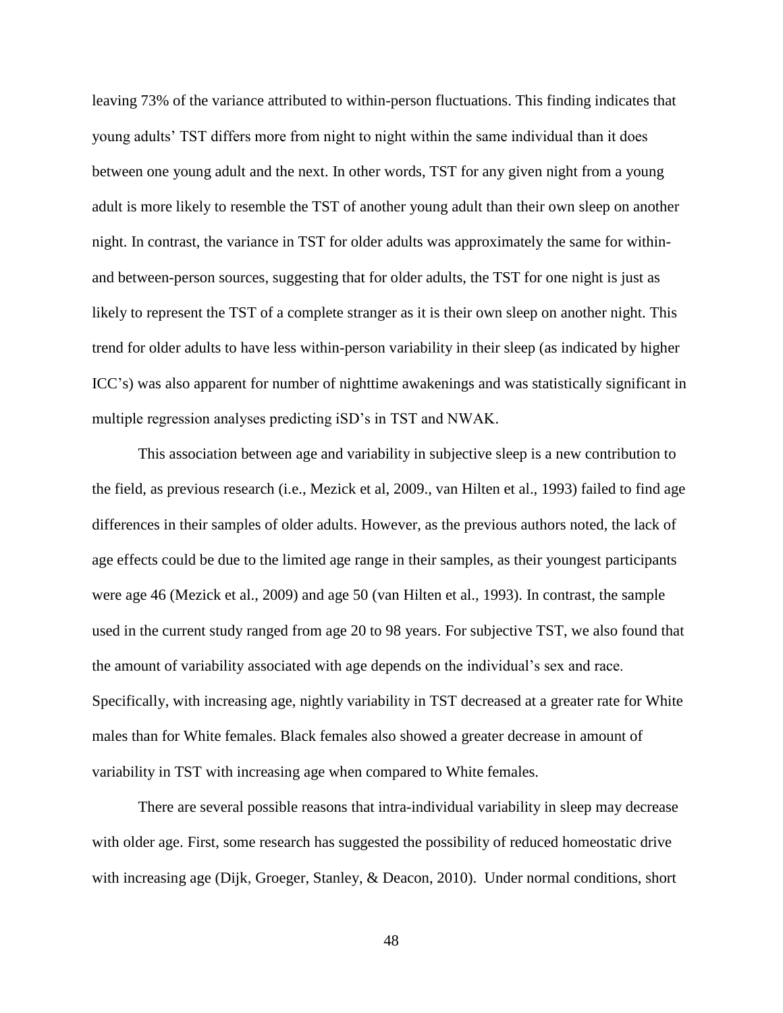leaving 73% of the variance attributed to within-person fluctuations. This finding indicates that young adults' TST differs more from night to night within the same individual than it does between one young adult and the next. In other words, TST for any given night from a young adult is more likely to resemble the TST of another young adult than their own sleep on another night. In contrast, the variance in TST for older adults was approximately the same for withinand between-person sources, suggesting that for older adults, the TST for one night is just as likely to represent the TST of a complete stranger as it is their own sleep on another night. This trend for older adults to have less within-person variability in their sleep (as indicated by higher ICC's) was also apparent for number of nighttime awakenings and was statistically significant in multiple regression analyses predicting iSD's in TST and NWAK.

This association between age and variability in subjective sleep is a new contribution to the field, as previous research (i.e., Mezick et al, 2009., van Hilten et al., 1993) failed to find age differences in their samples of older adults. However, as the previous authors noted, the lack of age effects could be due to the limited age range in their samples, as their youngest participants were age 46 (Mezick et al., 2009) and age 50 (van Hilten et al., 1993). In contrast, the sample used in the current study ranged from age 20 to 98 years. For subjective TST, we also found that the amount of variability associated with age depends on the individual's sex and race. Specifically, with increasing age, nightly variability in TST decreased at a greater rate for White males than for White females. Black females also showed a greater decrease in amount of variability in TST with increasing age when compared to White females.

There are several possible reasons that intra-individual variability in sleep may decrease with older age. First, some research has suggested the possibility of reduced homeostatic drive with increasing age (Dijk, Groeger, Stanley, & Deacon, 2010). Under normal conditions, short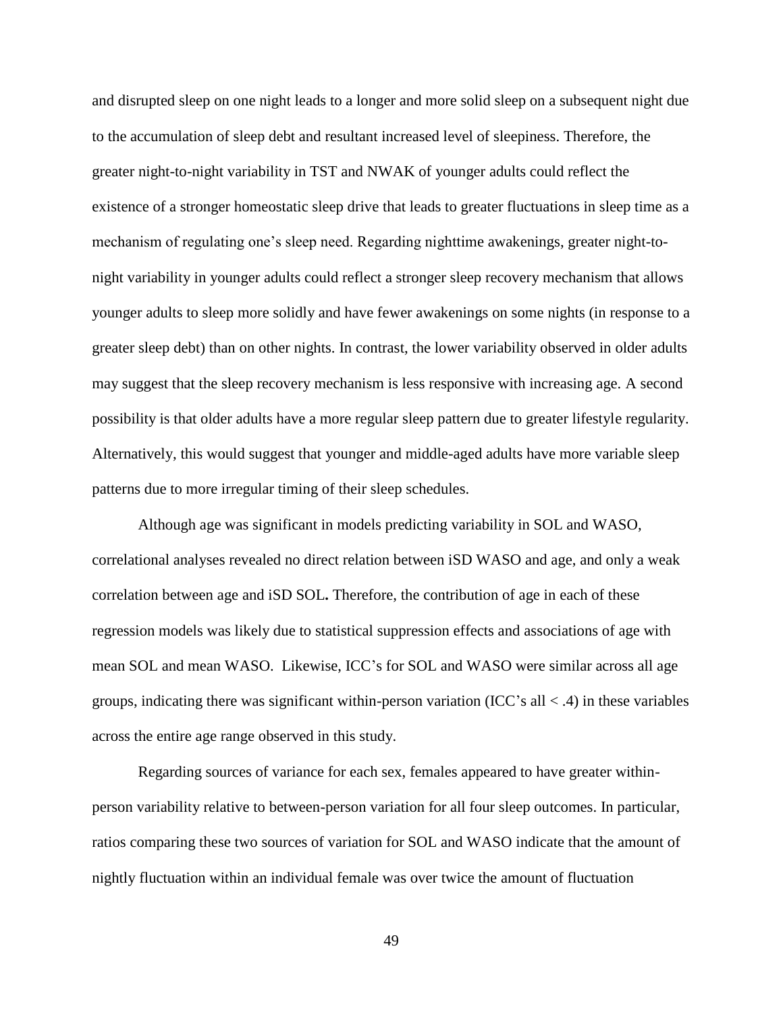and disrupted sleep on one night leads to a longer and more solid sleep on a subsequent night due to the accumulation of sleep debt and resultant increased level of sleepiness. Therefore, the greater night-to-night variability in TST and NWAK of younger adults could reflect the existence of a stronger homeostatic sleep drive that leads to greater fluctuations in sleep time as a mechanism of regulating one's sleep need. Regarding nighttime awakenings, greater night-tonight variability in younger adults could reflect a stronger sleep recovery mechanism that allows younger adults to sleep more solidly and have fewer awakenings on some nights (in response to a greater sleep debt) than on other nights. In contrast, the lower variability observed in older adults may suggest that the sleep recovery mechanism is less responsive with increasing age. A second possibility is that older adults have a more regular sleep pattern due to greater lifestyle regularity. Alternatively, this would suggest that younger and middle-aged adults have more variable sleep patterns due to more irregular timing of their sleep schedules.

Although age was significant in models predicting variability in SOL and WASO, correlational analyses revealed no direct relation between iSD WASO and age, and only a weak correlation between age and iSD SOL**.** Therefore, the contribution of age in each of these regression models was likely due to statistical suppression effects and associations of age with mean SOL and mean WASO. Likewise, ICC's for SOL and WASO were similar across all age groups, indicating there was significant within-person variation (ICC's all  $\lt$  .4) in these variables across the entire age range observed in this study.

Regarding sources of variance for each sex, females appeared to have greater withinperson variability relative to between-person variation for all four sleep outcomes. In particular, ratios comparing these two sources of variation for SOL and WASO indicate that the amount of nightly fluctuation within an individual female was over twice the amount of fluctuation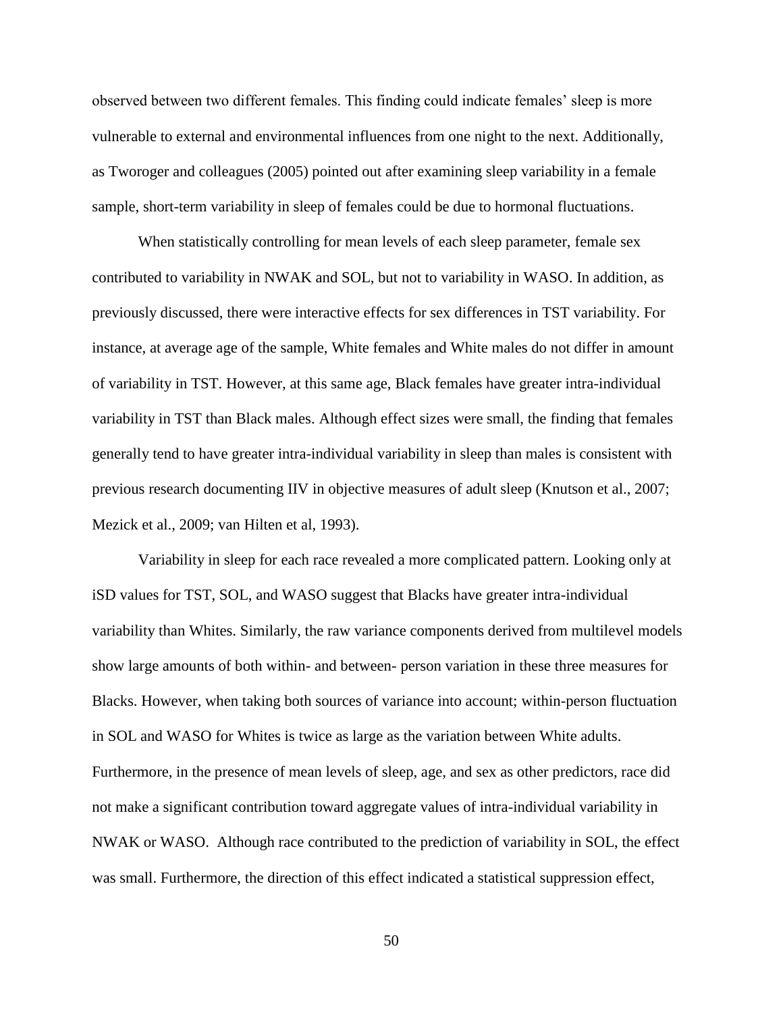observed between two different females. This finding could indicate females' sleep is more vulnerable to external and environmental influences from one night to the next. Additionally, as Tworoger and colleagues (2005) pointed out after examining sleep variability in a female sample, short-term variability in sleep of females could be due to hormonal fluctuations.

When statistically controlling for mean levels of each sleep parameter, female sex contributed to variability in NWAK and SOL, but not to variability in WASO. In addition, as previously discussed, there were interactive effects for sex differences in TST variability. For instance, at average age of the sample, White females and White males do not differ in amount of variability in TST. However, at this same age, Black females have greater intra-individual variability in TST than Black males. Although effect sizes were small, the finding that females generally tend to have greater intra-individual variability in sleep than males is consistent with previous research documenting IIV in objective measures of adult sleep (Knutson et al., 2007; Mezick et al., 2009; van Hilten et al, 1993).

Variability in sleep for each race revealed a more complicated pattern. Looking only at iSD values for TST, SOL, and WASO suggest that Blacks have greater intra-individual variability than Whites. Similarly, the raw variance components derived from multilevel models show large amounts of both within- and between- person variation in these three measures for Blacks. However, when taking both sources of variance into account; within-person fluctuation in SOL and WASO for Whites is twice as large as the variation between White adults. Furthermore, in the presence of mean levels of sleep, age, and sex as other predictors, race did not make a significant contribution toward aggregate values of intra-individual variability in NWAK or WASO. Although race contributed to the prediction of variability in SOL, the effect was small. Furthermore, the direction of this effect indicated a statistical suppression effect,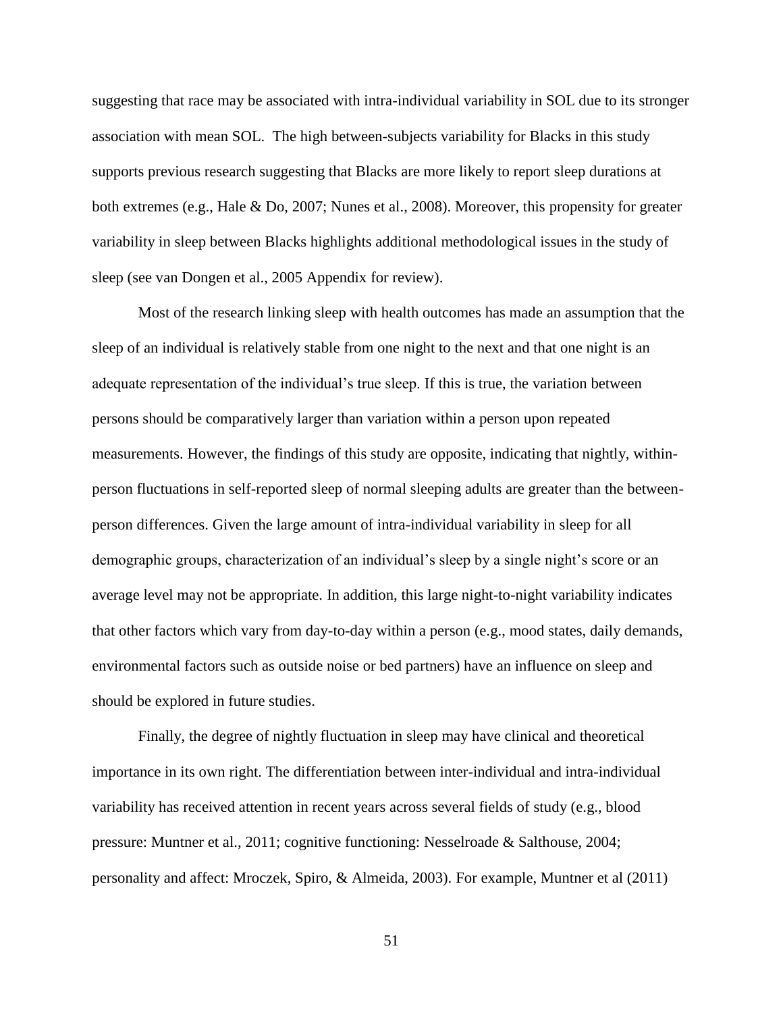suggesting that race may be associated with intra-individual variability in SOL due to its stronger association with mean SOL. The high between-subjects variability for Blacks in this study supports previous research suggesting that Blacks are more likely to report sleep durations at both extremes (e.g., Hale & Do, 2007; Nunes et al., 2008). Moreover, this propensity for greater variability in sleep between Blacks highlights additional methodological issues in the study of sleep (see van Dongen et al., 2005 Appendix for review).

Most of the research linking sleep with health outcomes has made an assumption that the sleep of an individual is relatively stable from one night to the next and that one night is an adequate representation of the individual's true sleep. If this is true, the variation between persons should be comparatively larger than variation within a person upon repeated measurements. However, the findings of this study are opposite, indicating that nightly, withinperson fluctuations in self-reported sleep of normal sleeping adults are greater than the betweenperson differences. Given the large amount of intra-individual variability in sleep for all demographic groups, characterization of an individual's sleep by a single night's score or an average level may not be appropriate. In addition, this large night-to-night variability indicates that other factors which vary from day-to-day within a person (e.g., mood states, daily demands, environmental factors such as outside noise or bed partners) have an influence on sleep and should be explored in future studies.

Finally, the degree of nightly fluctuation in sleep may have clinical and theoretical importance in its own right. The differentiation between inter-individual and intra-individual variability has received attention in recent years across several fields of study (e.g., blood pressure: Muntner et al., 2011; cognitive functioning: Nesselroade & Salthouse, 2004; personality and affect: Mroczek, Spiro, & Almeida, 2003). For example, Muntner et al (2011)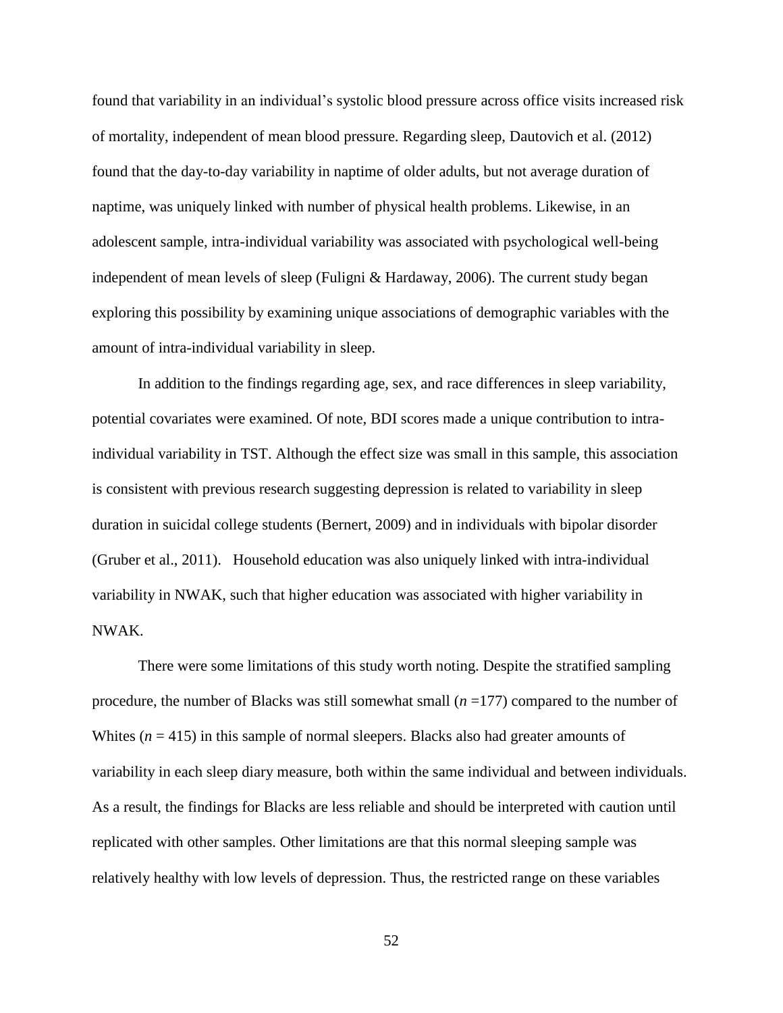found that variability in an individual's systolic blood pressure across office visits increased risk of mortality, independent of mean blood pressure. Regarding sleep, Dautovich et al. (2012) found that the day-to-day variability in naptime of older adults, but not average duration of naptime, was uniquely linked with number of physical health problems. Likewise, in an adolescent sample, intra-individual variability was associated with psychological well-being independent of mean levels of sleep (Fuligni & Hardaway, 2006). The current study began exploring this possibility by examining unique associations of demographic variables with the amount of intra-individual variability in sleep.

In addition to the findings regarding age, sex, and race differences in sleep variability, potential covariates were examined. Of note, BDI scores made a unique contribution to intraindividual variability in TST. Although the effect size was small in this sample, this association is consistent with previous research suggesting depression is related to variability in sleep duration in suicidal college students (Bernert, 2009) and in individuals with bipolar disorder (Gruber et al., 2011). Household education was also uniquely linked with intra-individual variability in NWAK, such that higher education was associated with higher variability in NWAK.

There were some limitations of this study worth noting. Despite the stratified sampling procedure, the number of Blacks was still somewhat small (*n* =177) compared to the number of Whites ( $n = 415$ ) in this sample of normal sleepers. Blacks also had greater amounts of variability in each sleep diary measure, both within the same individual and between individuals. As a result, the findings for Blacks are less reliable and should be interpreted with caution until replicated with other samples. Other limitations are that this normal sleeping sample was relatively healthy with low levels of depression. Thus, the restricted range on these variables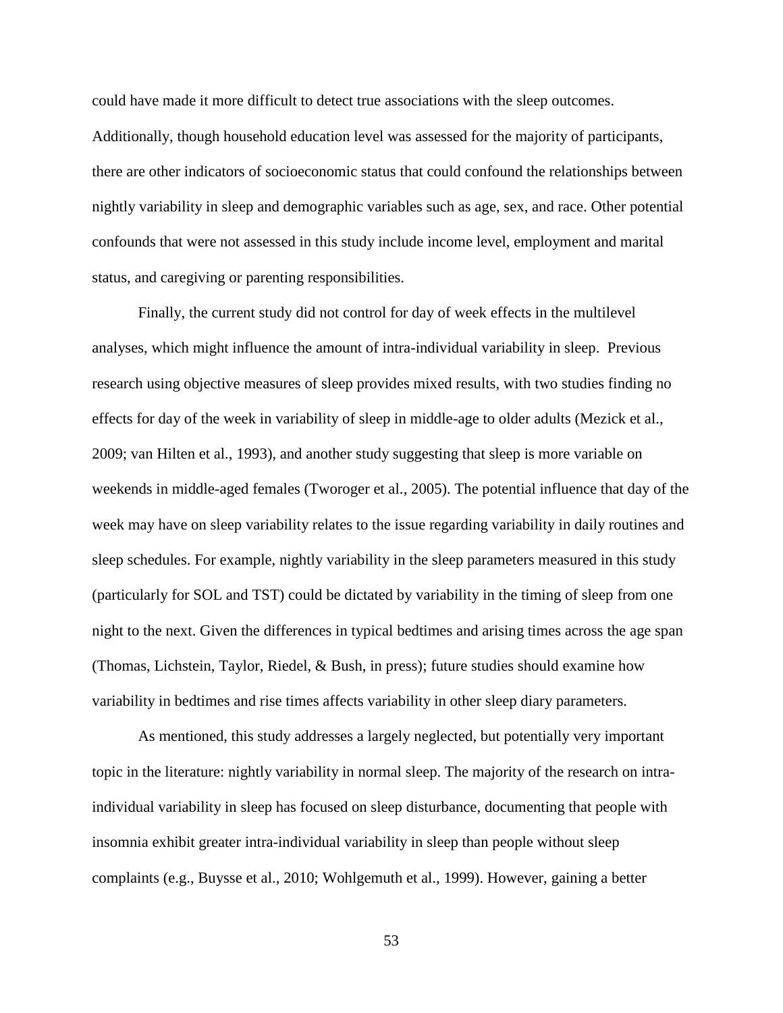could have made it more difficult to detect true associations with the sleep outcomes. Additionally, though household education level was assessed for the majority of participants, there are other indicators of socioeconomic status that could confound the relationships between nightly variability in sleep and demographic variables such as age, sex, and race. Other potential confounds that were not assessed in this study include income level, employment and marital status, and caregiving or parenting responsibilities.

Finally, the current study did not control for day of week effects in the multilevel analyses, which might influence the amount of intra-individual variability in sleep. Previous research using objective measures of sleep provides mixed results, with two studies finding no effects for day of the week in variability of sleep in middle-age to older adults (Mezick et al., 2009; van Hilten et al., 1993), and another study suggesting that sleep is more variable on weekends in middle-aged females (Tworoger et al., 2005). The potential influence that day of the week may have on sleep variability relates to the issue regarding variability in daily routines and sleep schedules. For example, nightly variability in the sleep parameters measured in this study (particularly for SOL and TST) could be dictated by variability in the timing of sleep from one night to the next. Given the differences in typical bedtimes and arising times across the age span (Thomas, Lichstein, Taylor, Riedel, & Bush, in press); future studies should examine how variability in bedtimes and rise times affects variability in other sleep diary parameters.

As mentioned, this study addresses a largely neglected, but potentially very important topic in the literature: nightly variability in normal sleep. The majority of the research on intraindividual variability in sleep has focused on sleep disturbance, documenting that people with insomnia exhibit greater intra-individual variability in sleep than people without sleep complaints (e.g., Buysse et al., 2010; Wohlgemuth et al., 1999). However, gaining a better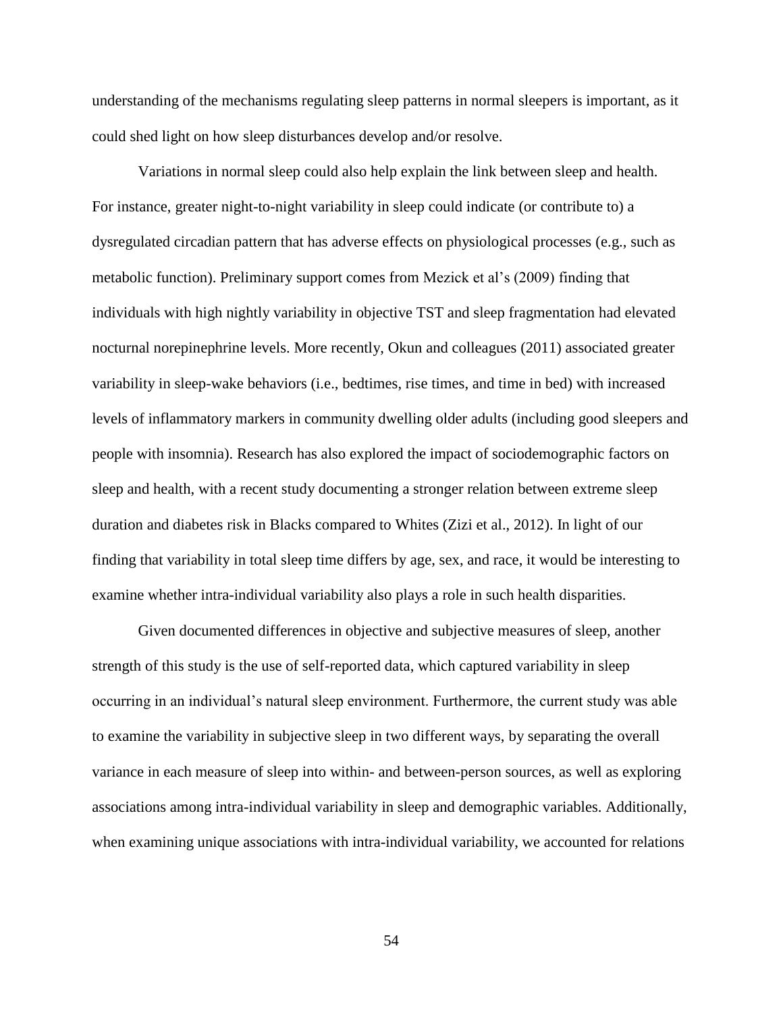understanding of the mechanisms regulating sleep patterns in normal sleepers is important, as it could shed light on how sleep disturbances develop and/or resolve.

Variations in normal sleep could also help explain the link between sleep and health. For instance, greater night-to-night variability in sleep could indicate (or contribute to) a dysregulated circadian pattern that has adverse effects on physiological processes (e.g., such as metabolic function). Preliminary support comes from Mezick et al's (2009) finding that individuals with high nightly variability in objective TST and sleep fragmentation had elevated nocturnal norepinephrine levels. More recently, Okun and colleagues (2011) associated greater variability in sleep-wake behaviors (i.e., bedtimes, rise times, and time in bed) with increased levels of inflammatory markers in community dwelling older adults (including good sleepers and people with insomnia). Research has also explored the impact of sociodemographic factors on sleep and health, with a recent study documenting a stronger relation between extreme sleep duration and diabetes risk in Blacks compared to Whites (Zizi et al., 2012). In light of our finding that variability in total sleep time differs by age, sex, and race, it would be interesting to examine whether intra-individual variability also plays a role in such health disparities.

Given documented differences in objective and subjective measures of sleep, another strength of this study is the use of self-reported data, which captured variability in sleep occurring in an individual's natural sleep environment. Furthermore, the current study was able to examine the variability in subjective sleep in two different ways, by separating the overall variance in each measure of sleep into within- and between-person sources, as well as exploring associations among intra-individual variability in sleep and demographic variables. Additionally, when examining unique associations with intra-individual variability, we accounted for relations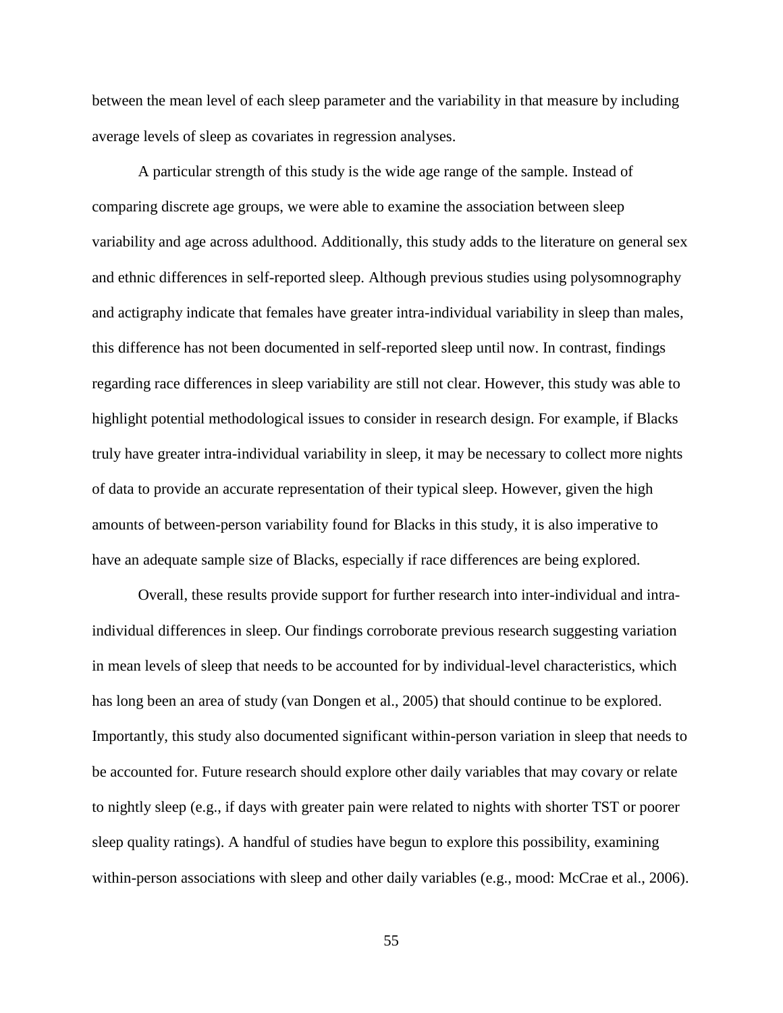between the mean level of each sleep parameter and the variability in that measure by including average levels of sleep as covariates in regression analyses.

A particular strength of this study is the wide age range of the sample. Instead of comparing discrete age groups, we were able to examine the association between sleep variability and age across adulthood. Additionally, this study adds to the literature on general sex and ethnic differences in self-reported sleep. Although previous studies using polysomnography and actigraphy indicate that females have greater intra-individual variability in sleep than males, this difference has not been documented in self-reported sleep until now. In contrast, findings regarding race differences in sleep variability are still not clear. However, this study was able to highlight potential methodological issues to consider in research design. For example, if Blacks truly have greater intra-individual variability in sleep, it may be necessary to collect more nights of data to provide an accurate representation of their typical sleep. However, given the high amounts of between-person variability found for Blacks in this study, it is also imperative to have an adequate sample size of Blacks, especially if race differences are being explored.

Overall, these results provide support for further research into inter-individual and intraindividual differences in sleep. Our findings corroborate previous research suggesting variation in mean levels of sleep that needs to be accounted for by individual-level characteristics, which has long been an area of study (van Dongen et al., 2005) that should continue to be explored. Importantly, this study also documented significant within-person variation in sleep that needs to be accounted for. Future research should explore other daily variables that may covary or relate to nightly sleep (e.g., if days with greater pain were related to nights with shorter TST or poorer sleep quality ratings). A handful of studies have begun to explore this possibility, examining within-person associations with sleep and other daily variables (e.g., mood: McCrae et al., 2006).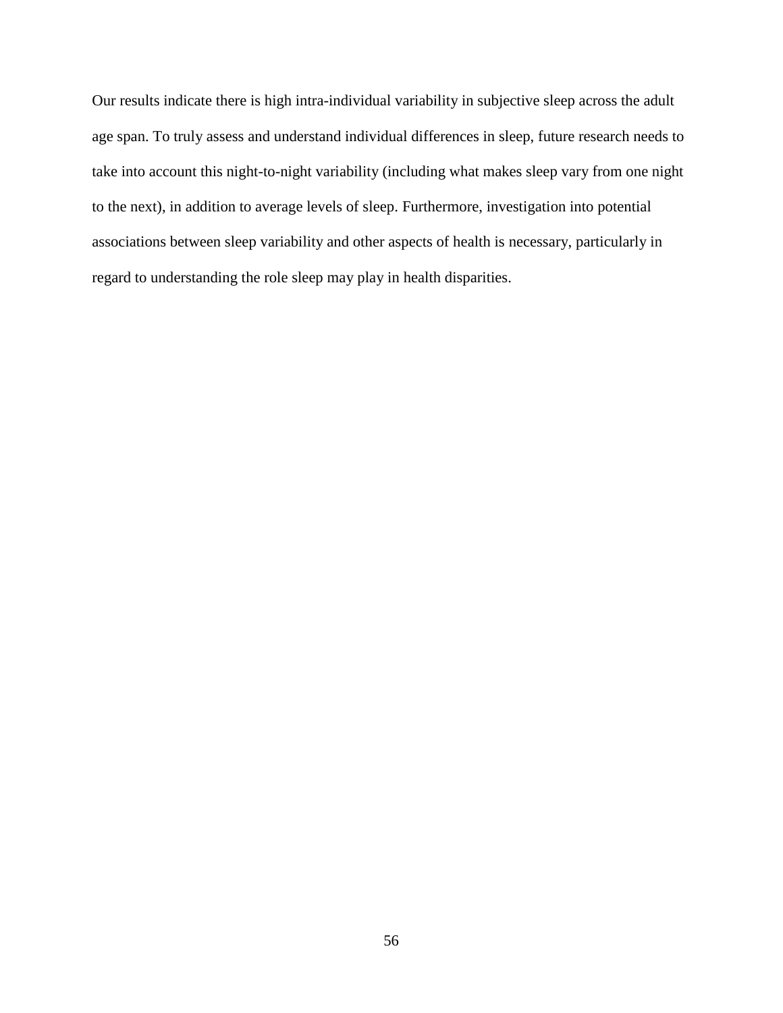Our results indicate there is high intra-individual variability in subjective sleep across the adult age span. To truly assess and understand individual differences in sleep, future research needs to take into account this night-to-night variability (including what makes sleep vary from one night to the next), in addition to average levels of sleep. Furthermore, investigation into potential associations between sleep variability and other aspects of health is necessary, particularly in regard to understanding the role sleep may play in health disparities.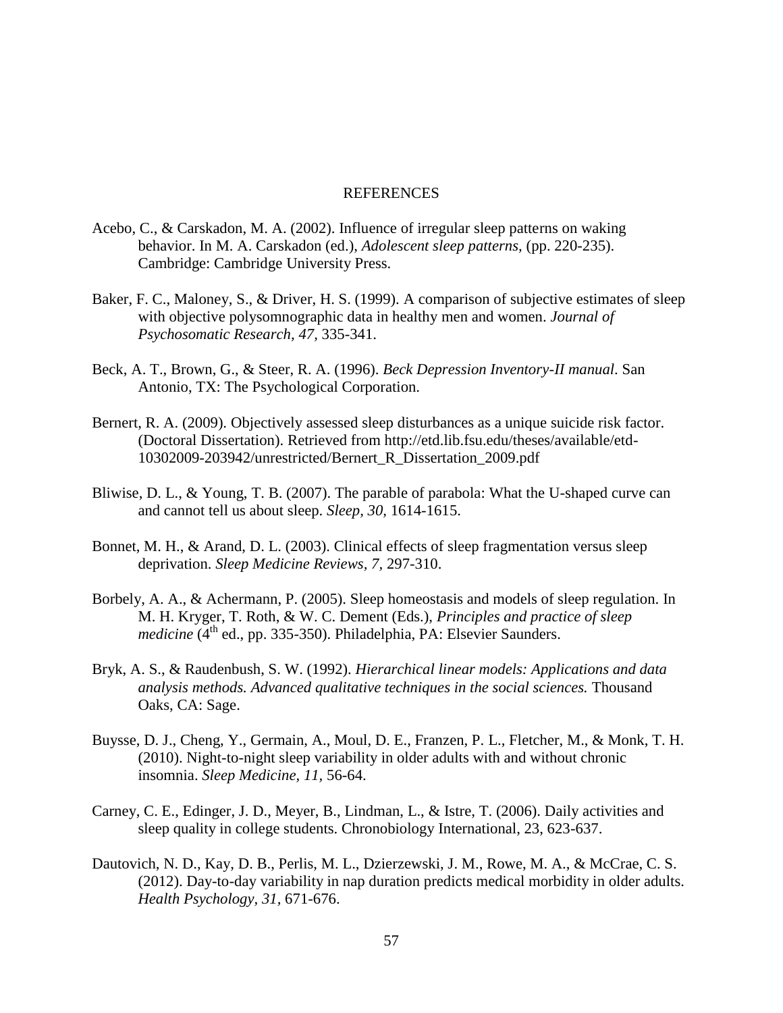#### REFERENCES

- Acebo, C., & Carskadon, M. A. (2002). Influence of irregular sleep patterns on waking behavior. In M. A. Carskadon (ed.), *Adolescent sleep patterns,* (pp. 220-235). Cambridge: Cambridge University Press.
- Baker, F. C., Maloney, S., & Driver, H. S. (1999). A comparison of subjective estimates of sleep with objective polysomnographic data in healthy men and women. *Journal of Psychosomatic Research, 47,* 335-341.
- Beck, A. T., Brown, G., & Steer, R. A. (1996). *Beck Depression Inventory-II manual*. San Antonio, TX: The Psychological Corporation.
- Bernert, R. A. (2009). Objectively assessed sleep disturbances as a unique suicide risk factor. (Doctoral Dissertation). Retrieved from http://etd.lib.fsu.edu/theses/available/etd-10302009-203942/unrestricted/Bernert\_R\_Dissertation\_2009.pdf
- Bliwise, D. L., & Young, T. B. (2007). The parable of parabola: What the U-shaped curve can and cannot tell us about sleep. *Sleep, 30,* 1614-1615.
- Bonnet, M. H., & Arand, D. L. (2003). Clinical effects of sleep fragmentation versus sleep deprivation. *Sleep Medicine Reviews, 7,* 297-310.
- Borbely, A. A., & Achermann, P. (2005). Sleep homeostasis and models of sleep regulation. In M. H. Kryger, T. Roth, & W. C. Dement (Eds.), *Principles and practice of sleep medicine* (4<sup>th</sup> ed., pp. 335-350). Philadelphia, PA: Elsevier Saunders.
- Bryk, A. S., & Raudenbush, S. W. (1992). *Hierarchical linear models: Applications and data analysis methods. Advanced qualitative techniques in the social sciences.* Thousand Oaks, CA: Sage.
- Buysse, D. J., Cheng, Y., Germain, A., Moul, D. E., Franzen, P. L., Fletcher, M., & Monk, T. H. (2010). Night-to-night sleep variability in older adults with and without chronic insomnia. *Sleep Medicine, 11,* 56-64.
- Carney, C. E., Edinger, J. D., Meyer, B., Lindman, L., & Istre, T. (2006). Daily activities and sleep quality in college students. Chronobiology International, 23, 623-637.
- Dautovich, N. D., Kay, D. B., Perlis, M. L., Dzierzewski, J. M., Rowe, M. A., & McCrae, C. S. (2012). Day-to-day variability in nap duration predicts medical morbidity in older adults. *Health Psychology, 31,* 671-676.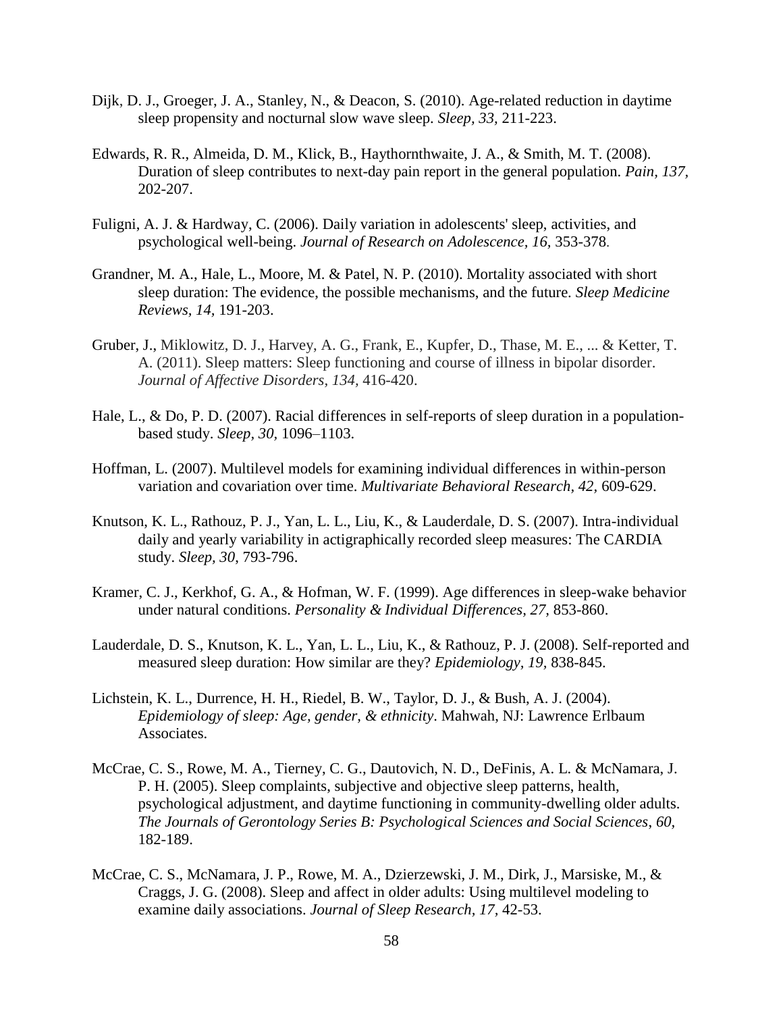- Dijk, D. J., Groeger, J. A., Stanley, N., & Deacon, S. (2010). Age-related reduction in daytime sleep propensity and nocturnal slow wave sleep. *Sleep, 33,* 211-223.
- Edwards, R. R., Almeida, D. M., Klick, B., Haythornthwaite, J. A., & Smith, M. T. (2008). Duration of sleep contributes to next-day pain report in the general population. *Pain, 137,* 202-207.
- Fuligni, A. J. & Hardway, C. (2006). Daily variation in adolescents' sleep, activities, and psychological well-being. *Journal of Research on Adolescence, 16,* 353-378.
- Grandner, M. A., Hale, L., Moore, M. & Patel, N. P. (2010). Mortality associated with short sleep duration: The evidence, the possible mechanisms, and the future. *Sleep Medicine Reviews, 14,* 191-203.
- Gruber, J., Miklowitz, D. J., Harvey, A. G., Frank, E., Kupfer, D., Thase, M. E., ... & Ketter, T. A. (2011). Sleep matters: Sleep functioning and course of illness in bipolar disorder. *Journal of Affective Disorders, 134,* 416-420.
- Hale, L., & Do, P. D. (2007). Racial differences in self-reports of sleep duration in a populationbased study. *Sleep, 30,* 1096–1103.
- Hoffman, L. (2007). Multilevel models for examining individual differences in within-person variation and covariation over time. *Multivariate Behavioral Research, 42,* 609-629.
- Knutson, K. L., Rathouz, P. J., Yan, L. L., Liu, K., & Lauderdale, D. S. (2007). Intra-individual daily and yearly variability in actigraphically recorded sleep measures: The CARDIA study. *Sleep, 30*, 793-796.
- Kramer, C. J., Kerkhof, G. A., & Hofman, W. F. (1999). Age differences in sleep-wake behavior under natural conditions. *Personality & Individual Differences, 27,* 853-860.
- Lauderdale, D. S., Knutson, K. L., Yan, L. L., Liu, K., & Rathouz, P. J. (2008). Self-reported and measured sleep duration: How similar are they? *Epidemiology, 19,* 838-845.
- Lichstein, K. L., Durrence, H. H., Riedel, B. W., Taylor, D. J., & Bush, A. J. (2004). *Epidemiology of sleep: Age, gender, & ethnicity*. Mahwah, NJ: Lawrence Erlbaum Associates.
- McCrae, C. S., Rowe, M. A., Tierney, C. G., Dautovich, N. D., DeFinis, A. L. & McNamara, J. P. H. (2005). Sleep complaints, subjective and objective sleep patterns, health, psychological adjustment, and daytime functioning in community-dwelling older adults. *The Journals of Gerontology Series B: Psychological Sciences and Social Sciences*, *60,*  182-189.
- McCrae, C. S., McNamara, J. P., Rowe, M. A., Dzierzewski, J. M., Dirk, J., Marsiske, M., & Craggs, J. G. (2008). Sleep and affect in older adults: Using multilevel modeling to examine daily associations. *Journal of Sleep Research, 17,* 42-53.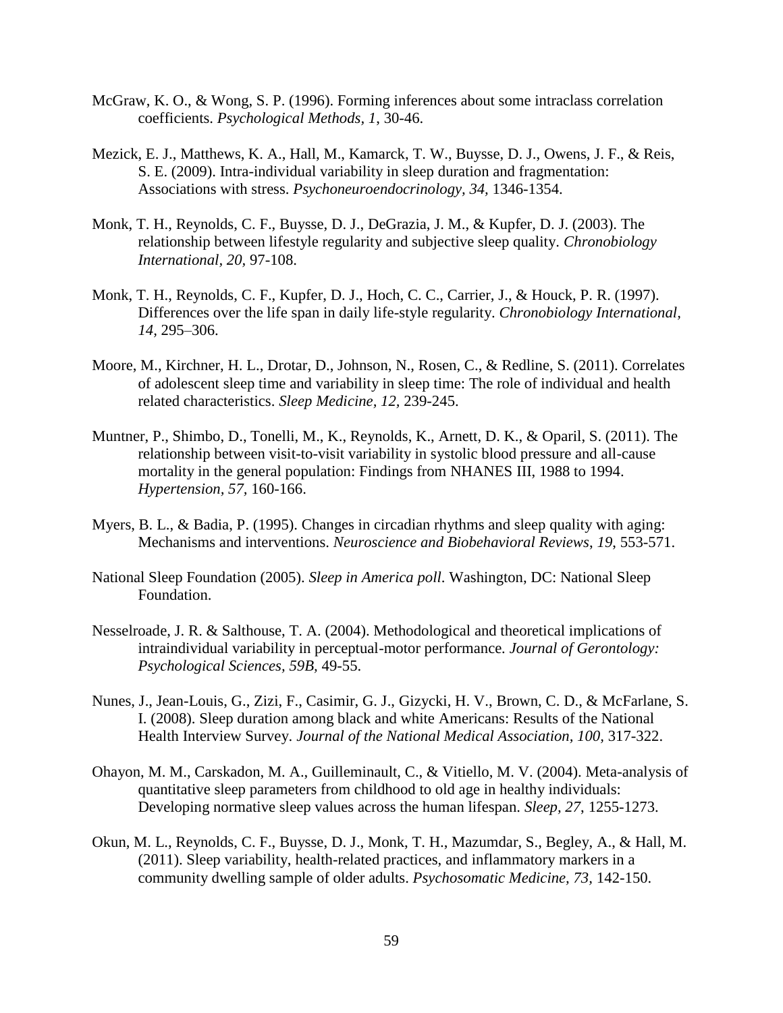- McGraw, K. O., & Wong, S. P. (1996). Forming inferences about some intraclass correlation coefficients. *Psychological Methods, 1*, 30-46.
- Mezick, E. J., Matthews, K. A., Hall, M., Kamarck, T. W., Buysse, D. J., Owens, J. F., & Reis, S. E. (2009). Intra-individual variability in sleep duration and fragmentation: Associations with stress. *Psychoneuroendocrinology, 34,* 1346-1354.
- Monk, T. H., Reynolds, C. F., Buysse, D. J., DeGrazia, J. M., & Kupfer, D. J. (2003). The relationship between lifestyle regularity and subjective sleep quality. *Chronobiology International, 20,* 97-108.
- Monk, T. H., Reynolds, C. F., Kupfer, D. J., Hoch, C. C., Carrier, J., & Houck, P. R. (1997). Differences over the life span in daily life-style regularity. *Chronobiology International, 14,* 295–306.
- Moore, M., Kirchner, H. L., Drotar, D., Johnson, N., Rosen, C., & Redline, S. (2011). Correlates of adolescent sleep time and variability in sleep time: The role of individual and health related characteristics. *Sleep Medicine, 12,* 239-245.
- Muntner, P., Shimbo, D., Tonelli, M., K., Reynolds, K., Arnett, D. K., & Oparil, S. (2011). The relationship between visit-to-visit variability in systolic blood pressure and all-cause mortality in the general population: Findings from NHANES III, 1988 to 1994. *Hypertension, 57,* 160-166.
- Myers, B. L., & Badia, P. (1995). Changes in circadian rhythms and sleep quality with aging: Mechanisms and interventions. *Neuroscience and Biobehavioral Reviews*, *19*, 553-571.
- National Sleep Foundation (2005). *Sleep in America poll*. Washington, DC: National Sleep Foundation.
- Nesselroade, J. R. & Salthouse, T. A. (2004). Methodological and theoretical implications of intraindividual variability in perceptual-motor performance*. Journal of Gerontology: Psychological Sciences, 59B,* 49-55.
- Nunes, J., Jean-Louis, G., Zizi, F., Casimir, G. J., Gizycki, H. V., Brown, C. D., & McFarlane, S. I. (2008). Sleep duration among black and white Americans: Results of the National Health Interview Survey. *Journal of the National Medical Association, 100,* 317-322.
- Ohayon, M. M., Carskadon, M. A., Guilleminault, C., & Vitiello, M. V. (2004). Meta-analysis of quantitative sleep parameters from childhood to old age in healthy individuals: Developing normative sleep values across the human lifespan. *Sleep, 27*, 1255-1273.
- Okun, M. L., Reynolds, C. F., Buysse, D. J., Monk, T. H., Mazumdar, S., Begley, A., & Hall, M. (2011). Sleep variability, health-related practices, and inflammatory markers in a community dwelling sample of older adults. *Psychosomatic Medicine, 73,* 142-150.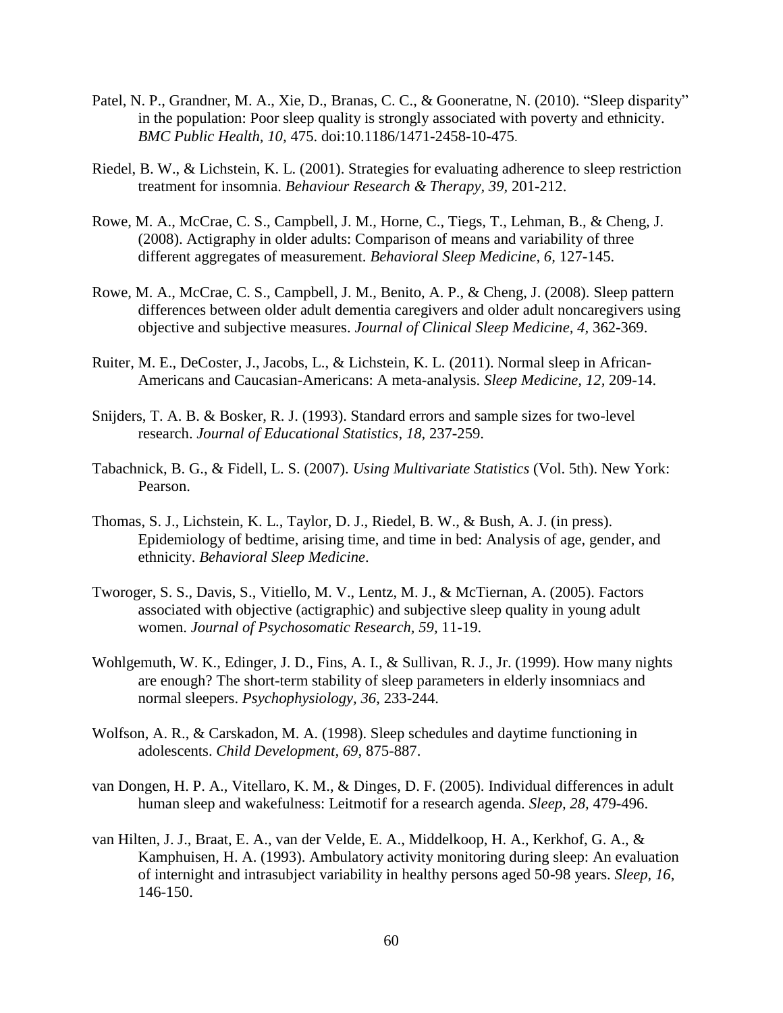- Patel, N. P., Grandner, M. A., Xie, D., Branas, C. C., & Gooneratne, N. (2010). "Sleep disparity" in the population: Poor sleep quality is strongly associated with poverty and ethnicity. *BMC Public Health, 10,* 475. doi:10.1186/1471-2458-10-475.
- Riedel, B. W., & Lichstein, K. L. (2001). Strategies for evaluating adherence to sleep restriction treatment for insomnia. *Behaviour Research & Therapy, 39,* 201-212.
- Rowe, M. A., McCrae, C. S., Campbell, J. M., Horne, C., Tiegs, T., Lehman, B., & Cheng, J. (2008). Actigraphy in older adults: Comparison of means and variability of three different aggregates of measurement. *Behavioral Sleep Medicine, 6,* 127-145.
- Rowe, M. A., McCrae, C. S., Campbell, J. M., Benito, A. P., & Cheng, J. (2008). Sleep pattern differences between older adult dementia caregivers and older adult noncaregivers using objective and subjective measures. *Journal of Clinical Sleep Medicine, 4,* 362-369.
- Ruiter, M. E., DeCoster, J., Jacobs, L., & Lichstein, K. L. (2011). Normal sleep in African-Americans and Caucasian-Americans: A meta-analysis. *Sleep Medicine, 12,* 209-14.
- Snijders, T. A. B. & Bosker, R. J. (1993). Standard errors and sample sizes for two-level research. *Journal of Educational Statistics, 18,* 237-259.
- Tabachnick, B. G., & Fidell, L. S. (2007). *Using Multivariate Statistics* (Vol. 5th). New York: Pearson.
- Thomas, S. J., Lichstein, K. L., Taylor, D. J., Riedel, B. W., & Bush, A. J. (in press). Epidemiology of bedtime, arising time, and time in bed: Analysis of age, gender, and ethnicity. *Behavioral Sleep Medicine*.
- Tworoger, S. S., Davis, S., Vitiello, M. V., Lentz, M. J., & McTiernan, A. (2005). Factors associated with objective (actigraphic) and subjective sleep quality in young adult women. *Journal of Psychosomatic Research, 59,* 11-19.
- Wohlgemuth, W. K., Edinger, J. D., Fins, A. I., & Sullivan, R. J., Jr. (1999). How many nights are enough? The short-term stability of sleep parameters in elderly insomniacs and normal sleepers. *Psychophysiology, 36*, 233-244.
- Wolfson, A. R., & Carskadon, M. A. (1998). Sleep schedules and daytime functioning in adolescents. *Child Development, 69,* 875-887.
- van Dongen, H. P. A., Vitellaro, K. M., & Dinges, D. F. (2005). Individual differences in adult human sleep and wakefulness: Leitmotif for a research agenda. *Sleep, 28,* 479-496.
- van Hilten, J. J., Braat, E. A., van der Velde, E. A., Middelkoop, H. A., Kerkhof, G. A., & Kamphuisen, H. A. (1993). Ambulatory activity monitoring during sleep: An evaluation of internight and intrasubject variability in healthy persons aged 50-98 years. *Sleep, 16*, 146-150.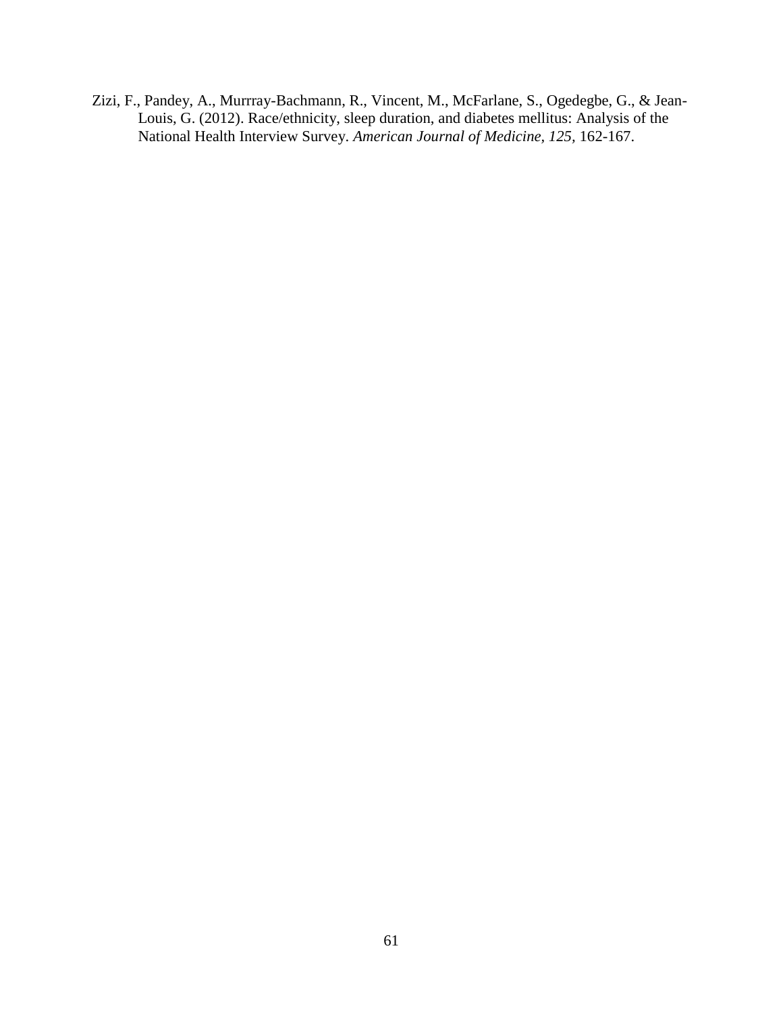Zizi, F., Pandey, A., Murrray-Bachmann, R., Vincent, M., McFarlane, S., Ogedegbe, G., & Jean-Louis, G. (2012). Race/ethnicity, sleep duration, and diabetes mellitus: Analysis of the National Health Interview Survey. *American Journal of Medicine, 125,* 162-167.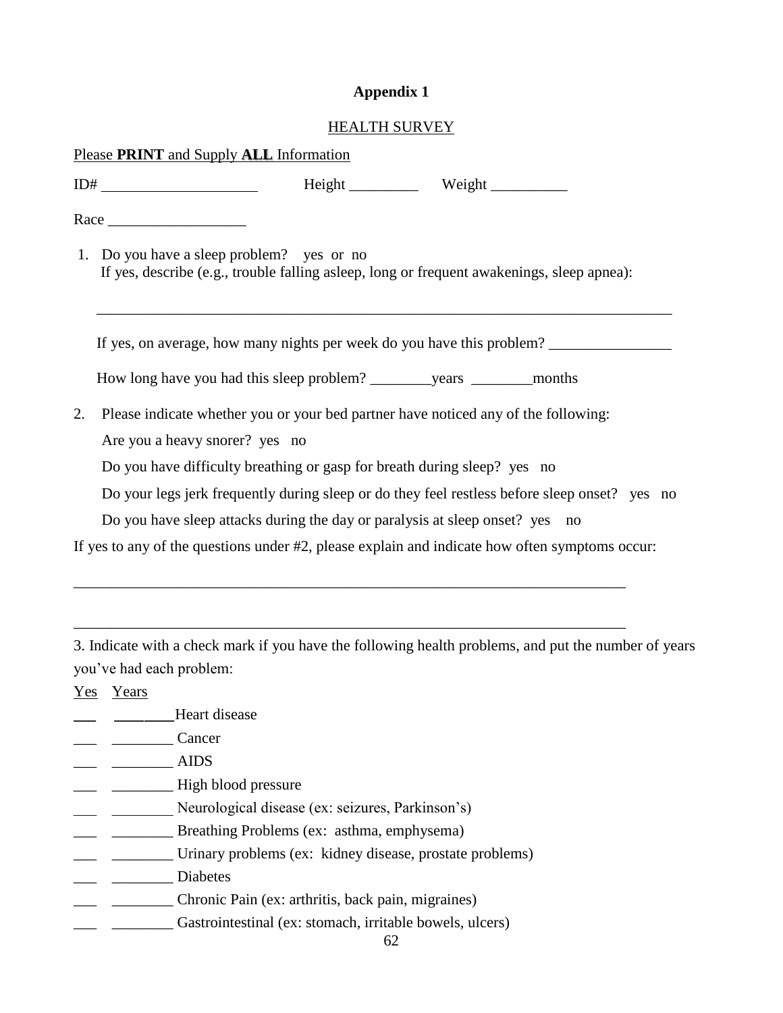# **Appendix 1**

### HEALTH SURVEY

|                                                                        | Please PRINT and Supply ALL Information                                                                                                 |  |  |  |  |  |  |  |  |
|------------------------------------------------------------------------|-----------------------------------------------------------------------------------------------------------------------------------------|--|--|--|--|--|--|--|--|
|                                                                        |                                                                                                                                         |  |  |  |  |  |  |  |  |
|                                                                        |                                                                                                                                         |  |  |  |  |  |  |  |  |
|                                                                        | 1. Do you have a sleep problem? yes or no<br>If yes, describe (e.g., trouble falling asleep, long or frequent awakenings, sleep apnea): |  |  |  |  |  |  |  |  |
| If yes, on average, how many nights per week do you have this problem? |                                                                                                                                         |  |  |  |  |  |  |  |  |
|                                                                        |                                                                                                                                         |  |  |  |  |  |  |  |  |
| 2.                                                                     | Please indicate whether you or your bed partner have noticed any of the following:<br>Are you a heavy snorer? yes no                    |  |  |  |  |  |  |  |  |
|                                                                        | Do you have difficulty breathing or gasp for breath during sleep? yes no                                                                |  |  |  |  |  |  |  |  |
|                                                                        | Do your legs jerk frequently during sleep or do they feel restless before sleep onset? yes no                                           |  |  |  |  |  |  |  |  |
|                                                                        | Do you have sleep attacks during the day or paralysis at sleep onset? yes no                                                            |  |  |  |  |  |  |  |  |
|                                                                        | If yes to any of the questions under #2, please explain and indicate how often symptoms occur:                                          |  |  |  |  |  |  |  |  |
|                                                                        |                                                                                                                                         |  |  |  |  |  |  |  |  |
|                                                                        | 3. Indicate with a check mark if you have the following health problems, and put the number of years<br>you've had each problem:        |  |  |  |  |  |  |  |  |
|                                                                        | Yes Years                                                                                                                               |  |  |  |  |  |  |  |  |

- \_\_\_ \_\_\_\_\_\_\_\_Heart disease
- $\qquad \qquad \qquad \text{Cancer}$
- $\overline{\phantom{a}}$   $\overline{\phantom{a}}$   $\overline{\phantom{a}}$   $\overline{\phantom{a}}$   $\overline{\phantom{a}}$   $\overline{\phantom{a}}$   $\overline{\phantom{a}}$   $\overline{\phantom{a}}$   $\overline{\phantom{a}}$   $\overline{\phantom{a}}$   $\overline{\phantom{a}}$   $\overline{\phantom{a}}$   $\overline{\phantom{a}}$   $\overline{\phantom{a}}$   $\overline{\phantom{a}}$   $\overline{\phantom{a}}$   $\overline{\phantom{a}}$   $\overline{\phantom{a}}$   $\overline{\$
- \_\_\_ \_\_\_\_\_\_\_\_ High blood pressure
- \_\_\_ \_\_\_\_\_\_\_\_ Neurological disease (ex: seizures, Parkinson's)
- \_\_\_ \_\_\_\_\_\_\_\_ Breathing Problems (ex: asthma, emphysema)
- \_\_\_ \_\_\_\_\_\_\_\_ Urinary problems (ex: kidney disease, prostate problems)
- \_\_\_ \_\_\_\_\_\_\_\_ Diabetes
- \_\_\_ \_\_\_\_\_\_\_\_ Chronic Pain (ex: arthritis, back pain, migraines)
- \_\_\_ \_\_\_\_\_\_\_\_ Gastrointestinal (ex: stomach, irritable bowels, ulcers)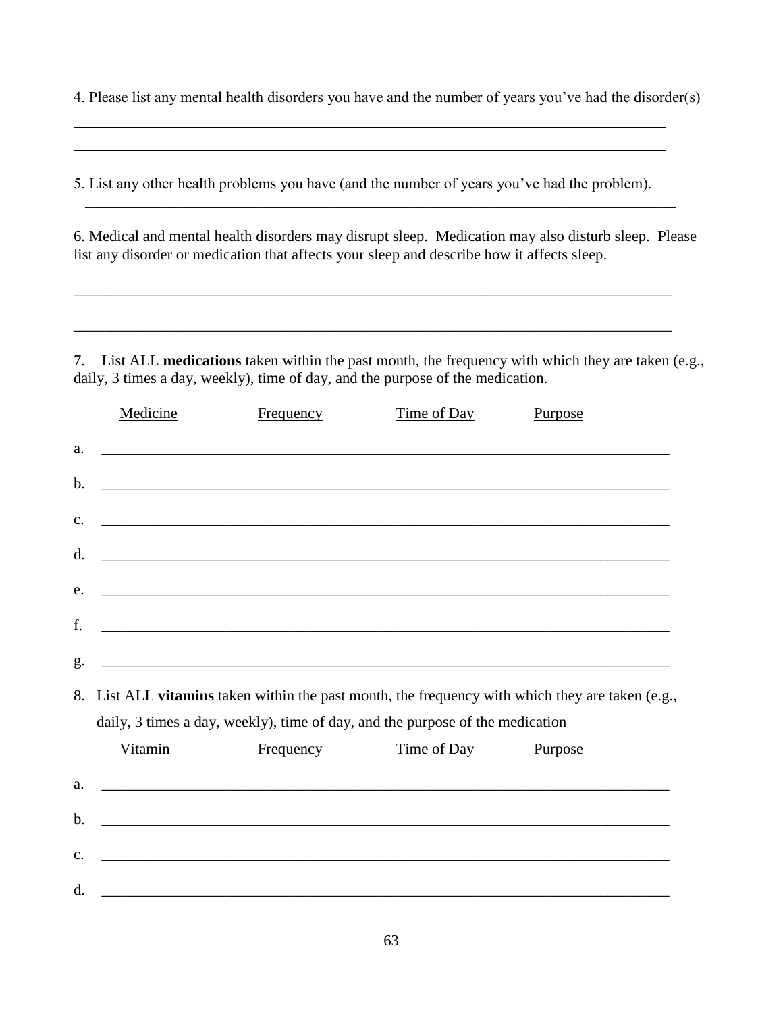4. Please list any mental health disorders you have and the number of years you've had the disorder(s)

5. List any other health problems you have (and the number of years you've had the problem).

\_\_\_\_\_\_\_\_\_\_\_\_\_\_\_\_\_\_\_\_\_\_\_\_\_\_\_\_\_\_\_\_\_\_\_\_\_\_\_\_\_\_\_\_\_\_\_\_\_\_\_\_\_\_\_\_\_\_\_\_\_\_\_\_\_\_\_\_\_\_\_\_\_\_\_\_\_

6. Medical and mental health disorders may disrupt sleep. Medication may also disturb sleep. Please list any disorder or medication that affects your sleep and describe how it affects sleep.

7. List ALL **medications** taken within the past month, the frequency with which they are taken (e.g., daily, 3 times a day, weekly), time of day, and the purpose of the medication.

|    | Medicine                                                                                                                                                                       | <b>Frequency</b>                                                                                                       | Time of Day | Purpose |  |  |  |  |  |
|----|--------------------------------------------------------------------------------------------------------------------------------------------------------------------------------|------------------------------------------------------------------------------------------------------------------------|-------------|---------|--|--|--|--|--|
| a. |                                                                                                                                                                                | <u> 1989 - Johann Stoff, deutscher Stoffen und der Stoffen und der Stoffen und der Stoffen und der Stoffen und de</u>  |             |         |  |  |  |  |  |
| b. |                                                                                                                                                                                |                                                                                                                        |             |         |  |  |  |  |  |
| c. |                                                                                                                                                                                | <u> 1989 - Johann Stoff, amerikan bestein de stad i stoff fan de ferskearre fan de ferskearre fan de ferskearre</u>    |             |         |  |  |  |  |  |
| d. |                                                                                                                                                                                |                                                                                                                        |             |         |  |  |  |  |  |
| e. |                                                                                                                                                                                | ,我们也不会有什么。""我们的人,我们也不会有什么?""我们的人,我们也不会有什么?""我们的人,我们也不会有什么?""我们的人,我们也不会有什么?""我们的人                                       |             |         |  |  |  |  |  |
| f. |                                                                                                                                                                                |                                                                                                                        |             |         |  |  |  |  |  |
| g. |                                                                                                                                                                                |                                                                                                                        |             |         |  |  |  |  |  |
| 8. |                                                                                                                                                                                |                                                                                                                        |             |         |  |  |  |  |  |
|    | List ALL vitamins taken within the past month, the frequency with which they are taken (e.g.,<br>daily, 3 times a day, weekly), time of day, and the purpose of the medication |                                                                                                                        |             |         |  |  |  |  |  |
|    | Vitamin                                                                                                                                                                        | Frequency                                                                                                              | Time of Day | Purpose |  |  |  |  |  |
| a. |                                                                                                                                                                                |                                                                                                                        |             |         |  |  |  |  |  |
| b. |                                                                                                                                                                                | and the control of the control of the control of the control of the control of the control of the control of the       |             |         |  |  |  |  |  |
| C. |                                                                                                                                                                                | <u> 1989 - Johann Stoff, deutscher Stoffen und der Stoffen und der Stoffen und der Stoffen und der Stoffen und der</u> |             |         |  |  |  |  |  |
| d. |                                                                                                                                                                                | <u> 1989 - Johann Stoff, deutscher Stoffen und der Stoffen und der Stoffen und der Stoffen und der Stoffen und de</u>  |             |         |  |  |  |  |  |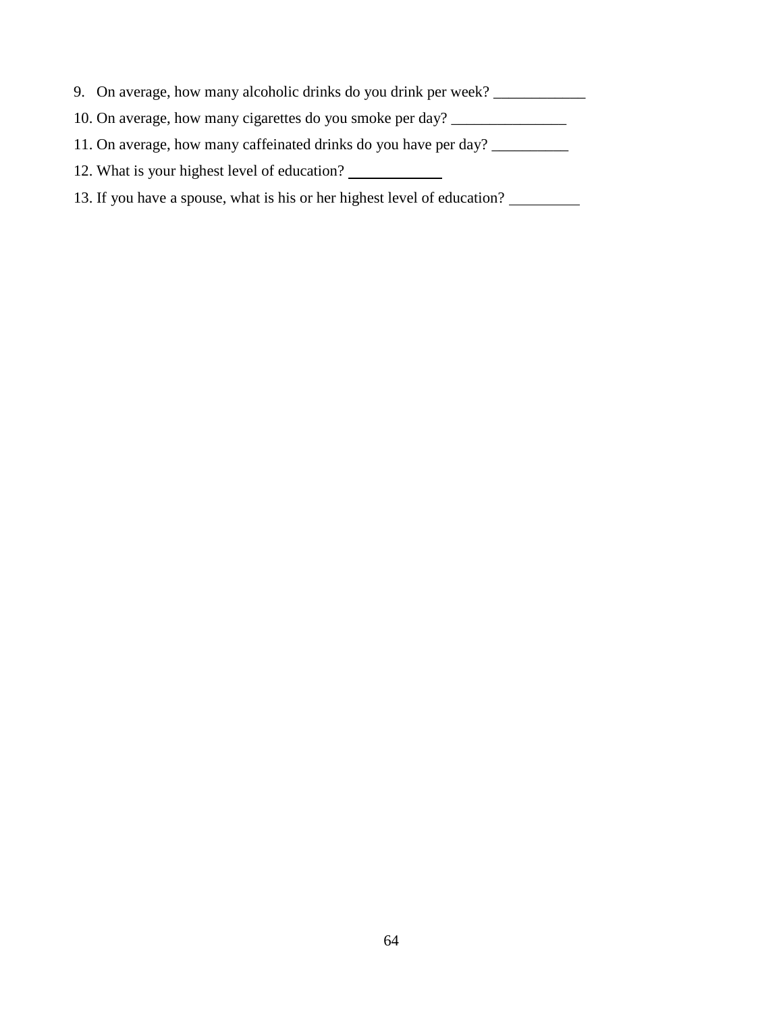- 9. On average, how many alcoholic drinks do you drink per week? \_\_\_\_\_\_\_\_\_\_\_\_\_\_\_\_
- 10. On average, how many cigarettes do you smoke per day? \_\_\_\_\_\_\_\_\_\_\_\_\_\_\_\_\_\_\_\_\_\_
- 11. On average, how many caffeinated drinks do you have per day? \_\_\_\_\_\_\_\_\_\_\_\_\_\_\_
- 12. What is your highest level of education?
- 13. If you have a spouse, what is his or her highest level of education?